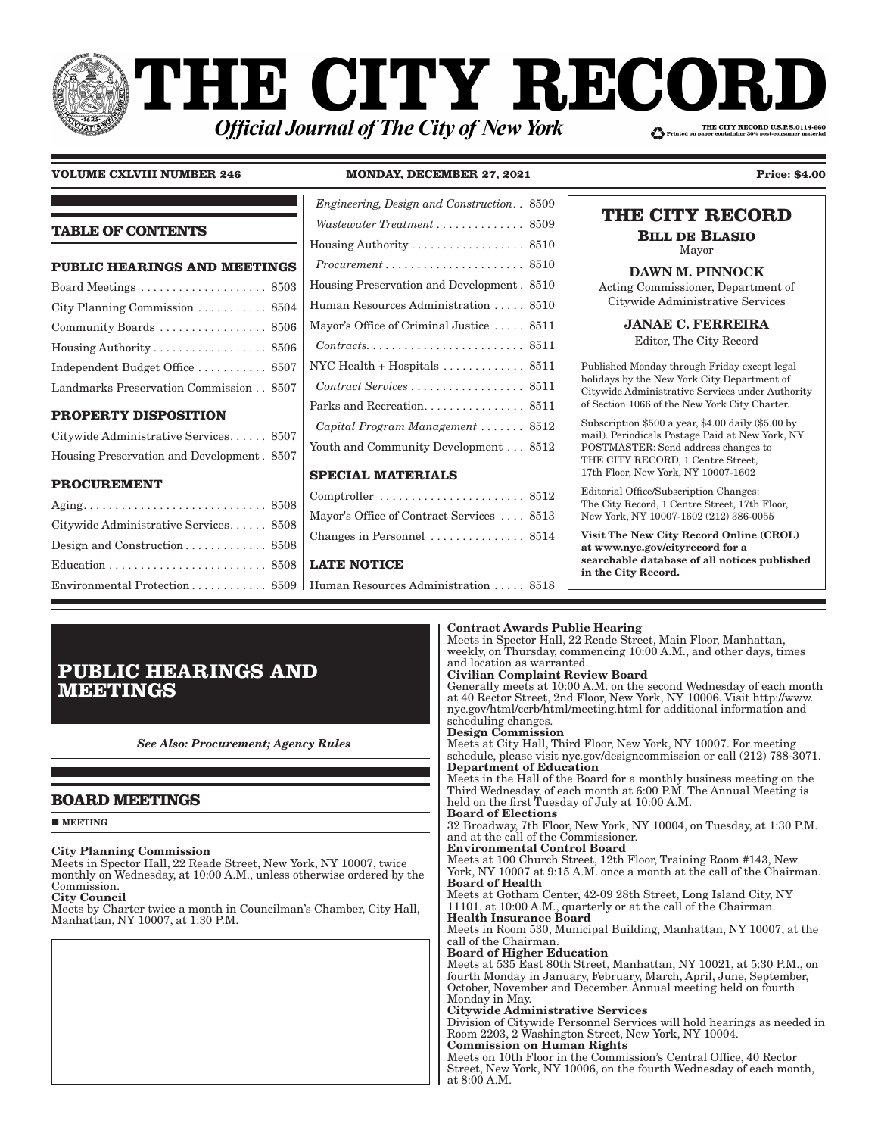# **THE CITY RECOI** THE CITY RECORD U.S.P.S.0114-660 **Official Journal of The City of New York**

# **VOLUME CXLVIII NUMBER 246 MONDAY, DECEMBER 27, 2021 Price: \$4.00**

# **TABLE OF CONTENTS**

| <b>PUBLIC HEARINGS AND MEETINGS</b>                  |
|------------------------------------------------------|
|                                                      |
| City Planning Commission $\ldots \ldots \ldots$ 8504 |
| Community Boards  8506                               |
| Housing Authority 8506                               |
| Independent Budget Office  8507                      |
| Landmarks Preservation Commission 8507               |
|                                                      |

# **PROPERTY DISPOSITION**

| Citywide Administrative Services 8507      |  |
|--------------------------------------------|--|
| Housing Preservation and Development. 8507 |  |

# **PROCUREMENT**

| Engineering, Design and Construction. 8509                                                                                        |  |
|-----------------------------------------------------------------------------------------------------------------------------------|--|
| Wastewater Treatment  8509                                                                                                        |  |
| $H \text{ousing Authority} \dots \dots \dots \dots \dots \dots \dots \dots \dots \dots \dots \dots \dots \dots \dots \dots \dots$ |  |
| $Procurrent \ldots \ldots \ldots \ldots \ldots \ldots \ldots 8510$                                                                |  |
| Housing Preservation and Development. 8510                                                                                        |  |
| Human Resources Administration 8510                                                                                               |  |
| Mayor's Office of Criminal Justice  8511                                                                                          |  |
| $Contracts. \ldots \ldots \ldots \ldots \ldots \ldots \ldots 8511$                                                                |  |
| NYC Health + Hospitals $\ldots \ldots \ldots \ldots$ 8511                                                                         |  |
| $Contract \; Services \; \ldots \; \ldots \; \ldots \; \ldots \; \ldots \; 8511$                                                  |  |
|                                                                                                                                   |  |
| Capital Program Management  8512                                                                                                  |  |
| Youth and Community Development 8512                                                                                              |  |
|                                                                                                                                   |  |

# **SPECIAL MATERIALS**

| Comptroller $\dots\dots\dots\dots\dots\dots\dots 8512$  |  |
|---------------------------------------------------------|--|
| Mayor's Office of Contract Services  8513               |  |
| Changes in Personnel $\ldots \ldots \ldots \ldots$ 8514 |  |

# **LATE NOTICE**

Iman Resources Administration . . . . . 8518

# **THE CITY RECORD**

**BILL DE BLASIO** Mayor

DAWN M. PINNOCK

Acting Commissioner, Department of Citywide Administrative Services

JANAE C. FERREIRA

Editor, The City Record

Published Monday through Friday except legal holidays by the New York City Department of Citywide Administrative Services under Authority of Section 1066 of the New York City Charter.

Subscription \$500 a year, \$4.00 daily (\$5.00 by mail). Periodicals Postage Paid at New York, NY POSTMASTER: Send address changes to THE CITY RECORD, 1 Centre Street, 17th Floor, New York, NY 10007-1602

Editorial Office/Subscription Changes: The City Record, 1 Centre Street, 17th Floor, New York, NY 10007-1602 (212) 386-0055

Visit The New City Record Online (CROL) at www.nyc.gov/cityrecord for a searchable database of all notices published in the City Record.

# **PUBLIC HEARINGS AND MEETINGS**

*See Also: Procurement; Agency Rules*

# **BOARD MEETINGS**

**MEETING** 

# City Planning Commission

Meets in Spector Hall, 22 Reade Street, New York, NY 10007, twice monthly on Wednesday, at 10:00 A.M., unless otherwise ordered by the Commission.

City Council

Meets by Charter twice a month in Councilman's Chamber, City Hall, Manhattan, NY 10007, at 1:30 P.M.

### weekly, on Thursday, commencing 10:00 A.M., and other days, times and location as warranted. Civilian Complaint Review Board Generally meets at 10:00 A.M. on the second Wednesday of each month at 40 Rector Street, 2nd Floor, New York, NY 10006. Visit http://www. nyc.gov/html/ccrb/html/meeting.html for additional information and scheduling changes. Design Commission Meets at City Hall, Third Floor, New York, NY 10007. For meeting schedule, please visit nyc.gov/designcommission or call (212) 788-3071. Department of Education Meets in the Hall of the Board for a monthly business meeting on the Third Wednesday, of each month at 6:00 P.M. The Annual Meeting is held on the first Tuesday of July at 10:00 A.M. Board of Elections 32 Broadway, 7th Floor, New York, NY 10004, on Tuesday, at 1:30 P.M. and at the call of the Commissioner. Environmental Control Board Meets at 100 Church Street, 12th Floor, Training Room #143, New York, NY 10007 at 9:15 A.M. once a month at the call of the Chairman. Board of Health Meets at Gotham Center, 42-09 28th Street, Long Island City, NY 11101, at 10:00 A.M., quarterly or at the call of the Chairman. Health Insurance Board Meets in Room 530, Municipal Building, Manhattan, NY 10007, at the call of the Chairman. Board of Higher Education Meets at 535 East 80th Street, Manhattan, NY 10021, at 5:30 P.M., on fourth Monday in January, February, March, April, June, September, October, November and December. Annual meeting held on fourth Monday in May. Citywide Administrative Services

Meets in Spector Hall, 22 Reade Street, Main Floor, Manhattan,

Division of Citywide Personnel Services will hold hearings as needed in Room 2203, 2 Washington Street, New York, NY 10004.

# Commission on Human Rights

Contract Awards Public Hearing

Meets on 10th Floor in the Commission's Central Office, 40 Rector Street, New York, NY 10006, on the fourth Wednesday of each month, at 8:00 A.M.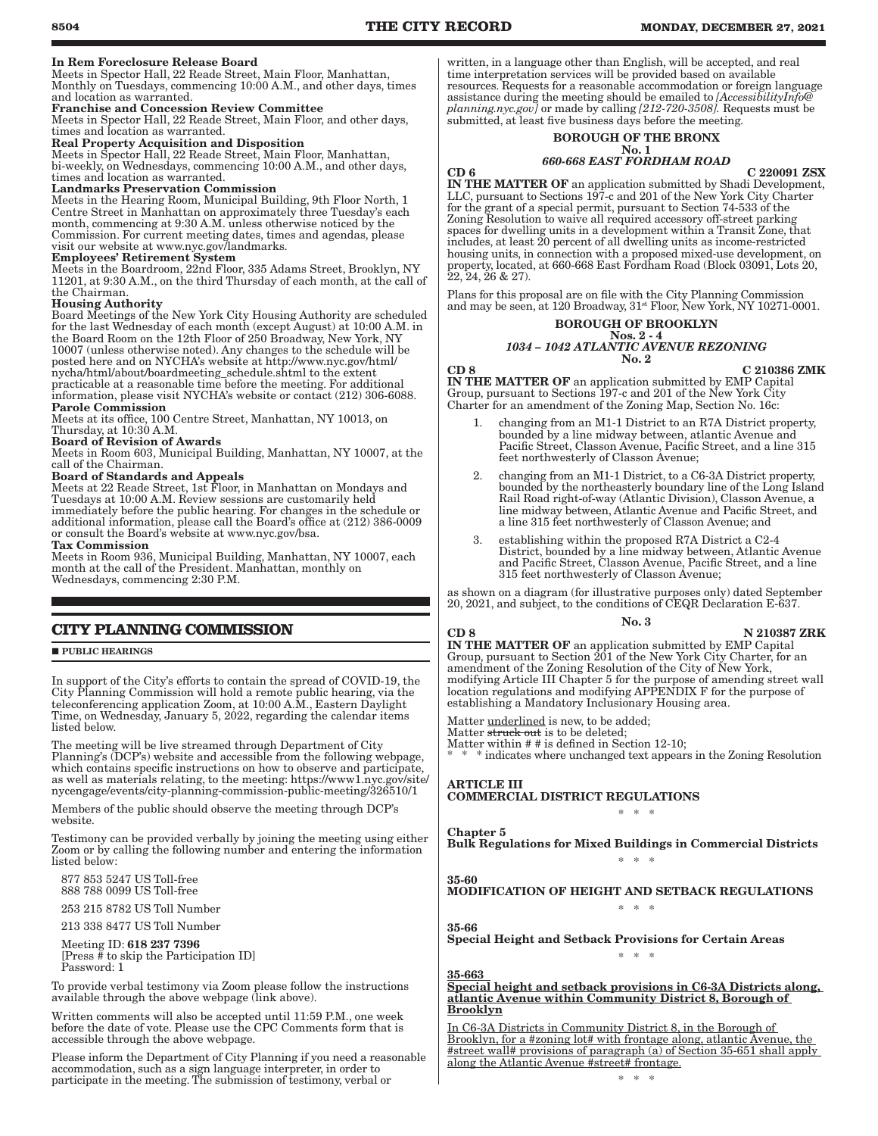### In Rem Foreclosure Release Board

Meets in Spector Hall, 22 Reade Street, Main Floor, Manhattan, Monthly on Tuesdays, commencing 10:00 A.M., and other days, times and location as warranted.

### Franchise and Concession Review Committee

Meets in Spector Hall, 22 Reade Street, Main Floor, and other days, times and location as warranted.

### Real Property Acquisition and Disposition

Meets in Spector Hall, 22 Reade Street, Main Floor, Manhattan, bi-weekly, on Wednesdays, commencing 10:00 A.M., and other days, times and location as warranted.

### Landmarks Preservation Commission

Meets in the Hearing Room, Municipal Building, 9th Floor North, 1 Centre Street in Manhattan on approximately three Tuesday's each month, commencing at 9:30 A.M. unless otherwise noticed by the Commission. For current meeting dates, times and agendas, please visit our website at www.nyc.gov/landmarks.

### Employees' Retirement System

Meets in the Boardroom, 22nd Floor, 335 Adams Street, Brooklyn, NY 11201, at 9:30 A.M., on the third Thursday of each month, at the call of the Chairman.

# Housing Authority

Board Meetings of the New York City Housing Authority are scheduled for the last Wednesday of each month (except August) at 10:00 A.M. in the Board Room on the 12th Floor of 250 Broadway, New York, NY 10007 (unless otherwise noted). Any changes to the schedule will be posted here and on NYCHA's website at http://www.nyc.gov/html/ nycha/html/about/boardmeeting\_schedule.shtml to the extent practicable at a reasonable time before the meeting. For additional information, please visit NYCHA's website or contact (212) 306-6088. Parole Commission

Meets at its office, 100 Centre Street, Manhattan, NY 10013, on Thursday, at 10:30 A.M. Board of Revision of Awards

Meets in Room 603, Municipal Building, Manhattan, NY 10007, at the call of the Chairman.

### Board of Standards and Appeals

Meets at 22 Reade Street, 1st Floor, in Manhattan on Mondays and Tuesdays at 10:00 A.M. Review sessions are customarily held immediately before the public hearing. For changes in the schedule or additional information, please call the Board's office at (212) 386-0009 or consult the Board's website at www.nyc.gov/bsa. Tax Commission

Meets in Room 936, Municipal Building, Manhattan, NY 10007, each month at the call of the President. Manhattan, monthly on Wednesdays, commencing 2:30 P.M.

# **CITY PLANNING COMMISSION**

### **PUBLIC HEARINGS**

In support of the City's efforts to contain the spread of COVID-19, the City Planning Commission will hold a remote public hearing, via the teleconferencing application Zoom, at 10:00 A.M., Eastern Daylight Time, on Wednesday, January 5, 2022, regarding the calendar items listed below.

The meeting will be live streamed through Department of City Planning's (DCP's) website and accessible from the following webpage, which contains specific instructions on how to observe and participate, as well as materials relating, to the meeting: https://www1.nyc.gov/site/ nycengage/events/city-planning-commission-public-meeting/326510/1

Members of the public should observe the meeting through DCP's website.

Testimony can be provided verbally by joining the meeting using either Zoom or by calling the following number and entering the information listed below:

 877 853 5247 US Toll-free 888 788 0099 US Toll-free

253 215 8782 US Toll Number

213 338 8477 US Toll Number

 Meeting ID: 618 237 7396 [Press # to skip the Participation ID] Password: 1

To provide verbal testimony via Zoom please follow the instructions available through the above webpage (link above).

Written comments will also be accepted until 11:59 P.M., one week before the date of vote. Please use the CPC Comments form that is accessible through the above webpage.

Please inform the Department of City Planning if you need a reasonable accommodation, such as a sign language interpreter, in order to participate in the meeting. The submission of testimony, verbal or

written, in a language other than English, will be accepted, and real time interpretation services will be provided based on available resources. Requests for a reasonable accommodation or foreign language assistance during the meeting should be emailed to *[AccessibilityInfo@ planning.nyc.gov]* or made by calling *[212-720-3508].* Requests must be submitted, at least five business days before the meeting.

### BOROUGH OF THE BRONX No. 1

## *660-668 EAST FORDHAM ROAD*

 $CD 6$  C 220091 ZSX IN THE MATTER OF an application submitted by Shadi Development, LLC, pursuant to Sections 197-c and 201 of the New York City Charter for the grant of a special permit, pursuant to Section 74-533 of the Zoning Resolution to waive all required accessory off-street parking spaces for dwelling units in a development within a Transit Zone, that includes, at least 20 percent of all dwelling units as income-restricted housing units, in connection with a proposed mixed-use development, on property, located, at 660-668 East Fordham Road (Block 03091, Lots 20,  $22, 24, 26 \& 27$ ).

Plans for this proposal are on file with the City Planning Commission and may be seen, at 120 Broadway,  $31<sup>st</sup>$  Floor, New York, NY 10271-0001.

### BOROUGH OF BROOKLYN Nos. 2 - 4 *1034 – 1042 ATLANTIC AVENUE REZONING* No. 2

CD 8 C 210386 ZMK

IN THE MATTER OF an application submitted by EMP Capital Group, pursuant to Sections 197-c and 201 of the New York City Charter for an amendment of the Zoning Map, Section No. 16c:

- 1. changing from an M1-1 District to an R7A District property, bounded by a line midway between, atlantic Avenue and Pacific Street, Classon Avenue, Pacific Street, and a line 315 feet northwesterly of Classon Avenue;
- 2. changing from an M1-1 District, to a C6-3A District property, bounded by the northeasterly boundary line of the Long Island Rail Road right-of-way (Atlantic Division), Classon Avenue, a line midway between, Atlantic Avenue and Pacific Street, and a line 315 feet northwesterly of Classon Avenue; and
- 3. establishing within the proposed R7A District a C2-4 District, bounded by a line midway between, Atlantic Avenue and Pacific Street, Classon Avenue, Pacific Street, and a line 315 feet northwesterly of Classon Avenue;

as shown on a diagram (for illustrative purposes only) dated September 20, 2021, and subject, to the conditions of CEQR Declaration E-637.

### No. 3

### CD 8 N 210387 ZRK

IN THE MATTER OF an application submitted by EMP Capital Group, pursuant to Section 201 of the New York City Charter, for an amendment of the Zoning Resolution of the City of New York, modifying Article III Chapter 5 for the purpose of amending street wall location regulations and modifying APPENDIX F for the purpose of establishing a Mandatory Inclusionary Housing area.

Matter underlined is new, to be added;

Matter <del>struck out</del> is to be deleted;

Matter within # # is defined in Section 12-10;

\* \* \* indicates where unchanged text appears in the Zoning Resolution

ARTICLE III COMMERCIAL DISTRICT REGULATIONS

### \* \* \*

Chapter 5 Bulk Regulations for Mixed Buildings in Commercial Districts \* \* \*

MODIFICATION OF HEIGHT AND SETBACK REGULATIONS \* \* \*

### 35-66

35-60

Special Height and Setback Provisions for Certain Areas \* \* \*

### 35-663

### Special height and setback provisions in C6-3A Districts along, atlantic Avenue within Community District 8, Borough of Brooklyn

In C6-3A Districts in Community District 8, in the Borough of Brooklyn, for a #zoning lot# with frontage along, atlantic Avenue, the #street wall# provisions of paragraph (a) of Section 35-651 shall apply along the Atlantic Avenue #street# frontage.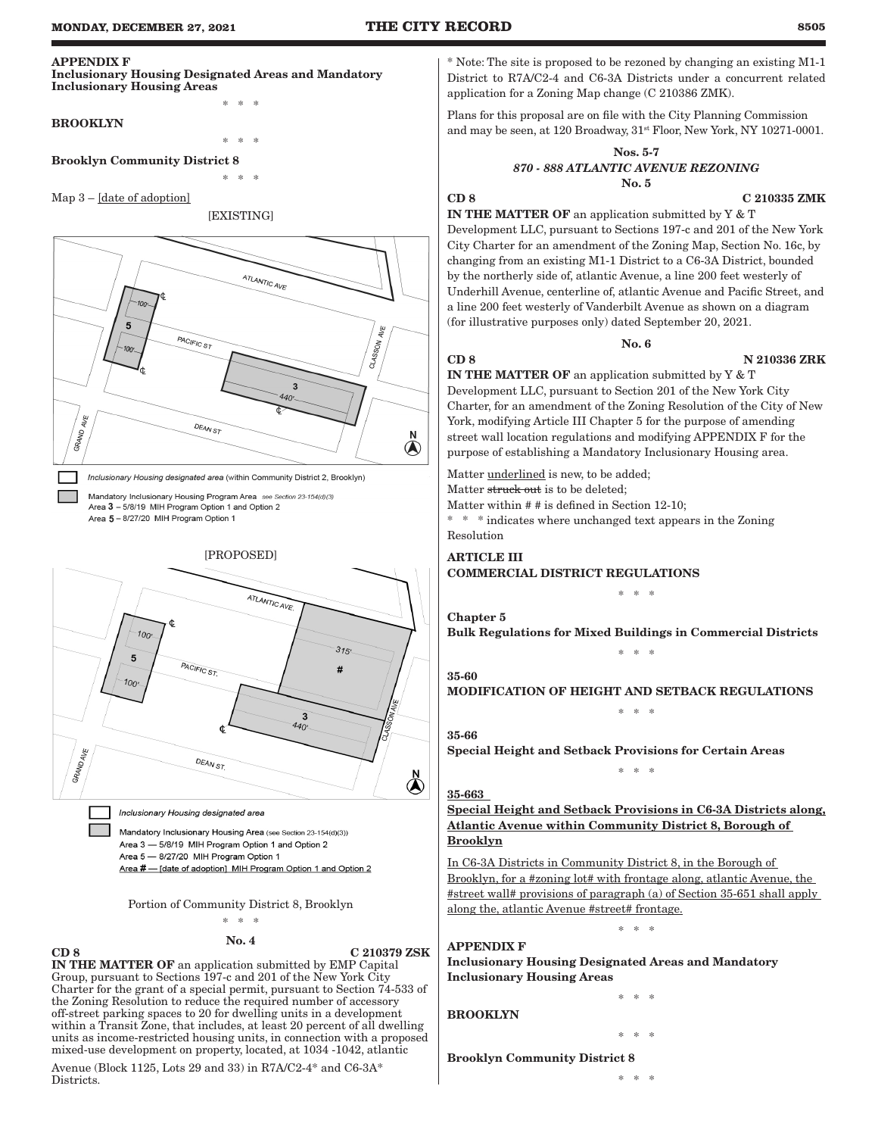# APPENDIX F

### Inclusionary Housing Designated Areas and Mandatory Inclusionary Housing Areas

\* \* \*

### BROOKLYN

\* \* \* Brooklyn Community District 8

\* \* \*

### Map 3 – [date of adoption]

### [EXISTING]



Inclusionary Housing designated area (within Community District 2, Brooklyn)

Mandatory Inclusionary Housing Program Area see Section 23-154(d)(3) Area 3 - 5/8/19 MIH Program Option 1 and Option 2 Area 5 - 8/27/20 MIH Program Option 1



Mandatory Inclusionary Housing Area (see Section 23-154(d)(3)) Area 3 - 5/8/19 MIH Program Option 1 and Option 2 Area 5 - 8/27/20 MIH Program Option 1 Area # - [date of adoption] MIH Program Option 1 and Option 2

Portion of Community District 8, Brooklyn

# \* \* \* No. 4

CD 8 C 210379 ZSK

IN THE MATTER OF an application submitted by EMP Capital Group, pursuant to Sections 197-c and 201 of the New York City Charter for the grant of a special permit, pursuant to Section 74-533 of the Zoning Resolution to reduce the required number of accessory off-street parking spaces to 20 for dwelling units in a development within a Transit Zone, that includes, at least 20 percent of all dwelling units as income-restricted housing units, in connection with a proposed mixed-use development on property, located, at 1034 -1042, atlantic

Avenue (Block 1125, Lots 29 and 33) in R7A/C2-4\* and C6-3A\* Districts.

\* Note: The site is proposed to be rezoned by changing an existing M1-1 District to R7A/C2-4 and C6-3A Districts under a concurrent related application for a Zoning Map change (C 210386 ZMK).

Plans for this proposal are on file with the City Planning Commission and may be seen, at 120 Broadway,  $31^{st}$  Floor, New York, NY 10271-0001.

### Nos. 5-7 *870 - 888 ATLANTIC AVENUE REZONING* No. 5

### CD 8 C 210335 ZMK

IN THE MATTER OF an application submitted by Y & T Development LLC, pursuant to Sections 197-c and 201 of the New York City Charter for an amendment of the Zoning Map, Section No. 16c, by changing from an existing M1-1 District to a C6-3A District, bounded by the northerly side of, atlantic Avenue, a line 200 feet westerly of Underhill Avenue, centerline of, atlantic Avenue and Pacific Street, and a line 200 feet westerly of Vanderbilt Avenue as shown on a diagram (for illustrative purposes only) dated September 20, 2021.

## No. 6

# CD 8 N 210336 ZRK

IN THE MATTER OF an application submitted by Y & T Development LLC, pursuant to Section 201 of the New York City Charter, for an amendment of the Zoning Resolution of the City of New York, modifying Article III Chapter 5 for the purpose of amending street wall location regulations and modifying APPENDIX F for the purpose of establishing a Mandatory Inclusionary Housing area.

Matter underlined is new, to be added; Matter struck out is to be deleted:

Matter within # # is defined in Section 12-10;

 $\hspace{0.1mm}^* \hspace{0.1mm}$  \* \* indicates where unchanged text appears in the Zoning Resolution

## ARTICLE III COMMERCIAL DISTRICT REGULATIONS

\* \* \*

Bulk Regulations for Mixed Buildings in Commercial Districts \* \* \*

# 35-60

Chapter 5

MODIFICATION OF HEIGHT AND SETBACK REGULATIONS \* \* \*

# 35-66

Special Height and Setback Provisions for Certain Areas

# 35-663

Special Height and Setback Provisions in C6-3A Districts along, Atlantic Avenue within Community District 8, Borough of Brooklyn

\* \* \*

In C6-3A Districts in Community District 8, in the Borough of Brooklyn, for a #zoning lot# with frontage along, atlantic Avenue, the #street wall# provisions of paragraph (a) of Section 35-651 shall apply along the, atlantic Avenue #street# frontage.

\* \* \*

# APPENDIX F

Inclusionary Housing Designated Areas and Mandatory Inclusionary Housing Areas

# BROOKLYN

\* \* \*

Brooklyn Community District 8

\* \* \*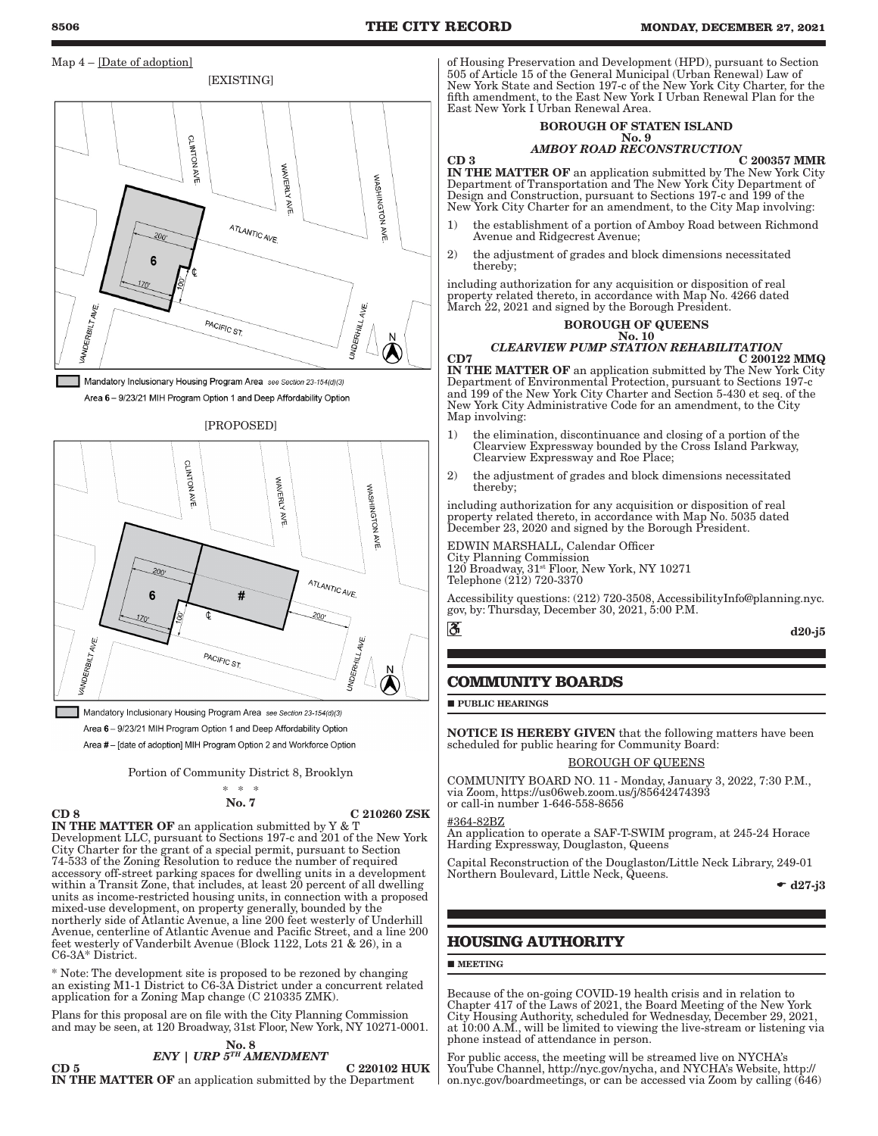# Map  $4$  – [Date of adoption]



Mandatory Inclusionary Housing Program Area see Section 23-154(d)(3) Area 6 - 9/23/21 MIH Program Option 1 and Deep Affordability Option





Mandatory Inclusionary Housing Program Area see Section 23-154(d)(3) Area 6 - 9/23/21 MIH Program Option 1 and Deep Affordability Option Area #- [date of adoption] MIH Program Option 2 and Workforce Option

Portion of Community District 8, Brooklyn

$$
\begin{array}{c}\n * \quad * \\
 \hline\n \text{No. 7}\n \end{array}
$$

$$
\mathbf{CD}:
$$

C 210260 ZSK

IN THE MATTER OF an application submitted by Y & T Development LLC, pursuant to Sections 197-c and 201 of the New York City Charter for the grant of a special permit, pursuant to Section 74-533 of the Zoning Resolution to reduce the number of required accessory off-street parking spaces for dwelling units in a development within a Transit Zone, that includes, at least 20 percent of all dwelling units as income-restricted housing units, in connection with a proposed mixed-use development, on property generally, bounded by the northerly side of Atlantic Avenue, a line 200 feet westerly of Underhill Avenue, centerline of Atlantic Avenue and Pacific Street, and a line 200 feet westerly of Vanderbilt Avenue (Block 1122, Lots 21 & 26), in a C6-3A\* District.

\* Note: The development site is proposed to be rezoned by changing an existing M1-1 District to C6-3A District under a concurrent related application for a Zoning Map change (C 210335 ZMK).

Plans for this proposal are on file with the City Planning Commission and may be seen, at 120 Broadway, 31st Floor, New York, NY 10271-0001.

### No. 8 *ENY | URP 5TH AMENDMENT*

 $CD 5$  C 220102 HUK IN THE MATTER OF an application submitted by the Department

of Housing Preservation and Development (HPD), pursuant to Section 505 of Article 15 of the General Municipal (Urban Renewal) Law of New York State and Section 197-c of the New York City Charter, for the fifth amendment, to the East New York I Urban Renewal Plan for the East New York I Urban Renewal Area.

### BOROUGH OF STATEN ISLAND No. 9

# *AMBOY ROAD RECONSTRUCTION*

 $CD 3$  C 200357 MMR IN THE MATTER OF an application submitted by The New York City Department of Transportation and The New York City Department of Design and Construction, pursuant to Sections 197-c and 199 of the New York City Charter for an amendment, to the City Map involving:

- 1) the establishment of a portion of Amboy Road between Richmond Avenue and Ridgecrest Avenue;
- 2) the adjustment of grades and block dimensions necessitated thereby;

including authorization for any acquisition or disposition of real property related thereto, in accordance with Map No. 4266 dated March 22, 2021 and signed by the Borough President.

### BOROUGH OF QUEENS No. 10

# *CLEARVIEW PUMP STATION REHABILITATION*

 $CD7$  C 200122 MMQ IN THE MATTER OF an application submitted by The New York City Department of Environmental Protection, pursuant to Sections 197-c and 199 of the New York City Charter and Section 5-430 et seq. of the New York City Administrative Code for an amendment, to the City Map involving:

- 1) the elimination, discontinuance and closing of a portion of the Clearview Expressway bounded by the Cross Island Parkway, Clearview Expressway and Roe Place;
- 2) the adjustment of grades and block dimensions necessitated thereby;

including authorization for any acquisition or disposition of real property related thereto, in accordance with Map No. 5035 dated December 23, 2020 and signed by the Borough President.

EDWIN MARSHALL, Calendar Officer City Planning Commission 120 Broadway, 31st Floor, New York, NY 10271 Telephone (212) 720-3370

Accessibility questions: (212) 720-3508, AccessibilityInfo@planning.nyc. gov, by: Thursday, December 30, 2021, 5:00 P.M.

d20-j5

# **COMMUNITY BOARDS**

**PUBLIC HEARINGS** 

NOTICE IS HEREBY GIVEN that the following matters have been scheduled for public hearing for Community Board:

BOROUGH OF QUEENS

COMMUNITY BOARD NO. 11 - Monday, January 3, 2022, 7:30 P.M., via Zoom, https://us06web.zoom.us/j/85642474393 or call-in number 1-646-558-8656

# #364-82BZ

 $\mathbf{3}$ 

An application to operate a SAF-T-SWIM program, at 245-24 Horace Harding Expressway, Douglaston, Queens

Capital Reconstruction of the Douglaston/Little Neck Library, 249-01 Northern Boulevard, Little Neck, Queens.

 $\bullet$  d27-j3

# **HOUSING AUTHORITY**

# **MEETING**

Because of the on-going COVID-19 health crisis and in relation to Chapter 417 of the Laws of 2021, the Board Meeting of the New York City Housing Authority, scheduled for Wednesday, December 29, 2021, at 10:00 A.M., will be limited to viewing the live-stream or listening via phone instead of attendance in person.

For public access, the meeting will be streamed live on NYCHA's YouTube Channel, http://nyc.gov/nycha, and NYCHA's Website, http:// on.nyc.gov/boardmeetings, or can be accessed via Zoom by calling (646)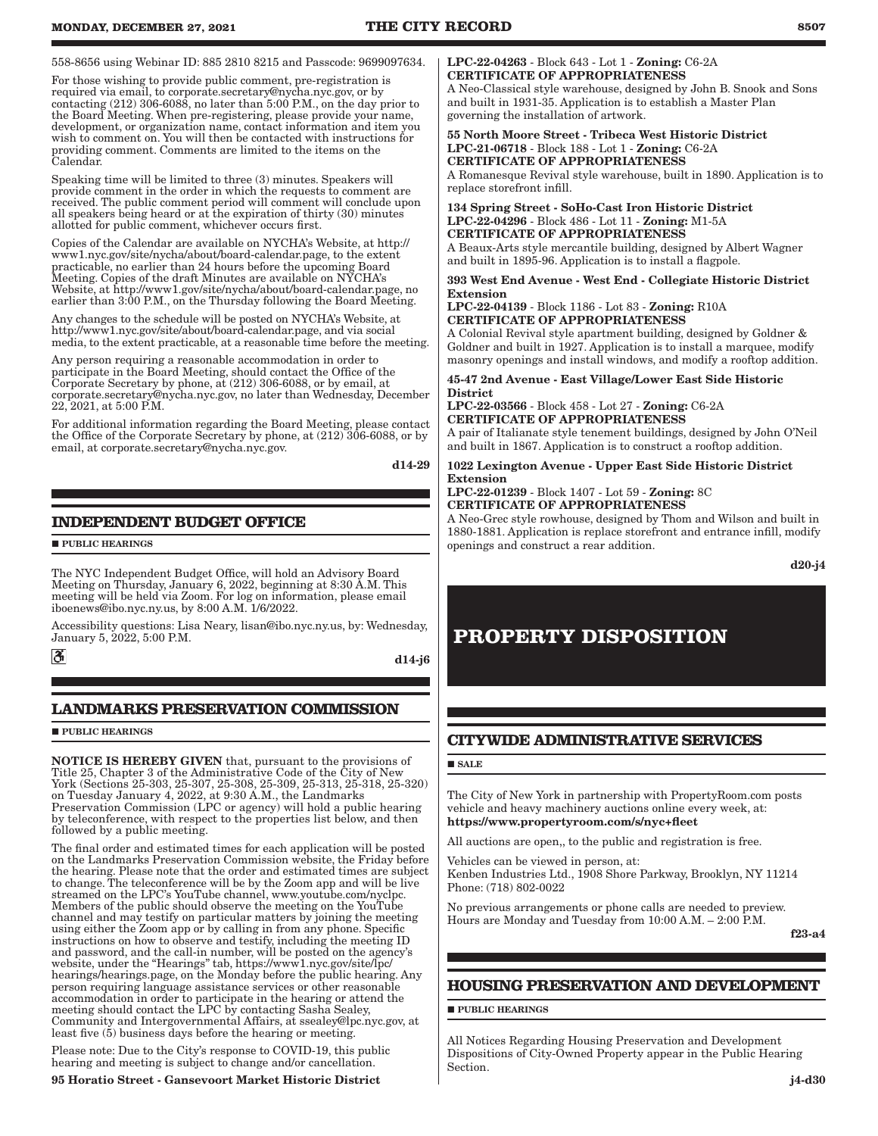558-8656 using Webinar ID: 885 2810 8215 and Passcode: 9699097634.

For those wishing to provide public comment, pre-registration is required via email, to corporate.secretary@nycha.nyc.gov, or by contacting (212) 306-6088, no later than 5:00 P.M., on the day prior to the Board Meeting. When pre-registering, please provide your name, development, or organization name, contact information and item you wish to comment on. You will then be contacted with instructions for providing comment. Comments are limited to the items on the Calendar.

Speaking time will be limited to three (3) minutes. Speakers will provide comment in the order in which the requests to comment are received. The public comment period will comment will conclude upon all speakers being heard or at the expiration of thirty (30) minutes allotted for public comment, whichever occurs first.

Copies of the Calendar are available on NYCHA's Website, at http:// www1.nyc.gov/site/nycha/about/board-calendar.page, to the extent practicable, no earlier than 24 hours before the upcoming Board Meeting. Copies of the draft Minutes are available on NYCHA's Website, at http://www1.gov/site/nycha/about/board-calendar.page, no earlier than 3:00 P.M., on the Thursday following the Board Meeting.

Any changes to the schedule will be posted on NYCHA's Website, at http://www1.nyc.gov/site/about/board-calendar.page, and via social media, to the extent practicable, at a reasonable time before the meeting.

Any person requiring a reasonable accommodation in order to participate in the Board Meeting, should contact the Office of the Corporate Secretary by phone, at (212) 306-6088, or by email, at corporate.secretary@nycha.nyc.gov, no later than Wednesday, December 22, 2021, at 5:00 P.M.

For additional information regarding the Board Meeting, please contact the Office of the Corporate Secretary by phone, at (212) 306-6088, or by email, at corporate.secretary@nycha.nyc.gov.

d14-29

# **INDEPENDENT BUDGET OFFICE**

**PUBLIC HEARINGS** 

The NYC Independent Budget Office, will hold an Advisory Board Meeting on Thursday, January 6, 2022, beginning at 8:30 A.M. This meeting will be held via Zoom. For log on information, please email iboenews@ibo.nyc.ny.us, by 8:00 A.M. 1/6/2022.

Accessibility questions: Lisa Neary, lisan@ibo.nyc.ny.us, by: Wednesday, January 5, 2022, 5:00 P.M.

 $\mathbf{S}$ 

d14-j6

# **LANDMARKS PRESERVATION COMMISSION**

**PUBLIC HEARINGS** 

NOTICE IS HEREBY GIVEN that, pursuant to the provisions of Title 25, Chapter 3 of the Administrative Code of the City of New York (Sections 25-303, 25-307, 25-308, 25-309, 25-313, 25-318, 25-320) on Tuesday January 4, 2022, at 9:30 A.M., the Landmarks Preservation Commission (LPC or agency) will hold a public hearing by teleconference, with respect to the properties list below, and then followed by a public meeting.

The final order and estimated times for each application will be posted on the Landmarks Preservation Commission website, the Friday before the hearing. Please note that the order and estimated times are subject to change. The teleconference will be by the Zoom app and will be live streamed on the LPC's YouTube channel, www.youtube.com/nyclpc. Members of the public should observe the meeting on the YouTube channel and may testify on particular matters by joining the meeting using either the Zoom app or by calling in from any phone. Specific instructions on how to observe and testify, including the meeting ID and password, and the call-in number, will be posted on the agency's website, under the "Hearings" tab, https://www1.nyc.gov/site/lpc/ hearings/hearings.page, on the Monday before the public hearing. Any person requiring language assistance services or other reasonable accommodation in order to participate in the hearing or attend the meeting should contact the LPC by contacting Sasha Sealey, Community and Intergovernmental Affairs, at ssealey@lpc.nyc.gov, at least five (5) business days before the hearing or meeting.

Please note: Due to the City's response to COVID-19, this public hearing and meeting is subject to change and/or cancellation.

### 95 Horatio Street - Gansevoort Market Historic District

### LPC-22-04263 - Block 643 - Lot 1 - Zoning: C6-2A CERTIFICATE OF APPROPRIATENESS

A Neo-Classical style warehouse, designed by John B. Snook and Sons and built in 1931-35. Application is to establish a Master Plan governing the installation of artwork.

55 North Moore Street - Tribeca West Historic District LPC-21-06718 - Block 188 - Lot 1 - Zoning: C6-2A CERTIFICATE OF APPROPRIATENESS

A Romanesque Revival style warehouse, built in 1890. Application is to replace storefront infill.

134 Spring Street - SoHo-Cast Iron Historic District LPC-22-04296 - Block 486 - Lot 11 - Zoning: M1-5A CERTIFICATE OF APPROPRIATENESS A Beaux-Arts style mercantile building, designed by Albert Wagner and built in 1895-96. Application is to install a flagpole.

### 393 West End Avenue - West End - Collegiate Historic District Extension

LPC-22-04139 - Block 1186 - Lot 83 - Zoning: R10A CERTIFICATE OF APPROPRIATENESS

A Colonial Revival style apartment building, designed by Goldner & Goldner and built in 1927. Application is to install a marquee, modify masonry openings and install windows, and modify a rooftop addition.

45-47 2nd Avenue - East Village/Lower East Side Historic District

LPC-22-03566 - Block 458 - Lot 27 - Zoning: C6-2A CERTIFICATE OF APPROPRIATENESS

A pair of Italianate style tenement buildings, designed by John O'Neil and built in 1867. Application is to construct a rooftop addition.

### 1022 Lexington Avenue - Upper East Side Historic District Extension

LPC-22-01239 - Block 1407 - Lot 59 - Zoning: 8C CERTIFICATE OF APPROPRIATENESS

A Neo-Grec style rowhouse, designed by Thom and Wilson and built in 1880-1881. Application is replace storefront and entrance infill, modify openings and construct a rear addition.

d20-j4

# **PROPERTY DISPOSITION**

# **CITYWIDE ADMINISTRATIVE SERVICES**

### **SALE**

The City of New York in partnership with PropertyRoom.com posts vehicle and heavy machinery auctions online every week, at: https://www.propertyroom.com/s/nyc+fleet

All auctions are open,, to the public and registration is free.

Vehicles can be viewed in person, at:

Kenben Industries Ltd., 1908 Shore Parkway, Brooklyn, NY 11214 Phone: (718) 802-0022

No previous arrangements or phone calls are needed to preview. Hours are Monday and Tuesday from 10:00 A.M. – 2:00 P.M.

f23-a4

# **HOUSING PRESERVATION AND DEVELOPMENT**

**PUBLIC HEARINGS** 

All Notices Regarding Housing Preservation and Development Dispositions of City-Owned Property appear in the Public Hearing Section.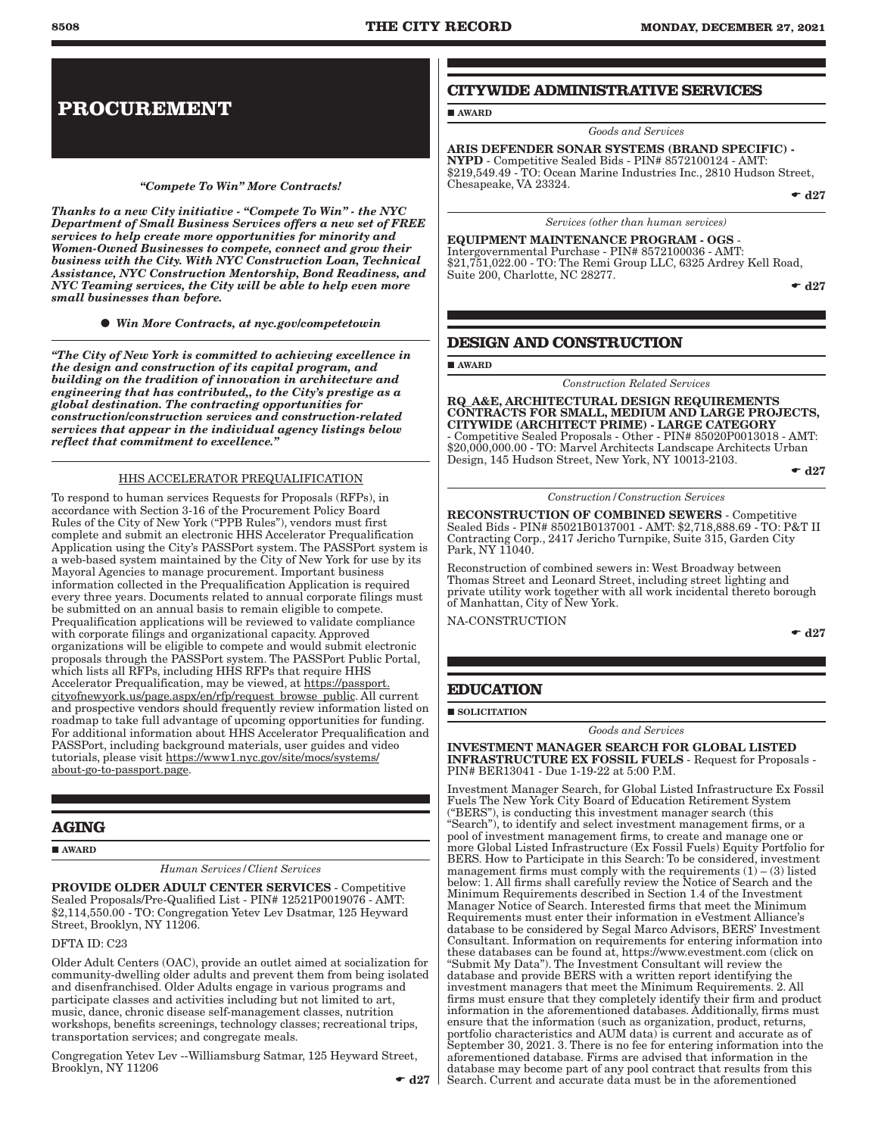# **PROCUREMENT**

# *"Compete To Win" More Contracts!*

*Thanks to a new City initiative - "Compete To Win" - the NYC Department of Small Business Services offers a new set of FREE services to help create more opportunities for minority and Women-Owned Businesses to compete, connect and grow their business with the City. With NYC Construction Loan, Technical Assistance, NYC Construction Mentorship, Bond Readiness, and NYC Teaming services, the City will be able to help even more small businesses than before.*

*Win More Contracts, at nyc.gov/competetowin*

*"The City of New York is committed to achieving excellence in the design and construction of its capital program, and building on the tradition of innovation in architecture and engineering that has contributed,, to the City's prestige as a global destination. The contracting opportunities for construction/construction services and construction-related services that appear in the individual agency listings below reflect that commitment to excellence."*

# HHS ACCELERATOR PREQUALIFICATION

To respond to human services Requests for Proposals (RFPs), in accordance with Section 3-16 of the Procurement Policy Board Rules of the City of New York ("PPB Rules"), vendors must first complete and submit an electronic HHS Accelerator Prequalification Application using the City's PASSPort system. The PASSPort system is a web-based system maintained by the City of New York for use by its Mayoral Agencies to manage procurement. Important business information collected in the Prequalification Application is required every three years. Documents related to annual corporate filings must be submitted on an annual basis to remain eligible to compete. Prequalification applications will be reviewed to validate compliance with corporate filings and organizational capacity. Approved organizations will be eligible to compete and would submit electronic proposals through the PASSPort system. The PASSPort Public Portal, which lists all RFPs, including HHS RFPs that require HHS Accelerator Prequalification, may be viewed, at https://passport. cityofnewyork.us/page.aspx/en/rfp/request\_browse\_public. All current and prospective vendors should frequently review information listed on roadmap to take full advantage of upcoming opportunities for funding. For additional information about HHS Accelerator Prequalification and PASSPort, including background materials, user guides and video tutorials, please visit https://www1.nyc.gov/site/mocs/systems/ about-go-to-passport.page.

# **AGING**

**AWARD** 

*Human Services/Client Services*

PROVIDE OLDER ADULT CENTER SERVICES - Competitive Sealed Proposals/Pre-Qualified List - PIN# 12521P0019076 - AMT: \$2,114,550.00 - TO: Congregation Yetev Lev Dsatmar, 125 Heyward Street, Brooklyn, NY 11206.

DFTA ID: C23

Older Adult Centers (OAC), provide an outlet aimed at socialization for community-dwelling older adults and prevent them from being isolated and disenfranchised. Older Adults engage in various programs and participate classes and activities including but not limited to art, music, dance, chronic disease self-management classes, nutrition workshops, benefits screenings, technology classes; recreational trips, transportation services; and congregate meals.

Congregation Yetev Lev --Williamsburg Satmar, 125 Heyward Street, Brooklyn, NY 11206

# **CITYWIDE ADMINISTRATIVE SERVICES**

**AWARD** 

ARIS DEFENDER SONAR SYSTEMS (BRAND SPECIFIC) - NYPD - Competitive Sealed Bids - PIN# 8572100124 - AMT: \$219,549.49 - TO: Ocean Marine Industries Inc., 2810 Hudson Street, Chesapeake, VA 23324.

*Goods and Services*

 $\bullet$  d27

*Services (other than human services)*

EQUIPMENT MAINTENANCE PROGRAM - OGS - Intergovernmental Purchase - PIN# 8572100036 - AMT: \$21,751,022.00 - TO: The Remi Group LLC, 6325 Ardrey Kell Road, Suite 200, Charlotte, NC 28277.

 $\bullet$  d27

# **DESIGN AND CONSTRUCTION**

AWARD

*Construction Related Services*

RQ\_A&E, ARCHITECTURAL DESIGN REQUIREMENTS CONTRACTS FOR SMALL, MEDIUM AND LARGE PROJECTS, CITYWIDE (ARCHITECT PRIME) - LARGE CATEGORY - Competitive Sealed Proposals - Other - PIN# 85020P0013018 - AMT: \$20,000,000.00 - TO: Marvel Architects Landscape Architects Urban Design, 145 Hudson Street, New York, NY 10013-2103.

 $\bullet$  d27

*Construction/Construction Services*

RECONSTRUCTION OF COMBINED SEWERS - Competitive Sealed Bids - PIN# 85021B0137001 - AMT: \$2,718,888.69 - TO: P&T II Contracting Corp., 2417 Jericho Turnpike, Suite 315, Garden City Park, NY 11040.

Reconstruction of combined sewers in: West Broadway between Thomas Street and Leonard Street, including street lighting and private utility work together with all work incidental thereto borough of Manhattan, City of New York.

NA-CONSTRUCTION

 $\bullet$  d27

# **EDUCATION**

SOLICITATION

*Goods and Services*

INVESTMENT MANAGER SEARCH FOR GLOBAL LISTED INFRASTRUCTURE EX FOSSIL FUELS - Request for Proposals - PIN# BER13041 - Due 1-19-22 at 5:00 P.M.

Investment Manager Search, for Global Listed Infrastructure Ex Fossil Fuels The New York City Board of Education Retirement System ("BERS"), is conducting this investment manager search (this "Search"), to identify and select investment management firms, or a pool of investment management firms, to create and manage one or more Global Listed Infrastructure (Ex Fossil Fuels) Equity Portfolio for BERS. How to Participate in this Search: To be considered, investment management firms must comply with the requirements  $(1) - (3)$  listed below: 1. All firms shall carefully review the Notice of Search and the Minimum Requirements described in Section 1.4 of the Investment Manager Notice of Search. Interested firms that meet the Minimum Requirements must enter their information in eVestment Alliance's database to be considered by Segal Marco Advisors, BERS' Investment Consultant. Information on requirements for entering information into these databases can be found at, https://www.evestment.com (click on "Submit My Data"). The Investment Consultant will review the database and provide BERS with a written report identifying the investment managers that meet the Minimum Requirements. 2. All firms must ensure that they completely identify their firm and product information in the aforementioned databases. Additionally, firms must ensure that the information (such as organization, product, returns, portfolio characteristics and AUM data) is current and accurate as of September 30, 2021. 3. There is no fee for entering information into the aforementioned database. Firms are advised that information in the database may become part of any pool contract that results from this Search. Current and accurate data must be in the aforementioned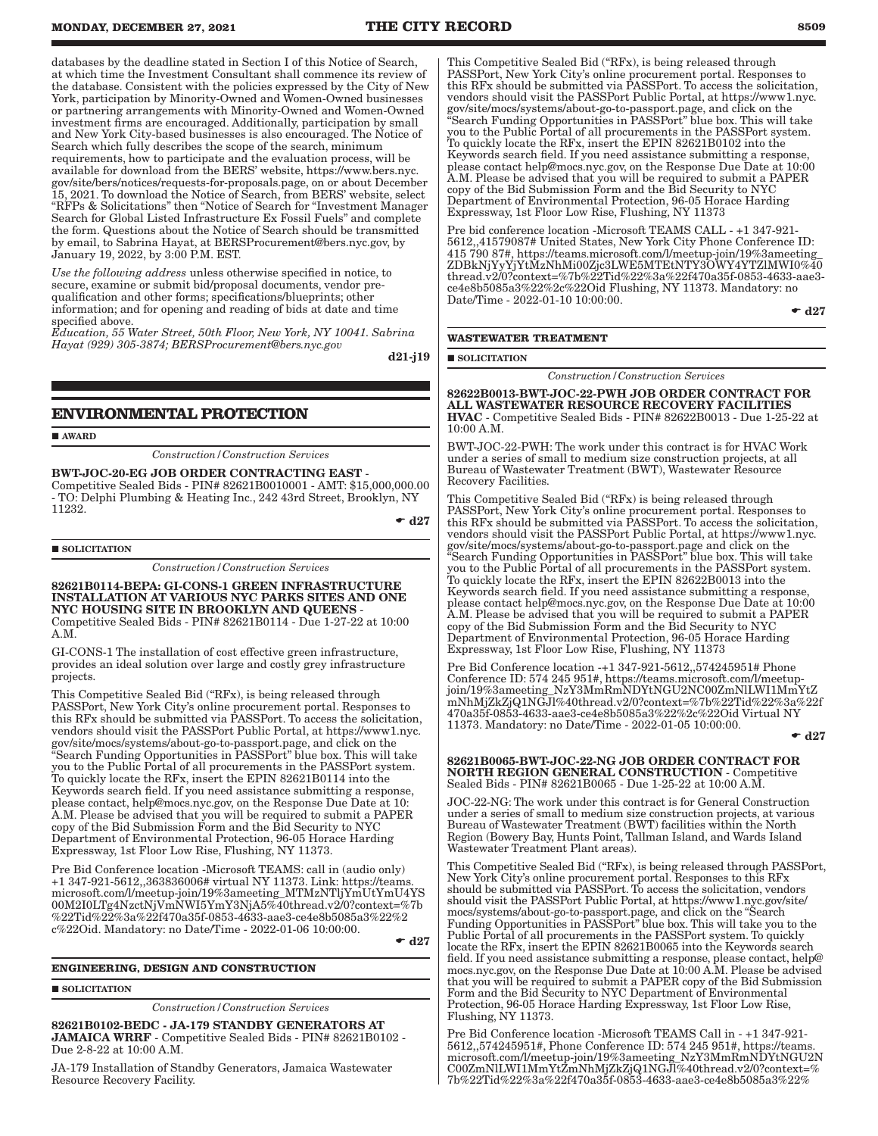databases by the deadline stated in Section I of this Notice of Search, at which time the Investment Consultant shall commence its review of the database. Consistent with the policies expressed by the City of New York, participation by Minority-Owned and Women-Owned businesses or partnering arrangements with Minority-Owned and Women-Owned investment firms are encouraged. Additionally, participation by small and New York City-based businesses is also encouraged. The Notice of Search which fully describes the scope of the search, minimum requirements, how to participate and the evaluation process, will be available for download from the BERS' website, https://www.bers.nyc. gov/site/bers/notices/requests-for-proposals.page, on or about December 15, 2021. To download the Notice of Search, from BERS' website, select "RFPs & Solicitations" then "Notice of Search for "Investment Manager Search for Global Listed Infrastructure Ex Fossil Fuels" and complete the form. Questions about the Notice of Search should be transmitted by email, to Sabrina Hayat, at BERSProcurement@bers.nyc.gov, by January 19, 2022, by 3:00 P.M. EST.

*Use the following address* unless otherwise specified in notice, to secure, examine or submit bid/proposal documents, vendor prequalification and other forms; specifications/blueprints; other information; and for opening and reading of bids at date and time specified above.

*Education, 55 Water Street, 50th Floor, New York, NY 10041. Sabrina Hayat (929) 305-3874; BERSProcurement@bers.nyc.gov*

d21-j19

# **ENVIRONMENTAL PROTECTION**

AWARD

*Construction/Construction Services*

BWT-JOC-20-EG JOB ORDER CONTRACTING EAST - Competitive Sealed Bids - PIN# 82621B0010001 - AMT: \$15,000,000.00 - TO: Delphi Plumbing & Heating Inc., 242 43rd Street, Brooklyn, NY 11232.

 $\bullet$  d<sub>27</sub>

### **SOLICITATION**

*Construction/Construction Services*

82621B0114-BEPA: GI-CONS-1 GREEN INFRASTRUCTURE INSTALLATION AT VARIOUS NYC PARKS SITES AND ONE NYC HOUSING SITE IN BROOKLYN AND QUEENS - Competitive Sealed Bids - PIN# 82621B0114 - Due 1-27-22 at 10:00 A.M.

GI-CONS-1 The installation of cost effective green infrastructure, provides an ideal solution over large and costly grey infrastructure projects.

This Competitive Sealed Bid ("RFx), is being released through PASSPort, New York City's online procurement portal. Responses to this RFx should be submitted via PASSPort. To access the solicitation, vendors should visit the PASSPort Public Portal, at https://www1.nyc. gov/site/mocs/systems/about-go-to-passport.page, and click on the "Search Funding Opportunities in PASSPort" blue box. This will take you to the Public Portal of all procurements in the PASSPort system. To quickly locate the RFx, insert the EPIN 82621B0114 into the Keywords search field. If you need assistance submitting a response, please contact, help@mocs.nyc.gov, on the Response Due Date at 10: A.M. Please be advised that you will be required to submit a PAPER copy of the Bid Submission Form and the Bid Security to NYC Department of Environmental Protection, 96-05 Horace Harding Expressway, 1st Floor Low Rise, Flushing, NY 11373.

Pre Bid Conference location -Microsoft TEAMS: call in (audio only) +1 347-921-5612,,363836006# virtual NY 11373. Link: https://teams. microsoft.com/l/meetup-join/19%3ameeting\_MTMzNTljYmUtYmU4YS 00M2I0LTg4NzctNjVmNWI5YmY3NjA5%40thread.v2/0?context=%7b %22Tid%22%3a%22f470a35f-0853-4633-aae3-ce4e8b5085a3%22%2 c%22Oid. Mandatory: no Date/Time - 2022-01-06 10:00:00.

 $\bullet$  d27

### **ENGINEERING, DESIGN AND CONSTRUCTION**

### **SOLICITATION**

*Construction/Construction Services*

82621B0102-BEDC - JA-179 STANDBY GENERATORS AT JAMAICA WRRF - Competitive Sealed Bids - PIN# 82621B0102 - Due 2-8-22 at 10:00 A.M.

JA-179 Installation of Standby Generators, Jamaica Wastewater Resource Recovery Facility.

This Competitive Sealed Bid ("RFx), is being released through PASSPort, New York City's online procurement portal. Responses to this RFx should be submitted via PASSPort. To access the solicitation, vendors should visit the PASSPort Public Portal, at https://www1.nyc. gov/site/mocs/systems/about-go-to-passport.page, and click on the "Search Funding Opportunities in PASSPort" blue box. This will take you to the Public Portal of all procurements in the PASSPort system. To quickly locate the RFx, insert the EPIN 82621B0102 into the Keywords search field. If you need assistance submitting a response, please contact help@mocs.nyc.gov, on the Response Due Date at 10:00 A.M. Please be advised that you will be required to submit a PAPER copy of the Bid Submission Form and the Bid Security to NYC Department of Environmental Protection, 96-05 Horace Harding Expressway, 1st Floor Low Rise, Flushing, NY 11373

Pre bid conference location -Microsoft TEAMS CALL - +1 347-921- 5612,,41579087# United States, New York City Phone Conference ID: 415 790 87#, https://teams.microsoft.com/l/meetup-join/19%3ameeting\_  $\mathrm{ZDBk}$ NjYyYjYtMzNhMi00Zjc3LWE5MTEtNTY3OWY4YTZlMWI0%40 thread.v2/0?context=%7b%22Tid%22%3a%22f470a35f-0853-4633-aae3 ce4e8b5085a3%22%2c%22Oid Flushing, NY 11373. Mandatory: no Date/Time - 2022-01-10 10:00:00.

 $\bullet$  d27

### **WASTEWATER TREATMENT**

**SOLICITATION** 

*Construction/Construction Services*

82622B0013-BWT-JOC-22-PWH JOB ORDER CONTRACT FOR ALL WASTEWATER RESOURCE RECOVERY FACILITIES HVAC - Competitive Sealed Bids - PIN# 82622B0013 - Due 1-25-22 at 10:00 A.M.

BWT-JOC-22-PWH: The work under this contract is for HVAC Work under a series of small to medium size construction projects, at all Bureau of Wastewater Treatment (BWT), Wastewater Resource Recovery Facilities.

This Competitive Sealed Bid ("RFx) is being released through PASSPort, New York City's online procurement portal. Responses to this RFx should be submitted via PASSPort. To access the solicitation, vendors should visit the PASSPort Public Portal, at https://www1.nyc. gov/site/mocs/systems/about-go-to-passport.page and click on the "Search Funding Opportunities in PASSPort" blue box. This will take you to the Public Portal of all procurements in the PASSPort system. To quickly locate the RFx, insert the EPIN 82622B0013 into the Keywords search field. If you need assistance submitting a response, please contact help@mocs.nyc.gov, on the Response Due Date at 10:00 A.M. Please be advised that you will be required to submit a PAPER copy of the Bid Submission Form and the Bid Security to NYC Department of Environmental Protection, 96-05 Horace Harding Expressway, 1st Floor Low Rise, Flushing, NY 11373

Pre Bid Conference location -+1 347-921-5612,,574245951# Phone Conference ID: 574 245 951#, https://teams.microsoft.com/l/meetupjoin/19%3ameeting\_NzY3MmRmNDYtNGU2NC00ZmNlLWI1MmYtZ mNhMjZkZjQ1NGJl%40thread.v2/0?context=%7b%22Tid%22%3a%22f 470a35f-0853-4633-aae3-ce4e8b5085a3%22%2c%22Oid Virtual NY 11373. Mandatory: no Date/Time - 2022-01-05 10:00:00.

 $- d27$ 

82621B0065-BWT-JOC-22-NG JOB ORDER CONTRACT FOR NORTH REGION GENERAL CONSTRUCTION - Competitive Sealed Bids - PIN# 82621B0065 - Due 1-25-22 at 10:00 A.M.

JOC-22-NG: The work under this contract is for General Construction under a series of small to medium size construction projects, at various Bureau of Wastewater Treatment (BWT) facilities within the North Region (Bowery Bay, Hunts Point, Tallman Island, and Wards Island Wastewater Treatment Plant areas).

This Competitive Sealed Bid ("RFx), is being released through PASSPort, New York City's online procurement portal. Responses to this RFx should be submitted via PASSPort. To access the solicitation, vendors should visit the PASSPort Public Portal, at https://www1.nyc.gov/site/ mocs/systems/about-go-to-passport.page, and click on the "Search Funding Opportunities in PASSPort" blue box. This will take you to the Public Portal of all procurements in the PASSPort system. To quickly locate the RFx, insert the EPIN 82621B0065 into the Keywords search field. If you need assistance submitting a response, please contact, help@ mocs.nyc.gov, on the Response Due Date at 10:00 A.M. Please be advised that you will be required to submit a PAPER copy of the Bid Submission Form and the Bid Security to NYC Department of Environmental Protection, 96-05 Horace Harding Expressway, 1st Floor Low Rise, Flushing, NY 11373.

Pre Bid Conference location -Microsoft TEAMS Call in - +1 347-921- 5612,,574245951#, Phone Conference ID: 574 245 951#, https://teams. microsoft.com/l/meetup-join/19%3ameeting\_NzY3MmRmNDYtNGU2N C00ZmNlLWI1MmYtZmNhMjZkZjQ1NGJl%40thread.v2/0?context=% 7b%22Tid%22%3a%22f470a35f-0853-4633-aae3-ce4e8b5085a3%22%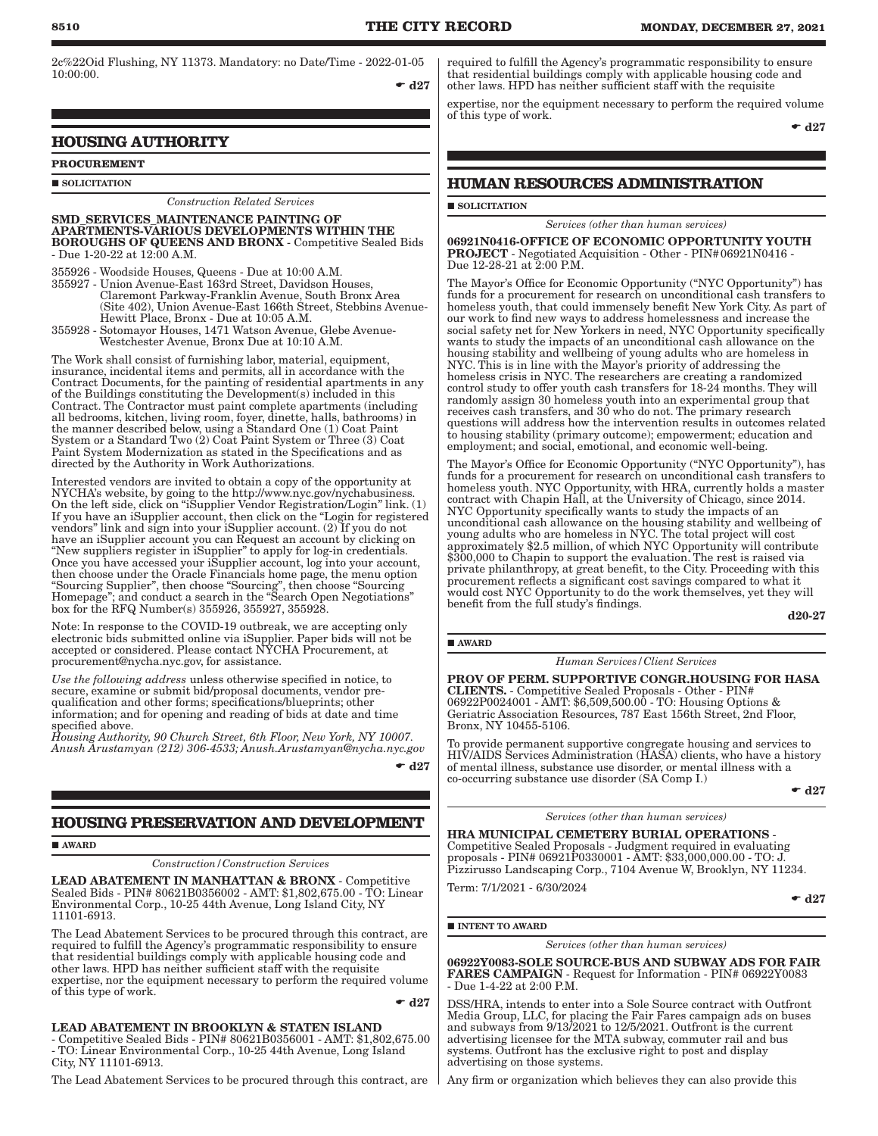2c%22Oid Flushing, NY 11373. Mandatory: no Date/Time - 2022-01-05 10:00:00.

 $-127$ 

# **HOUSING AUTHORITY**

# **PROCUREMENT**

**SOLICITATION** 

### *Construction Related Services*

SMD\_SERVICES\_MAINTENANCE PAINTING OF APARTMENTS-VARIOUS DEVELOPMENTS WITHIN THE BOROUGHS OF QUEENS AND BRONX - Competitive Sealed Bids - Due 1-20-22 at 12:00 A.M.

355926 - Woodside Houses, Queens - Due at 10:00 A.M. 355927 - Union Avenue-East 163rd Street, Davidson Houses, Claremont Parkway-Franklin Avenue, South Bronx Area (Site 402), Union Avenue-East 166th Street, Stebbins Avenue- Hewitt Place, Bronx - Due at 10:05 A.M.

355928 - Sotomayor Houses, 1471 Watson Avenue, Glebe Avenue- Westchester Avenue, Bronx Due at 10:10 A.M.

The Work shall consist of furnishing labor, material, equipment, insurance, incidental items and permits, all in accordance with the Contract Documents, for the painting of residential apartments in any of the Buildings constituting the Development(s) included in this Contract. The Contractor must paint complete apartments (including all bedrooms, kitchen, living room, foyer, dinette, halls, bathrooms) in the manner described below, using a Standard One (1) Coat Paint System or a Standard Two (2) Coat Paint System or Three (3) Coat Paint System Modernization as stated in the Specifications and as directed by the Authority in Work Authorizations.

Interested vendors are invited to obtain a copy of the opportunity at NYCHA's website, by going to the http://www.nyc.gov/nychabusiness. On the left side, click on "iSupplier Vendor Registration/Login" link. (1) If you have an iSupplier account, then click on the "Login for registered vendors" link and sign into your iSupplier account. (2) If you do not have an iSupplier account you can Request an account by clicking on "New suppliers register in iSupplier" to apply for log-in credentials. Once you have accessed your iSupplier account, log into your account, then choose under the Oracle Financials home page, the menu option "Sourcing Supplier", then choose "Sourcing", then choose "Sourcing Homepage"; and conduct a search in the "Search Open Negotiations" box for the RFQ Number(s) 355926, 355927, 355928.

Note: In response to the COVID-19 outbreak, we are accepting only electronic bids submitted online via iSupplier. Paper bids will not be accepted or considered. Please contact NYCHA Procurement, at procurement@nycha.nyc.gov, for assistance.

*Use the following address* unless otherwise specified in notice, to secure, examine or submit bid/proposal documents, vendor prequalification and other forms; specifications/blueprints; other information; and for opening and reading of bids at date and time specified above.

*Housing Authority, 90 Church Street, 6th Floor, New York, NY 10007. Anush Arustamyan (212) 306-4533; Anush.Arustamyan@nycha.nyc.gov*

 $\bullet$  d<sub>27</sub>

# **HOUSING PRESERVATION AND DEVELOPMENT**

### **AWARD**

*Construction/Construction Services*

LEAD ABATEMENT IN MANHATTAN & BRONX - Competitive Sealed Bids - PIN# 80621B0356002 - AMT: \$1,802,675.00 - TO: Linear Environmental Corp., 10-25 44th Avenue, Long Island City, NY 11101-6913.

The Lead Abatement Services to be procured through this contract, are required to fulfill the Agency's programmatic responsibility to ensure that residential buildings comply with applicable housing code and other laws. HPD has neither sufficient staff with the requisite expertise, nor the equipment necessary to perform the required volume of this type of work.

 $\bullet$  d27

### LEAD ABATEMENT IN BROOKLYN & STATEN ISLAND

- Competitive Sealed Bids - PIN# 80621B0356001 - AMT: \$1,802,675.00 - TO: Linear Environmental Corp., 10-25 44th Avenue, Long Island City, NY 11101-6913.

The Lead Abatement Services to be procured through this contract, are

required to fulfill the Agency's programmatic responsibility to ensure that residential buildings comply with applicable housing code and other laws. HPD has neither sufficient staff with the requisite

expertise, nor the equipment necessary to perform the required volume of this type of work.

 $\bullet$  d27

## **HUMAN RESOURCES ADMINISTRATION**

**SOLICITATION** 

### *Services (other than human services)*

06921N0416-OFFICE OF ECONOMIC OPPORTUNITY YOUTH PROJECT - Negotiated Acquisition - Other - PIN#06921N0416 - Due 12-28-21 at 2:00 P.M.

The Mayor's Office for Economic Opportunity ("NYC Opportunity") has funds for a procurement for research on unconditional cash transfers to homeless youth, that could immensely benefit New York City. As part of our work to find new ways to address homelessness and increase the social safety net for New Yorkers in need, NYC Opportunity specifically wants to study the impacts of an unconditional cash allowance on the housing stability and wellbeing of young adults who are homeless in NYC. This is in line with the Mayor's priority of addressing the homeless crisis in NYC. The researchers are creating a randomized control study to offer youth cash transfers for 18-24 months. They will randomly assign 30 homeless youth into an experimental group that receives cash transfers, and 30 who do not. The primary research questions will address how the intervention results in outcomes related to housing stability (primary outcome); empowerment; education and employment; and social, emotional, and economic well-being.

The Mayor's Office for Economic Opportunity ("NYC Opportunity"), has funds for a procurement for research on unconditional cash transfers to homeless youth. NYC Opportunity, with HRA, currently holds a master contract with Chapin Hall, at the University of Chicago, since 2014. NYC Opportunity specifically wants to study the impacts of an unconditional cash allowance on the housing stability and wellbeing of young adults who are homeless in NYC. The total project will cost approximately \$2.5 million, of which NYC Opportunity will contribute \$300,000 to Chapin to support the evaluation. The rest is raised via private philanthropy, at great benefit, to the City. Proceeding with this procurement reflects a significant cost savings compared to what it would cost NYC Opportunity to do the work themselves, yet they will benefit from the full study's findings.

d20-27

# AWARD

*Human Services/Client Services*

PROV OF PERM. SUPPORTIVE CONGR.HOUSING FOR HASA CLIENTS. - Competitive Sealed Proposals - Other - PIN# 06922P0024001 - AMT: \$6,509,500.00 - TO: Housing Options & Geriatric Association Resources, 787 East 156th Street, 2nd Floor, Bronx, NY 10455-5106.

To provide permanent supportive congregate housing and services to HIV/AIDS Services Administration (HASA) clients, who have a history of mental illness, substance use disorder, or mental illness with a co-occurring substance use disorder (SA Comp I.)

 $\bullet$  d27

*Services (other than human services)*

HRA MUNICIPAL CEMETERY BURIAL OPERATIONS - Competitive Sealed Proposals - Judgment required in evaluating proposals - PIN# 06921P0330001 - AMT: \$33,000,000.00 - TO: J. Pizzirusso Landscaping Corp., 7104 Avenue W, Brooklyn, NY 11234.

Term: 7/1/2021 - 6/30/2024

 $\bullet$  d27

INTENT TO AWARD

*Services (other than human services)*

06922Y0083-SOLE SOURCE-BUS AND SUBWAY ADS FOR FAIR FARES CAMPAIGN - Request for Information - PIN# 06922Y0083 - Due 1-4-22 at 2:00 P.M.

DSS/HRA, intends to enter into a Sole Source contract with Outfront Media Group, LLC, for placing the Fair Fares campaign ads on buses and subways from 9/13/2021 to 12/5/2021. Outfront is the current advertising licensee for the MTA subway, commuter rail and bus systems. Outfront has the exclusive right to post and display advertising on those systems.

Any firm or organization which believes they can also provide this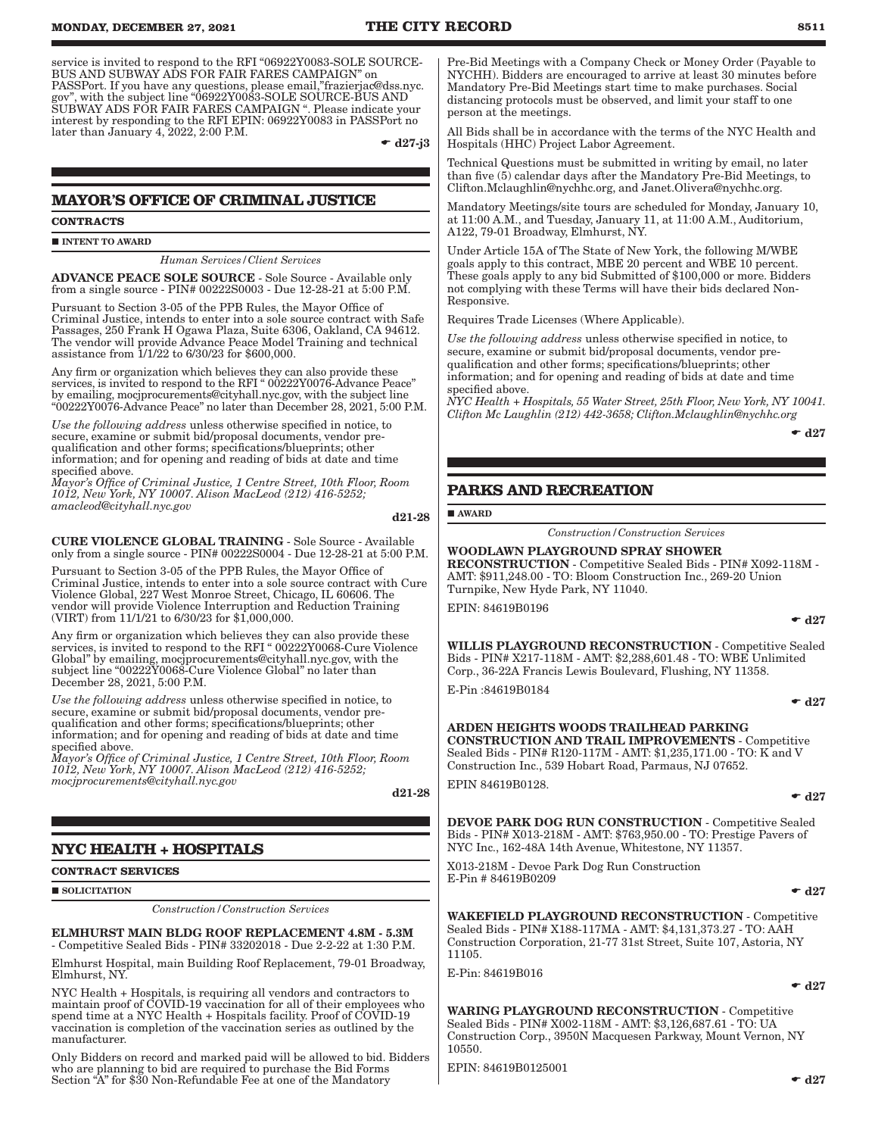service is invited to respond to the RFI "06922Y0083-SOLE SOURCE-BUS AND SUBWAY ADS FOR FAIR FARES CAMPAIGN" on PASSPort. If you have any questions, please email,"frazierjac@dss.nyc. gov", with the subject line "06922Y0083-SOLE SOURCE-BUS AND SUBWAY ADS FOR FAIR FARES CAMPAIGN ". Please indicate your interest by responding to the RFI EPIN: 06922Y0083 in PASSPort no later than January 4, 2022, 2:00 P.M.

 $\bullet$  d27-j3

# **MAYOR'S OFFICE OF CRIMINAL JUSTICE**

**CONTRACTS**

**INTENT TO AWARD** 

*Human Services/Client Services*

ADVANCE PEACE SOLE SOURCE - Sole Source - Available only from a single source - PIN# 00222S0003 - Due 12-28-21 at 5:00 P.M.

Pursuant to Section 3-05 of the PPB Rules, the Mayor Office of Criminal Justice, intends to enter into a sole source contract with Safe Passages, 250 Frank H Ogawa Plaza, Suite 6306, Oakland, CA 94612. The vendor will provide Advance Peace Model Training and technical assistance from 1/1/22 to 6/30/23 for \$600,000.

Any firm or organization which believes they can also provide these services, is invited to respond to the RFI "00222Y0076-Advance Peace" by emailing, mocjprocurements@cityhall.nyc.gov, with the subject line "00222Y0076-Advance Peace" no later than December 28, 2021, 5:00 P.M.

*Use the following address* unless otherwise specified in notice, to secure, examine or submit bid/proposal documents, vendor prequalification and other forms; specifications/blueprints; other information; and for opening and reading of bids at date and time specified above.

*Mayor's Office of Criminal Justice, 1 Centre Street, 10th Floor, Room 1012, New York, NY 10007. Alison MacLeod (212) 416-5252; amacleod@cityhall.nyc.gov*

d21-28

CURE VIOLENCE GLOBAL TRAINING - Sole Source - Available only from a single source - PIN# 00222S0004 - Due 12-28-21 at 5:00 P.M.

Pursuant to Section 3-05 of the PPB Rules, the Mayor Office of Criminal Justice, intends to enter into a sole source contract with Cure Violence Global, 227 West Monroe Street, Chicago, IL 60606. The vendor will provide Violence Interruption and Reduction Training (VIRT) from 11/1/21 to 6/30/23 for \$1,000,000.

Any firm or organization which believes they can also provide these services, is invited to respond to the RFI " 00222Y0068-Cure Violence Global" by emailing, mocjprocurements@cityhall.nyc.gov, with the subject line "00222Y0068-Cure Violence Global" no later than December 28, 2021, 5:00 P.M.

*Use the following address* unless otherwise specified in notice, to secure, examine or submit bid/proposal documents, vendor prequalification and other forms; specifications/blueprints; other information; and for opening and reading of bids at date and time specified above.

*Mayor's Office of Criminal Justice, 1 Centre Street, 10th Floor, Room 1012, New York, NY 10007. Alison MacLeod (212) 416-5252; mocjprocurements@cityhall.nyc.gov*

d21-28

# **NYC HEALTH + HOSPITALS**

**CONTRACT SERVICES**

**SOLICITATION** 

*Construction/Construction Services*

ELMHURST MAIN BLDG ROOF REPLACEMENT 4.8M - 5.3M - Competitive Sealed Bids - PIN# 33202018 - Due 2-2-22 at 1:30 P.M.

Elmhurst Hospital, main Building Roof Replacement, 79-01 Broadway, Elmhurst, NY.

NYC Health + Hospitals, is requiring all vendors and contractors to maintain proof of COVID-19 vaccination for all of their employees who spend time at a NYC Health + Hospitals facility. Proof of COVID-19 vaccination is completion of the vaccination series as outlined by the manufacturer.

Only Bidders on record and marked paid will be allowed to bid. Bidders who are planning to bid are required to purchase the Bid Forms Section "A" for \$30 Non-Refundable Fee at one of the Mandatory

Pre-Bid Meetings with a Company Check or Money Order (Payable to NYCHH). Bidders are encouraged to arrive at least 30 minutes before Mandatory Pre-Bid Meetings start time to make purchases. Social distancing protocols must be observed, and limit your staff to one person at the meetings.

All Bids shall be in accordance with the terms of the NYC Health and Hospitals (HHC) Project Labor Agreement.

Technical Questions must be submitted in writing by email, no later than five (5) calendar days after the Mandatory Pre-Bid Meetings, to Clifton.Mclaughlin@nychhc.org, and Janet.Olivera@nychhc.org.

Mandatory Meetings/site tours are scheduled for Monday, January 10, at 11:00 A.M., and Tuesday, January 11, at 11:00 A.M., Auditorium, A122, 79-01 Broadway, Elmhurst, NY.

Under Article 15A of The State of New York, the following M/WBE goals apply to this contract, MBE 20 percent and WBE 10 percent. These goals apply to any bid Submitted of \$100,000 or more. Bidders not complying with these Terms will have their bids declared Non-Responsive.

Requires Trade Licenses (Where Applicable).

*Use the following address* unless otherwise specified in notice, to secure, examine or submit bid/proposal documents, vendor prequalification and other forms; specifications/blueprints; other information; and for opening and reading of bids at date and time specified above.

*NYC Health + Hospitals, 55 Water Street, 25th Floor, New York, NY 10041. Clifton Mc Laughlin (212) 442-3658; Clifton.Mclaughlin@nychhc.org*

 $\bullet$  d27

# **PARKS AND RECREATION**

AWARD

*Construction/Construction Services*

WOODLAWN PLAYGROUND SPRAY SHOWER RECONSTRUCTION - Competitive Sealed Bids - PIN# X092-118M - AMT: \$911,248.00 - TO: Bloom Construction Inc., 269-20 Union Turnpike, New Hyde Park, NY 11040.

EPIN: 84619B0196

WILLIS PLAYGROUND RECONSTRUCTION - Competitive Sealed Bids - PIN# X217-118M - AMT: \$2,288,601.48 - TO: WBE Unlimited Corp., 36-22A Francis Lewis Boulevard, Flushing, NY 11358. E-Pin :84619B0184

 $\bullet$  d27

 $\bullet$  d27

ARDEN HEIGHTS WOODS TRAILHEAD PARKING CONSTRUCTION AND TRAIL IMPROVEMENTS - Competitive Sealed Bids - PIN# R120-117M - AMT: \$1,235,171.00 - TO: K and V Construction Inc., 539 Hobart Road, Parmaus, NJ 07652.

EPIN 84619B0128.

 $\bullet$  d27

DEVOE PARK DOG RUN CONSTRUCTION - Competitive Sealed Bids - PIN# X013-218M - AMT: \$763,950.00 - TO: Prestige Pavers of NYC Inc., 162-48A 14th Avenue, Whitestone, NY 11357.

X013-218M - Devoe Park Dog Run Construction E-Pin # 84619B0209

 $\bullet$  d27

WAKEFIELD PLAYGROUND RECONSTRUCTION - Competitive Sealed Bids - PIN# X188-117MA - AMT: \$4,131,373.27 - TO: AAH Construction Corporation, 21-77 31st Street, Suite 107, Astoria, NY 11105.

E-Pin: 84619B016

 $\bullet$  d27

WARING PLAYGROUND RECONSTRUCTION - Competitive Sealed Bids - PIN# X002-118M - AMT: \$3,126,687.61 - TO: UA Construction Corp., 3950N Macquesen Parkway, Mount Vernon, NY 10550.

EPIN: 84619B0125001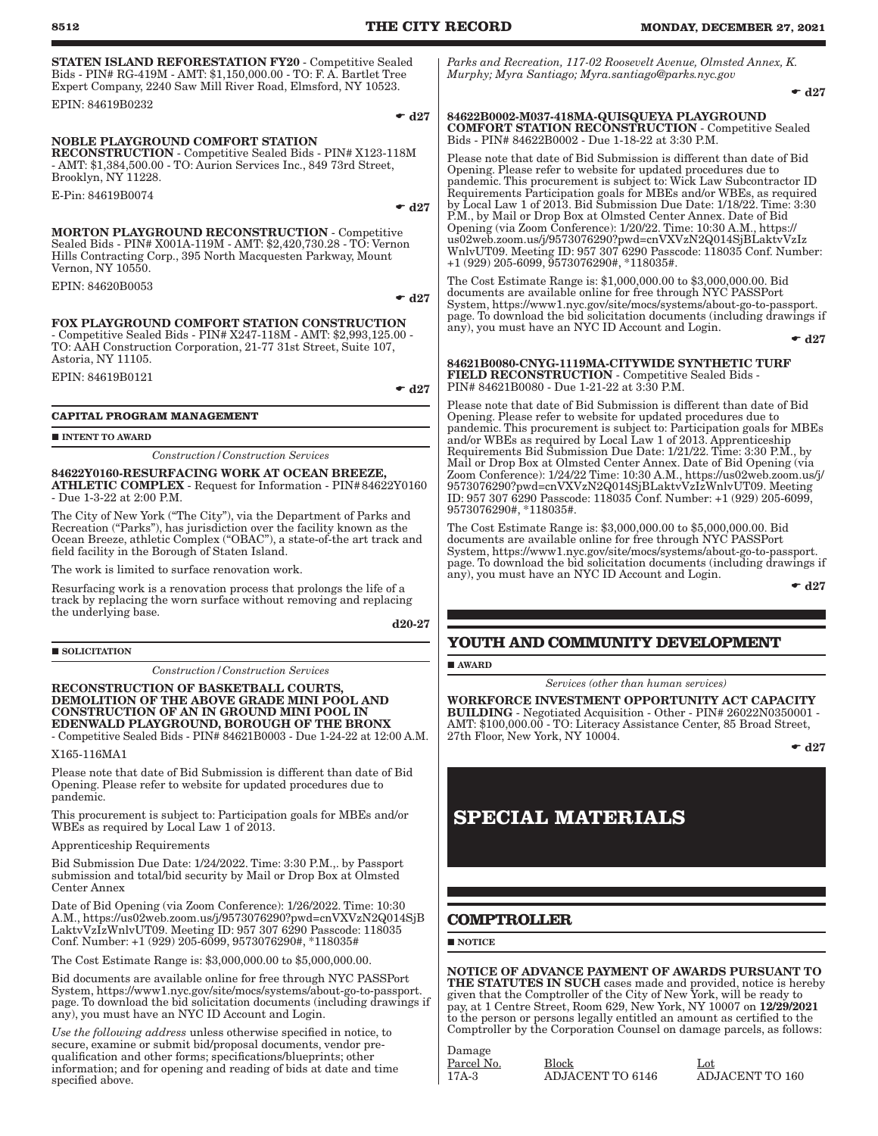| 8512                                                                                                                                                                                                                                                                                                              | THE CITY RECORD<br><b>MONDAY, DECEMBER 27, 2021</b>                                                                                                                                                                                                                                                                                                                                                                                                                                                                                                                                                                                                                   |
|-------------------------------------------------------------------------------------------------------------------------------------------------------------------------------------------------------------------------------------------------------------------------------------------------------------------|-----------------------------------------------------------------------------------------------------------------------------------------------------------------------------------------------------------------------------------------------------------------------------------------------------------------------------------------------------------------------------------------------------------------------------------------------------------------------------------------------------------------------------------------------------------------------------------------------------------------------------------------------------------------------|
| <b>STATEN ISLAND REFORESTATION FY20 - Competitive Sealed</b><br>Bids - PIN# RG-419M - AMT: \$1,150,000.00 - TO: F. A. Bartlet Tree<br>Expert Company, 2240 Saw Mill River Road, Elmsford, NY 10523.                                                                                                               | Parks and Recreation, 117-02 Roosevelt Avenue, Olmsted Annex, K.<br>Murphy; Myra Santiago; Myra.santiago@parks.nyc.gov<br>$\bullet$ d27                                                                                                                                                                                                                                                                                                                                                                                                                                                                                                                               |
| EPIN: 84619B0232                                                                                                                                                                                                                                                                                                  |                                                                                                                                                                                                                                                                                                                                                                                                                                                                                                                                                                                                                                                                       |
| $\bullet$ d27<br><b>NOBLE PLAYGROUND COMFORT STATION</b><br>RECONSTRUCTION - Competitive Sealed Bids - PIN# X123-118M<br>- AMT: \$1,384,500.00 - TO: Aurion Services Inc., 849 73rd Street,<br>Brooklyn, NY 11228.<br>E-Pin: 84619B0074<br>$\bullet$ d27<br><b>MORTON PLAYGROUND RECONSTRUCTION - Competitive</b> | 84622B0002-M037-418MA-QUISQUEYA PLAYGROUND<br><b>COMFORT STATION RECONSTRUCTION - Competitive Sealed</b><br>Bids - PIN# 84622B0002 - Due 1-18-22 at 3:30 P.M.<br>Please note that date of Bid Submission is different than date of Bid<br>Opening. Please refer to website for updated procedures due to<br>pandemic. This procurement is subject to: Wick Law Subcontractor ID<br>Requirements Participation goals for MBEs and/or WBEs, as required<br>by Local Law 1 of 2013. Bid Submission Due Date: 1/18/22. Time: 3:30<br>P.M., by Mail or Drop Box at Olmsted Center Annex. Date of Bid<br>Opening (via Zoom Conference): 1/20/22. Time: 10:30 A.M., https:// |
| Sealed Bids - PIN# X001A-119M - AMT: \$2,420,730.28 - TO: Vernon<br>Hills Contracting Corp., 395 North Macquesten Parkway, Mount<br>Vernon, NY 10550.                                                                                                                                                             | us02web.zoom.us/j/9573076290?pwd=cnVXVzN2Q014SjBLaktvVzIz<br>WnlvUT09. Meeting ID: 957 307 6290 Passcode: 118035 Conf. Number:<br>$+1(929)$ 205-6099, 9573076290#, *118035#.                                                                                                                                                                                                                                                                                                                                                                                                                                                                                          |
| EPIN: 84620B0053<br>$\bullet$ d27                                                                                                                                                                                                                                                                                 | The Cost Estimate Range is: \$1,000,000.00 to \$3,000,000.00. Bid<br>documents are available online for free through NYC PASSPort<br>System, https://www1.nyc.gov/site/mocs/systems/about-go-to-passport.<br>page. To download the bid solicitation documents (including drawings if                                                                                                                                                                                                                                                                                                                                                                                  |
| <b>FOX PLAYGROUND COMFORT STATION CONSTRUCTION</b><br>- Competitive Sealed Bids - PIN# X247-118M - AMT: \$2,993,125.00 -<br>TO: AAH Construction Corporation, 21-77 31st Street, Suite 107,                                                                                                                       | any), you must have an NYC ID Account and Login.<br>$\bullet$ d27                                                                                                                                                                                                                                                                                                                                                                                                                                                                                                                                                                                                     |
| Astoria, NY 11105.                                                                                                                                                                                                                                                                                                | 84621B0080-CNYG-1119MA-CITYWIDE SYNTHETIC TURF<br><b>FIELD RECONSTRUCTION - Competitive Sealed Bids -</b>                                                                                                                                                                                                                                                                                                                                                                                                                                                                                                                                                             |
| EPIN: 84619B0121<br>$\bullet$ d27                                                                                                                                                                                                                                                                                 | PIN# 84621B0080 - Due 1-21-22 at 3:30 P.M.                                                                                                                                                                                                                                                                                                                                                                                                                                                                                                                                                                                                                            |
|                                                                                                                                                                                                                                                                                                                   | Please note that date of Bid Submission is different than date of Bid                                                                                                                                                                                                                                                                                                                                                                                                                                                                                                                                                                                                 |
| <b>CAPITAL PROGRAM MANAGEMENT</b>                                                                                                                                                                                                                                                                                 | Opening. Please refer to website for updated procedures due to<br>pandemic. This procurement is subject to: Participation goals for MBEs                                                                                                                                                                                                                                                                                                                                                                                                                                                                                                                              |
| <b>INTENT TO AWARD</b>                                                                                                                                                                                                                                                                                            | and/or WBEs as required by Local Law 1 of 2013. Apprenticeship                                                                                                                                                                                                                                                                                                                                                                                                                                                                                                                                                                                                        |
| <b>Construction / Construction Services</b>                                                                                                                                                                                                                                                                       | Requirements Bid Submission Due Date: 1/21/22. Time: 3:30 P.M., by<br>Mail or Drop Box at Olmsted Center Annex. Date of Bid Opening (via                                                                                                                                                                                                                                                                                                                                                                                                                                                                                                                              |
| 84622Y0160-RESURFACING WORK AT OCEAN BREEZE,<br><b>ATHLETIC COMPLEX</b> - Request for Information - PIN#84622Y0160<br>- Due 1-3-22 at 2:00 P.M.                                                                                                                                                                   | Zoom Conference): 1/24/22 Time: 10:30 A.M., https://us02web.zoom.us/j/<br>9573076290?pwd=cnVXVzN2Q014SjBLaktvVzIzWnlvUT09. Meeting<br>ID: 957 307 6290 Passcode: 118035 Conf. Number: +1 (929) 205-6099,                                                                                                                                                                                                                                                                                                                                                                                                                                                              |
| The City of New York ("The City"), via the Department of Parks and<br>Recreation ("Parks"), has jurisdiction over the facility known as the<br>Ocean Breeze, athletic Complex ("OBAC"), a state-of-the art track and<br>field facility in the Borough of Staten Island.                                           | 9573076290#, *118035#.<br>The Cost Estimate Range is: \$3,000,000.00 to \$5,000,000.00. Bid<br>documents are available online for free through NYC PASSPort<br>System, https://www1.nyc.gov/site/mocs/systems/about-go-to-passport.                                                                                                                                                                                                                                                                                                                                                                                                                                   |
| The work is limited to surface renovation work.                                                                                                                                                                                                                                                                   | page. To download the bid solicitation documents (including drawings if<br>any), you must have an NYC ID Account and Login.                                                                                                                                                                                                                                                                                                                                                                                                                                                                                                                                           |
| Resurfacing work is a renovation process that prolongs the life of a<br>track by replacing the worn surface without removing and replacing<br>the underlying base.                                                                                                                                                | $\bullet$ d27                                                                                                                                                                                                                                                                                                                                                                                                                                                                                                                                                                                                                                                         |
| $d20-27$                                                                                                                                                                                                                                                                                                          |                                                                                                                                                                                                                                                                                                                                                                                                                                                                                                                                                                                                                                                                       |
| <b>SOLICITATION</b>                                                                                                                                                                                                                                                                                               | YOUTH AND COMMUNITY DEVELOPMENT                                                                                                                                                                                                                                                                                                                                                                                                                                                                                                                                                                                                                                       |
| <b>Construction/Construction Services</b>                                                                                                                                                                                                                                                                         | $\blacksquare$ AWARD                                                                                                                                                                                                                                                                                                                                                                                                                                                                                                                                                                                                                                                  |
| RECONSTRUCTION OF BASKETBALL COURTS.<br>DEMOLITION OF THE ABOVE GRADE MINI POOL AND<br><b>CONSTRUCTION OF AN IN GROUND MINI POOL IN</b><br>EDENWALD PLAYGROUND, BOROUGH OF THE BRONX<br>- Competitive Sealed Bids - PIN# 84621B0003 - Due 1-24-22 at 12:00 A.M.                                                   | Services (other than human services)<br>WORKFORCE INVESTMENT OPPORTUNITY ACT CAPACITY<br>BUILDING - Negotiated Acquisition - Other - PIN# 26022N0350001 -<br>AMT: \$100,000.00 - TO: Literacy Assistance Center, 85 Broad Street,<br>27th Floor, New York, NY 10004.                                                                                                                                                                                                                                                                                                                                                                                                  |
| X165-116MA1                                                                                                                                                                                                                                                                                                       | $\bullet$ d27                                                                                                                                                                                                                                                                                                                                                                                                                                                                                                                                                                                                                                                         |
| Please note that date of Bid Submission is different than date of Bid                                                                                                                                                                                                                                             |                                                                                                                                                                                                                                                                                                                                                                                                                                                                                                                                                                                                                                                                       |

Opening. Please refer to website for updated procedures due to pandemic.

This procurement is subject to: Participation goals for MBEs and/or WBEs as required by Local Law 1 of 2013.

Apprenticeship Requirements

Bid Submission Due Date: 1/24/2022. Time: 3:30 P.M.,. by Passport submission and total/bid security by Mail or Drop Box at Olmsted Center Annex

Date of Bid Opening (via Zoom Conference): 1/26/2022. Time: 10:30 A.M., https://us02web.zoom.us/j/9573076290?pwd=cnVXVzN2Q014SjB LaktvVzIzWnlvUT09. Meeting ID: 957 307 6290 Passcode: 118035 Conf. Number: +1 (929) 205-6099, 9573076290#, \*118035#

The Cost Estimate Range is: \$3,000,000.00 to \$5,000,000.00.

Bid documents are available online for free through NYC PASSPort System, https://www1.nyc.gov/site/mocs/systems/about-go-to-passport. page. To download the bid solicitation documents (including drawings if any), you must have an NYC ID Account and Login.

*Use the following address* unless otherwise specified in notice, to secure, examine or submit bid/proposal documents, vendor prequalification and other forms; specifications/blueprints; other information; and for opening and reading of bids at date and time specified above.

Damage

Parcel No. Block<br>17A-3 ADJACENT TO 6146 ADJACENT TO 160 ADJACENT TO 6146

# **SPECIAL MATERIALS**

# **COMPTROLLER**

 $\blacksquare$  NOTICE

NOTICE OF ADVANCE PAYMENT OF AWARDS PURSUANT TO THE STATUTES IN SUCH cases made and provided, notice is hereby given that the Comptroller of the City of New York, will be ready to pay, at 1 Centre Street, Room 629, New York, NY 10007 on 12/29/2021 to the person or persons legally entitled an amount as certified to the Comptroller by the Corporation Counsel on damage parcels, as follows: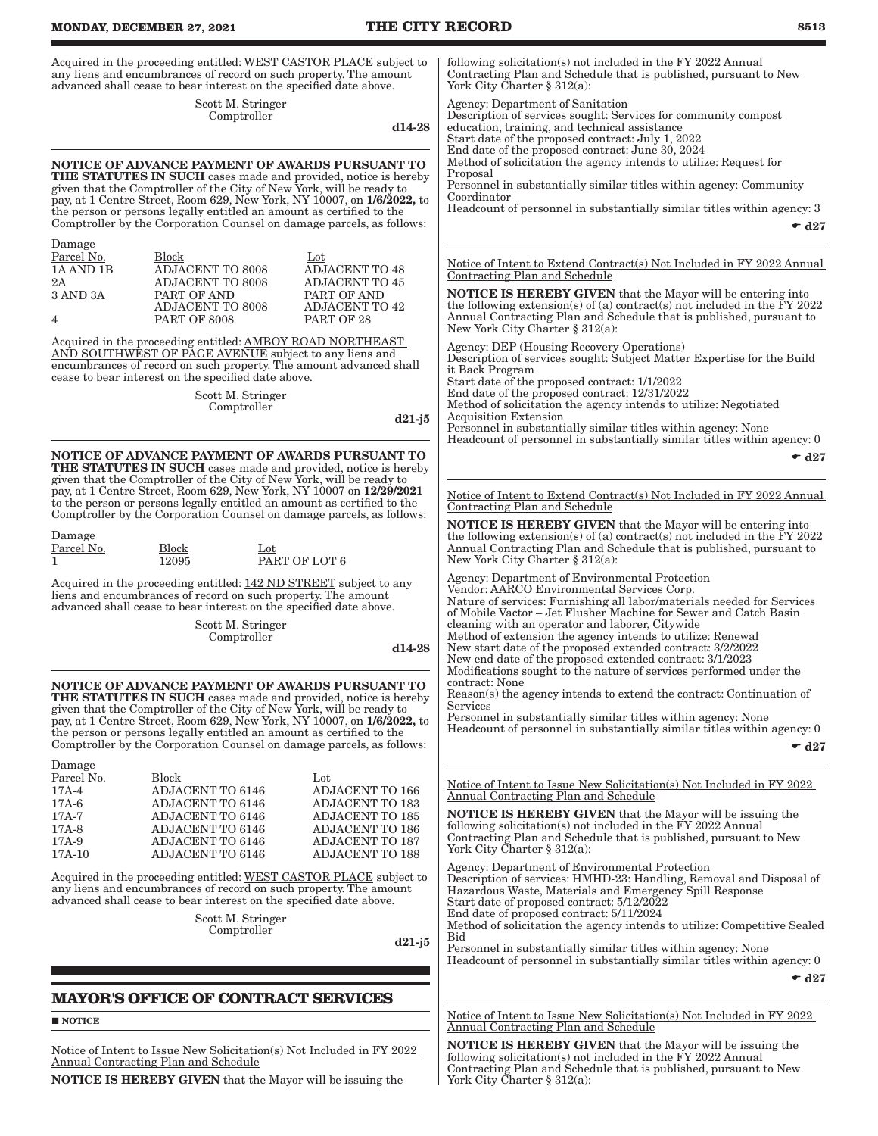### **MONDAY, DECEMBER 27, 2021 THE CITY RECORD 8513** Acquired in the proceeding entitled: WEST CASTOR PLACE subject to any liens and encumbrances of record on such property. The amount advanced shall cease to bear interest on the specified date above. Scott M. Stringer Comptroller d14-28 NOTICE OF ADVANCE PAYMENT OF AWARDS PURSUANT TO THE STATUTES IN SUCH cases made and provided, notice is hereby given that the Comptroller of the City of New York, will be ready to pay, at 1 Centre Street, Room 629, New York, NY 10007, on 1/6/2022, to the person or persons legally entitled an amount as certified to the Comptroller by the Corporation Counsel on damage parcels, as follows: Damage Parcel No. Block Lot Lot Lot ADJACENT TO 48 1A AND 1B ADJACENT TO 8008 2A ADJACENT TO 8008 ADJACENT TO 45<br>3 AND 3A PART OF AND PART OF AND PART OF AND ADJACENT TO 8008 PART OF AND ADJACENT TO 42 4 PART OF 8008 PART OF 28 Acquired in the proceeding entitled: AMBOY ROAD NORTHEAST AND SOUTHWEST OF PAGE AVENUE subject to any liens and encumbrances of record on such property. The amount advanced shall cease to bear interest on the specified date above. Scott M. Stringer Comptroller d21-j5 NOTICE OF ADVANCE PAYMENT OF AWARDS PURSUANT TO THE STATUTES IN SUCH cases made and provided, notice is hereby given that the Comptroller of the City of New York, will be ready to pay, at 1 Centre Street, Room 629, New York, NY 10007 on 12/29/2021 to the person or persons legally entitled an amount as certified to the Comptroller by the Corporation Counsel on damage parcels, as follows: Damage Parcel No. Block<br>12095 Lot<br>PART OF LOT 6 Acquired in the proceeding entitled: 142 ND STREET subject to any liens and encumbrances of record on such property. The amount advanced shall cease to bear interest on the specified date above. Scott M. Stringer Comptroller d14-28 NOTICE OF ADVANCE PAYMENT OF AWARDS PURSUANT TO THE STATUTES IN SUCH cases made and provided, notice is hereby given that the Comptroller of the City of New York, will be ready to pay, at 1 Centre Street, Room 629, New York, NY 10007, on 1/6/2022, to the person or persons legally entitled an amount as certified to the Comptroller by the Corporation Counsel on damage parcels, as follows: Damage Parcel No. Block Lot 17A-4 ADJACENT TO 6146 ADJACENT TO 166<br>17A-6 ADJACENT TO 6146 ADJACENT TO 183 ADJACENT TO 6146 17A-7 ADJACENT TO 6146 ADJACENT TO 185 17A-8 ADJACENT TO 6146 ADJACENT TO 186<br>17A-9 ADJACENT TO 6146 ADJACENT TO 187 ADJACENT TO 6146 17A-10 ADJACENT TO 6146 ADJACENT TO 188 Acquired in the proceeding entitled: WEST CASTOR PLACE subject to any liens and encumbrances of record on such property. The amount advanced shall cease to bear interest on the specified date above. Scott M. Stringer Comptroller d21-j5 **MAYOR'S OFFICE OF CONTRACT SERVICES NOTICE** Notice of Intent to Issue New Solicitation(s) Not Included in FY 2022 Annual Contracting Plan and Schedule NOTICE IS HEREBY GIVEN that the Mayor will be issuing the following solicitation(s) not included in the FY 2022 Annual Contracting Plan and Schedule that is published, pursuant to New York City Charter § 312(a): Agency: Department of Sanitation Description of services sought: Services for community compost education, training, and technical assistance Start date of the proposed contract: July 1, 2022 End date of the proposed contract: June 30, 2024 Method of solicitation the agency intends to utilize: Request for Proposal Personnel in substantially similar titles within agency: Community Coordinator Headcount of personnel in substantially similar titles within agency: 3  $\bullet$  d27 Notice of Intent to Extend Contract(s) Not Included in FY 2022 Annual Contracting Plan and Schedule NOTICE IS HEREBY GIVEN that the Mayor will be entering into the following extension(s) of (a) contract(s) not included in the  $\overline{F}Y$  2022 Annual Contracting Plan and Schedule that is published, pursuant to New York City Charter § 312(a): Agency: DEP (Housing Recovery Operations) Description of services sought: Subject Matter Expertise for the Build it Back Program Start date of the proposed contract: 1/1/2022 End date of the proposed contract: 12/31/2022 Method of solicitation the agency intends to utilize: Negotiated Acquisition Extension Personnel in substantially similar titles within agency: None Headcount of personnel in substantially similar titles within agency: 0  $\bullet$  d27 Notice of Intent to Extend Contract(s) Not Included in FY 2022 Annual Contracting Plan and Schedule NOTICE IS HEREBY GIVEN that the Mayor will be entering into the following extension(s) of (a) contract(s) not included in the  $\overline{F}Y$  2022 Annual Contracting Plan and Schedule that is published, pursuant to New York City Charter § 312(a): Agency: Department of Environmental Protection Vendor: AARCO Environmental Services Corp. Nature of services: Furnishing all labor/materials needed for Services of Mobile Vactor – Jet Flusher Machine for Sewer and Catch Basin cleaning with an operator and laborer, Citywide Method of extension the agency intends to utilize: Renewal New start date of the proposed extended contract: 3/2/2022 New end date of the proposed extended contract: 3/1/2023 Modifications sought to the nature of services performed under the contract: None Reason(s) the agency intends to extend the contract: Continuation of Services Personnel in substantially similar titles within agency: None Headcount of personnel in substantially similar titles within agency: 0  $\bullet$  d27 Notice of Intent to Issue New Solicitation(s) Not Included in FY 2022 Annual Contracting Plan and Schedule NOTICE IS HEREBY GIVEN that the Mayor will be issuing the following solicitation(s) not included in the FY 2022 Annual Contracting Plan and Schedule that is published, pursuant to New York City Charter § 312(a): Agency: Department of Environmental Protection Description of services: HMHD-23: Handling, Removal and Disposal of Hazardous Waste, Materials and Emergency Spill Response Start date of proposed contract: 5/12/2022 End date of proposed contract: 5/11/2024 Method of solicitation the agency intends to utilize: Competitive Sealed Bid Personnel in substantially similar titles within agency: None Headcount of personnel in substantially similar titles within agency: 0  $\bullet$  d27 Notice of Intent to Issue New Solicitation(s) Not Included in FY 2022 Annual Contracting Plan and Schedule NOTICE IS HEREBY GIVEN that the Mayor will be issuing the following solicitation(s) not included in the FY 2022 Annual Contracting Plan and Schedule that is published, pursuant to New York City Charter § 312(a):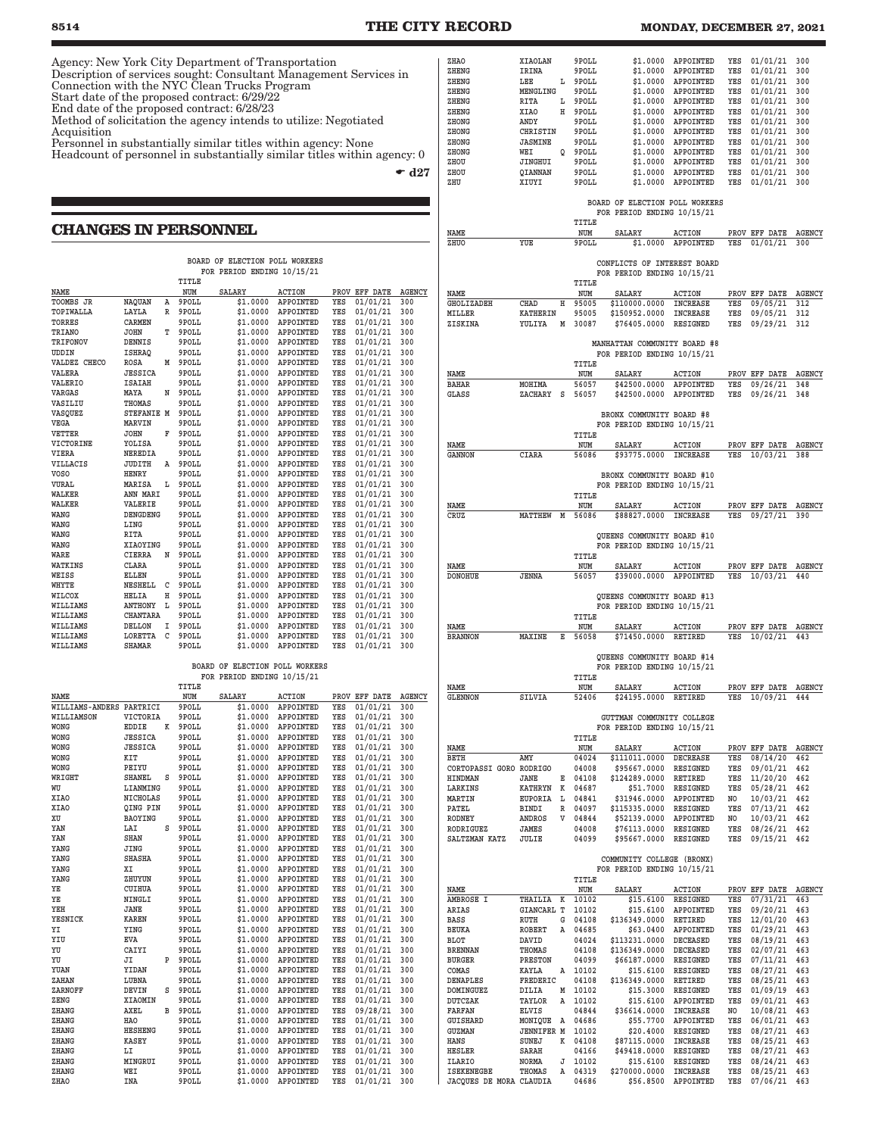**8514 THE CITY RECORD MONDAY, DECEMBER 27, 2021** Agency: New York City Department of Transportation Description of services sought: Consultant Management Services in Connection with the NYC Clean Trucks Program Start date of the proposed contract: 6/29/22 End date of the proposed contract: 6/28/23 Method of solicitation the agency intends to utilize: Negotiated Acquisition Personnel in substantially similar titles within agency: None Headcount of personnel in substantially similar titles within agency: 0  $\bullet$  d27 **CHANGES IN PERSONNEL BOARD OF ELECTION POLL WORKERS FOR PERIOD ENDING 10/15/21 TITLE** NAME NUM SALARY ACTION PROV EFF DATE AGENCY<br> **TOOMBS JR** NAOUAN A 9POLL \$1.0000 APPOINTED YES 01/01/21 300 **S1.0000 APPOINTED TOPIWALLA LAYLA R 9POLL \$1.0000 APPOINTED YES 01/01/21 300 TORRES CARMEN 9POLL \$1.0000 APPOINTED YES 01/01/21 300** T 9POLL \$1.0000 APPOINTED YES **TRIFONOV DENNIS 9POLL \$1.0000 APPOINTED YES 01/01/21 300 UDDIN 1998 1.0000 APPOINTED YES 01/01/21 300**<br> **UDDIN 18HRAQ 9POLL \$1.0000 APPOINTED YES 01/01/21 300**<br>
VALDEZ CHECO ROSA M 9POLL \$1.0000 APPOINTED YES 01/01/21 300 **ROSA M 9POLL \$1.0000 APPOINTED YES**<br>JESSICA 9POLL \$1.0000 APPOINTED YES **VALERA JESSICA 9POLL \$1.0000 APPOINTED YES 01/01/21 300 VALERIO ISAIAH 9POLL \$1.0000 APPOINTED YES 01/01/21 300 VARGAS MAYA N 9POLL \$1.0000 APPOINTED YES 01/01/21 300 VASILIU THOMAS 9POLL \$1.0000 APPOINTED YES 01/01/21 300 VASQUEZ STEFANIE M 9POLL \$1.0000 APPOINTED YES 01/01/21 300** 01/01/21 300 **VETTER JOHN F 9POLL \$1.0000 APPOINTED YES 01/01/21 300 VICTORINE YOLISA 9POLL \$1.0000 APPOINTED YES 01/01/21 300 VIERA NEREDIA 9POLL \$1.0000 APPOINTED YES 01/01/21 300 VILLACIS JUDITH A 9POLL \$1.0000 APPOINTED YES 01/01/21 300 VOSO HENRY 9POLL \$1.0000 APPOINTED YES 01/01/21 300 VURAL MARISA L 9POLL \$1.0000 APPOINTED YES 01/01/21 300 WALKER ANN MARI 9POLL \$1.0000 APPOINTED YES 01/01/21 300 WALKER VALERIE 9POLL \$1.0000 APPOINTED YES 01/01/21 300**  $01/01/21$ **WANG LING 9POLL \$1.0000 APPOINTED YES 01/01/21 300 WANG RITA 9POLL \$1.0000 APPOINTED YES 01/01/21 300**  $AP$ POINTED **WARE CIERRA N 9POLL \$1.0000 APPOINTED YES 01/01/21 300** WATKINS CLARA 9POLL \$1.0000 APPOINTED YES 01/01/21 300<br>WEISS ELLEN 9POLL \$1.0000 APPOINTED YES 01/01/21 300 **WEISS ELLEN 9POLL \$1.0000 APPOINTED YES 01/01/21 300 WHYTE NESHELL C 9POLL \$1.0000 APPOINTED YES 01/01/21 300 WILCOX HELIA H 9POLL \$1.0000 APPOINTED YES 01/01/21 300 WILLIAMS ANTHONY L 9POLL \$1.0000 APPOINTED YES 01/01/21 300 WILLIAMS CHANTARA 9POLL \$1.0000 APPOINTED YES 01/01/21 300 WILLIAMS DELLON I 9POLL \$1.0000 APPOINTED YES 01/01/21 300 WILLIAMS LORETTA C 9POLL \$1.0000 APPOINTED YES 01/01/21 300**  $$1.0000$  **APPOINTED BOARD OF ELECTION POLL WORKERS FOR PERIOD ENDING 10/15/21** TITLE NAME **NAME** NUM SALARY ACTION PROVEFF DATE AGENCY<br> **WILLIAMS-ANDERS PARTRICI 9POLL \$1.0000 APPOINTED YES 01/01/21 300 WILLIAMS-ANDERS PARTRICI 9POLL \$1.0000 APPOINTED YES 01/01/21 300 WICTORIA 9POLL \$1.0000 APPOINTED YES 01/01/21**<br>FULLER X 9POLL 51.0000 APPOINTED YES 01/01/21 **WONG EDDIE K 9POLL \$1.0000 APPOINTED YES 01/01/21 300**

| MOMA        | ם בעעם          | A | <b>ARATT</b> | <b>DUUU.LG</b> | <b>APPOINIED</b> | 155 | 01/01/21 | JUU |
|-------------|-----------------|---|--------------|----------------|------------------|-----|----------|-----|
| <b>WONG</b> | <b>JESSICA</b>  |   | 9POLL        | \$1,0000       | APPOINTED        | YES | 01/01/21 | 300 |
| <b>WONG</b> | <b>JESSICA</b>  |   | 9POLL        | \$1,0000       | APPOINTED        | YES | 01/01/21 | 300 |
| <b>WONG</b> | KIT             |   | 9POLL        | \$1,0000       | APPOINTED        | YES | 01/01/21 | 300 |
| <b>WONG</b> | PEIYU           |   | 9POLL        | \$1,0000       | APPOINTED        | YES | 01/01/21 | 300 |
| WRIGHT      | <b>SHANEL</b>   | s | 9POLL        | \$1,0000       | APPOINTED        | YES | 01/01/21 | 300 |
| WU          | LIANMING        |   | 9POLL        | \$1,0000       | APPOINTED        | YES | 01/01/21 | 300 |
| <b>XIAO</b> | <b>NICHOLAS</b> |   | 9POLL        | \$1,0000       | APPOINTED        | YES | 01/01/21 | 300 |
| <b>XIAO</b> | OING PIN        |   | 9POLL        | \$1,0000       | APPOINTED        | YES | 01/01/21 | 300 |
| XU          | BAOYING         |   | 9POLL        | \$1,0000       | APPOINTED        | YES | 01/01/21 | 300 |
| YAN         | LAI             | s | 9POLL        | \$1,0000       | APPOINTED        | YES | 01/01/21 | 300 |
| YAN         | <b>SHAN</b>     |   | 9POLL        | \$1,0000       | APPOINTED        | YES | 01/01/21 | 300 |
| YANG        | <b>JING</b>     |   | 9POLL        | \$1,0000       | APPOINTED        | YES | 01/01/21 | 300 |
| YANG        | <b>SHASHA</b>   |   | 9POLL        | \$1,0000       | APPOINTED        | YES | 01/01/21 | 300 |
| YANG        | XI              |   | 9POLL        | \$1,0000       | APPOINTED        | YES | 01/01/21 | 300 |
| YANG        | ZHUYUN          |   | 9POLL        | \$1,0000       | <b>APPOINTED</b> | YES | 01/01/21 | 300 |
| YE          | <b>CUIHUA</b>   |   | 9POLL        | \$1,0000       | APPOINTED        | YES | 01/01/21 | 300 |
| YE          | NINGLI          |   | 9POLL        | \$1,0000       | APPOINTED        | YES | 01/01/21 | 300 |
| YEH         | JANE            |   | 9POLL        | \$1,0000       | APPOINTED        | YES | 01/01/21 | 300 |
| YESNICK     | <b>KAREN</b>    |   | 9POLL        | \$1,0000       | APPOINTED        | YES | 01/01/21 | 300 |
| YI          | YING            |   | 9POLL        | \$1,0000       | APPOINTED        | YES | 01/01/21 | 300 |
| YIU         | <b>EVA</b>      |   | 9POLL        | \$1.0000       | APPOINTED        | YES | 01/01/21 | 300 |
| YU          | CAIYI           |   | 9POLL        | \$1,0000       | APPOINTED        | YES | 01/01/21 | 300 |
| YU          | JI              | P | 9POLL        | \$1,0000       | APPOINTED        | YES | 01/01/21 | 300 |
| YUAN        | YIDAN           |   | 9POLL        | \$1.0000       | APPOINTED        | YES | 01/01/21 | 300 |
| ZAHAN       | LUBNA           |   | 9POLL        | \$1,0000       | APPOINTED        | YES | 01/01/21 | 300 |
| ZARNOFF     | DEVIN           | s | 9POLL        | \$1,0000       | APPOINTED        | YES | 01/01/21 | 300 |
| ZENG        | XIAOMIN         |   | 9POLL        | \$1,0000       | APPOINTED        | YES | 01/01/21 | 300 |
| ZHANG       | AXEL            | B | 9POLL        | \$1,0000       | APPOINTED        | YES | 09/28/21 | 300 |
| ZHANG       | <b>HAO</b>      |   | 9POLL        | \$1,0000       | APPOINTED        | YES | 01/01/21 | 300 |
| ZHANG       | <b>HESHENG</b>  |   | 9POLL        | \$1,0000       | APPOINTED        | YES | 01/01/21 | 300 |
| ZHANG       | <b>KASEY</b>    |   | 9POLL        | \$1,0000       | APPOINTED        | YES | 01/01/21 | 300 |
| ZHANG       | LI              |   | 9POLL        | \$1,0000       | APPOINTED        | YES | 01/01/21 | 300 |
| ZHANG       | MINGRUI         |   | 9POLL        | \$1.0000       | APPOINTED        | YES | 01/01/21 | 300 |
| ZHANG       | WEI             |   | 9POLL        | \$1,0000       | APPOINTED        | YES | 01/01/21 | 300 |
| ZHAO        | <b>INA</b>      |   | 9POLL        | \$1,0000       | APPOINTED        | YES | 01/01/21 | 300 |
|             |                 |   |              |                |                  |     |          |     |

| ZHAO                                         | XIAOLAN                |              | 9POLL          | \$1,0000                                                   | APPOINTED                                | YES        | 01/01/21                         | 300                  |
|----------------------------------------------|------------------------|--------------|----------------|------------------------------------------------------------|------------------------------------------|------------|----------------------------------|----------------------|
| ZHRNG<br>ZHENG                               | IRINA<br>LEE           | L            | 9POLL<br>9POLL |                                                            | \$1.0000 APPOINTED<br>\$1.0000 APPOINTED | YES<br>YES | 01/01/21<br>01/01/21             | 300<br>300           |
| ZHENG                                        | MENGLING               |              | 9POLL          | \$1.0000                                                   | APPOINTED                                | YES        | 01/01/21                         | 300                  |
| ZHENG                                        | RITA                   | L            | 9POLL          |                                                            | \$1.0000 APPOINTED                       | YES        | 01/01/21                         | 300                  |
| ZHENG                                        | <b>XIAO</b>            |              | H 9POLL        |                                                            | \$1.0000 APPOINTED                       | YES        | $01/01/21$ 300                   |                      |
| ZHONG                                        | ANDY                   |              | 9POLL          | \$1,0000                                                   | APPOINTED                                | YES        | $01/01/21$ 300                   |                      |
| ZHONG<br>ZHONG                               | CHRISTIN<br>JASMINE    |              | 9POLL<br>9POLL |                                                            | \$1.0000 APPOINTED<br>\$1.0000 APPOINTED | YES<br>YES | $01/01/21$ 300<br>$01/01/21$ 300 |                      |
| ZHONG                                        | WEI                    | Q            | 9POLL          | \$1.0000                                                   | APPOINTED                                | YES        | 01/01/21                         | 300                  |
| ZHOU                                         | JINGHUI                |              | 9POLL          |                                                            | \$1.0000 APPOINTED                       | YES        | $01/01/21$ 300                   |                      |
| ZHOU                                         | QIANNAN                |              | 9POLL          |                                                            | \$1.0000 APPOINTED                       | YES        | $01/01/21$ 300                   |                      |
| ZHU                                          | XIUYI                  |              | 9POLL          | \$1.0000                                                   | APPOINTED                                | YES        | $01/01/21$ 300                   |                      |
|                                              |                        |              |                | BOARD OF ELECTION POLL WORKERS                             |                                          |            |                                  |                      |
|                                              |                        |              |                | FOR PERIOD ENDING 10/15/21                                 |                                          |            |                                  |                      |
|                                              |                        |              | TITLE          |                                                            |                                          |            |                                  |                      |
| NAME                                         | YUE                    |              | NUM            | SALARY                                                     | <b>ACTION</b>                            |            | PROV EFF DATE                    | <b>AGENCY</b>        |
| ZHUO                                         |                        |              | 9POLL          |                                                            | \$1.0000 APPOINTED                       | YES        | 01/01/21                         | 300                  |
|                                              |                        |              |                | CONFLICTS OF INTEREST BOARD                                |                                          |            |                                  |                      |
|                                              |                        |              |                | FOR PERIOD ENDING 10/15/21                                 |                                          |            |                                  |                      |
|                                              |                        |              | TITLE          |                                                            |                                          |            |                                  |                      |
| NAME<br>GHOLIZADEH                           | CHAD                   | н            | NUM<br>95005   | SALARY<br>\$110000.0000 INCREASE                           | ACTION                                   | YES        | PROV EFF DATE AGENCY<br>09/05/21 | 312                  |
| MILLER                                       | <b>KATHERIN</b>        |              | 95005          | \$150952.0000                                              | INCREASE                                 | YES        | 09/05/21                         | 312                  |
| ZISKINA                                      | YULIYA                 | М            | 30087          | \$76405.0000                                               | RESIGNED                                 | YES        | 09/29/21                         | 312                  |
|                                              |                        |              |                |                                                            |                                          |            |                                  |                      |
|                                              |                        |              |                | MANHATTAN COMMUNITY BOARD #8<br>FOR PERIOD ENDING 10/15/21 |                                          |            |                                  |                      |
|                                              |                        |              | <b>TTTLR</b>   |                                                            |                                          |            |                                  |                      |
| <b>NAME</b>                                  |                        |              | NUM            | SALARY                                                     | <b>ACTION</b>                            |            | PROV EFF DATE                    | <b>AGENCY</b>        |
| <b>BAHAR</b>                                 | MOHIMA                 |              | 56057          | \$42500.0000                                               | APPOINTED                                | YES        | 09/26/21                         | 348                  |
| <b>GLASS</b>                                 | ZACHARY                | s            | 56057          | \$42500.0000                                               | APPOINTED                                | YES        | 09/26/21                         | 348                  |
|                                              |                        |              |                | BRONX COMMUNITY BOARD #8                                   |                                          |            |                                  |                      |
|                                              |                        |              |                | FOR PERIOD ENDING 10/15/21                                 |                                          |            |                                  |                      |
|                                              |                        |              | TITLE          |                                                            |                                          |            |                                  |                      |
| NAME                                         |                        |              | NUM            | SALARY                                                     | ACTION                                   |            | PROV EFF DATE AGENCY             |                      |
| GANNON                                       | CIARA                  |              | 56086          | \$93775.0000 INCREASE                                      |                                          | YES        | $10/03/21$ 388                   |                      |
|                                              |                        |              |                | BRONX COMMUNITY BOARD #10                                  |                                          |            |                                  |                      |
|                                              |                        |              |                | FOR PERIOD ENDING 10/15/21                                 |                                          |            |                                  |                      |
|                                              |                        |              | TITLE          |                                                            |                                          |            |                                  |                      |
| <b>NAME</b>                                  | <b>MATTHEW</b>         | M            | <b>NUM</b>     | <b>SALARY</b>                                              | ACTION                                   | YES        | PROV EFF DATE                    | <b>AGENCY</b>        |
| CRUZ                                         |                        |              | 56086          | \$88827.0000 INCREASE                                      |                                          |            | 09/27/21                         | 390                  |
|                                              |                        |              |                | QUEENS COMMUNITY BOARD #10                                 |                                          |            |                                  |                      |
|                                              |                        |              |                | FOR PERIOD ENDING 10/15/21                                 |                                          |            |                                  |                      |
|                                              |                        |              | TITLE          |                                                            |                                          |            |                                  |                      |
| NAME<br><b>DONOHUE</b>                       | <b>JENNA</b>           |              | NUM<br>56057   | SALARY<br>\$39000.0000 APPOINTED                           | ACTION                                   | YES        | PROV EFF DATE<br>$10/03/21$ 440  | <b>AGENCY</b>        |
|                                              |                        |              |                |                                                            |                                          |            |                                  |                      |
|                                              |                        |              |                |                                                            |                                          |            |                                  |                      |
|                                              |                        |              |                | QUEENS COMMUNITY BOARD #13                                 |                                          |            |                                  |                      |
|                                              |                        |              |                | FOR PERIOD ENDING 10/15/21                                 |                                          |            |                                  |                      |
|                                              |                        |              | TITLE          |                                                            |                                          |            |                                  |                      |
| NAME                                         |                        | к            | NUM            | SALARY                                                     | ACTION                                   |            | PROV EFF DATE AGENCY             |                      |
| <b>BRANNON</b>                               | MAXINE                 |              | 56058          | \$71450.0000 RETIRED                                       |                                          | YES        | $10/02/21$ 443                   |                      |
|                                              |                        |              |                | QUEENS COMMUNITY BOARD #14                                 |                                          |            |                                  |                      |
|                                              |                        |              |                | FOR PERIOD ENDING 10/15/21                                 |                                          |            |                                  |                      |
|                                              |                        |              | TITLE          |                                                            |                                          |            |                                  |                      |
| NAME<br>GLENNON                              | SILVIA                 |              | NUM<br>52406   | SALARY<br>\$24195.0000                                     | ACTION<br>RETIRED                        | YES        | PROV EFF DATE AGENCY<br>10/09/21 | 444                  |
|                                              |                        |              |                |                                                            |                                          |            |                                  |                      |
|                                              |                        |              |                | GUTTMAN COMMUNITY COLLEGE                                  |                                          |            |                                  |                      |
|                                              |                        |              |                | FOR PERIOD ENDING 10/15/21                                 |                                          |            |                                  |                      |
| NAME                                         |                        |              | TITLE<br>NUM   | SALARY                                                     | <b>ACTION</b>                            |            | PROV EFF DATE                    | <b>AGENCY</b>        |
| <b>BETH</b>                                  | AMY                    |              | 04024          | \$111011.0000                                              | DECREASE                                 | YES        | 08/14/20                         | 462                  |
| CORTOPASSI GORO RODRIGO                      |                        |              | 04008          | \$95667.0000                                               | RESIGNED                                 | YES        | 09/01/21                         | 462                  |
| <b>HINDMAN</b>                               | JANE<br><b>KATHRYN</b> | Е            | 04108<br>04687 | \$124289.0000                                              | RETIRED                                  | YES        | 11/20/20 462                     |                      |
| LARKINS<br>MARTIN                            | EUPORIA                | к<br>L       | 04841          | \$51.7000                                                  | RESIGNED                                 | YES<br>NO  | 05/28/21<br>10/03/21             | 462<br>462           |
| PATEL                                        | BINDI                  | $\mathbb{R}$ | 04097          | \$31946.0000<br>\$115335.0000 RESIGNED                     | APPOINTED                                | YES        | $07/13/21$ 462                   |                      |
| RODNEY                                       | ANDROS                 | V            | 04844          | \$52139.0000                                               | APPOINTED                                | NO         | 10/03/21 462                     |                      |
| RODRIGUEZ                                    | JAMES                  |              | 04008          | \$76113.0000                                               | RESIGNED                                 | YES        | 08/26/21 462                     |                      |
| SALTZMAN KATZ                                | JULIE                  |              | 04099          | \$95667.0000                                               | RESIGNED                                 | YES        | 09/15/21 462                     |                      |
|                                              |                        |              |                | COMMUNITY COLLEGE (BRONX)                                  |                                          |            |                                  |                      |
|                                              |                        |              |                | FOR PERIOD ENDING 10/15/21                                 |                                          |            |                                  |                      |
|                                              |                        |              | TITLE          |                                                            |                                          |            |                                  |                      |
| NAME<br>AMBROSE I                            | THAILIA                | к            | NUM<br>10102   | SALARY<br>\$15.6100                                        | <b>ACTION</b><br>RESIGNED                | YES        | PROV EFF DATE<br>07/31/21        | <b>AGENCY</b><br>463 |
| ARIAS                                        | <b>GIANCARL T</b>      |              | 10102          | \$15.6100                                                  | APPOINTED                                | YES        | 09/20/21                         | 463                  |
| BASS                                         | RUTH                   | G            | 04108          | \$136349.0000                                              | RETIRED                                  | YES        | 12/01/20                         | 463                  |
| BEUKA                                        | ROBERT                 | A            | 04685          | \$63.0400                                                  | APPOINTED                                | YES        | $01/29/21$ 463                   |                      |
| BLOT<br><b>BRENNAN</b>                       | DAVID<br>THOMAS        |              | 04024<br>04108 | \$113231.0000 DECEASED<br>\$136349.0000 DECEASED           |                                          | YES<br>YES | 08/19/21 463<br>$02/07/21$ 463   |                      |
| BURGER                                       | PRESTON                |              | 04099          | \$66187.0000                                               | RESIGNED                                 | YES        | 07/11/21                         | 463                  |
| COMAS                                        | KAYLA                  | A            | 10102          |                                                            | \$15.6100 RESIGNED                       | YES        | 08/27/21 463                     |                      |
| DENAPLES                                     | FREDERIC               |              | 04108          | \$136349.0000 RETIRED                                      |                                          | YES        | 08/25/21 463                     |                      |
| DOMINGUEZ                                    | DILIA                  | M            | 10102          | \$15.3000                                                  | RESIGNED                                 | YES        | $01/09/19$ 463                   |                      |
| DUTCZAK<br><b>FARFAN</b>                     | TAYLOR<br><b>ELVIS</b> | Α            | 10102<br>04844 | \$36614.0000                                               | \$15.6100 APPOINTED<br>INCREASE          | YES<br>NO  | 09/01/21 463<br>10/08/21 463     |                      |
| <b>GUISHARD</b>                              | MONIQUE                | Α            | 04686          | \$55.7700                                                  | APPOINTED                                | YES        | 06/01/21                         | 463                  |
| GUZMAN                                       | <b>JENNIFER M</b>      |              | 10102          |                                                            | \$20.4000 RESIGNED                       | YES        | 08/27/21 463                     |                      |
| HANS                                         | SUNEJ                  | к            | 04108          | \$87115.0000                                               | INCREASE                                 | YES        | 08/25/21 463                     |                      |
| HESLER<br>ILARIO                             | SARAH<br>NORMA         | J            | 04166<br>10102 | \$49418.0000<br>\$15.6100                                  | RESIGNED<br>RESIGNED                     | YES<br>YES | 08/27/21<br>08/24/21             | 463<br>463           |
| <b>ISEKENEGBE</b><br>JACOUES DE MORA CLAUDIA | THOMAS                 | A            | 04319<br>04686 | \$270000.0000                                              | INCREASE<br>\$56.8500 APPOINTED          | YES<br>YES | 08/25/21<br>$07/06/21$ 463       | 463                  |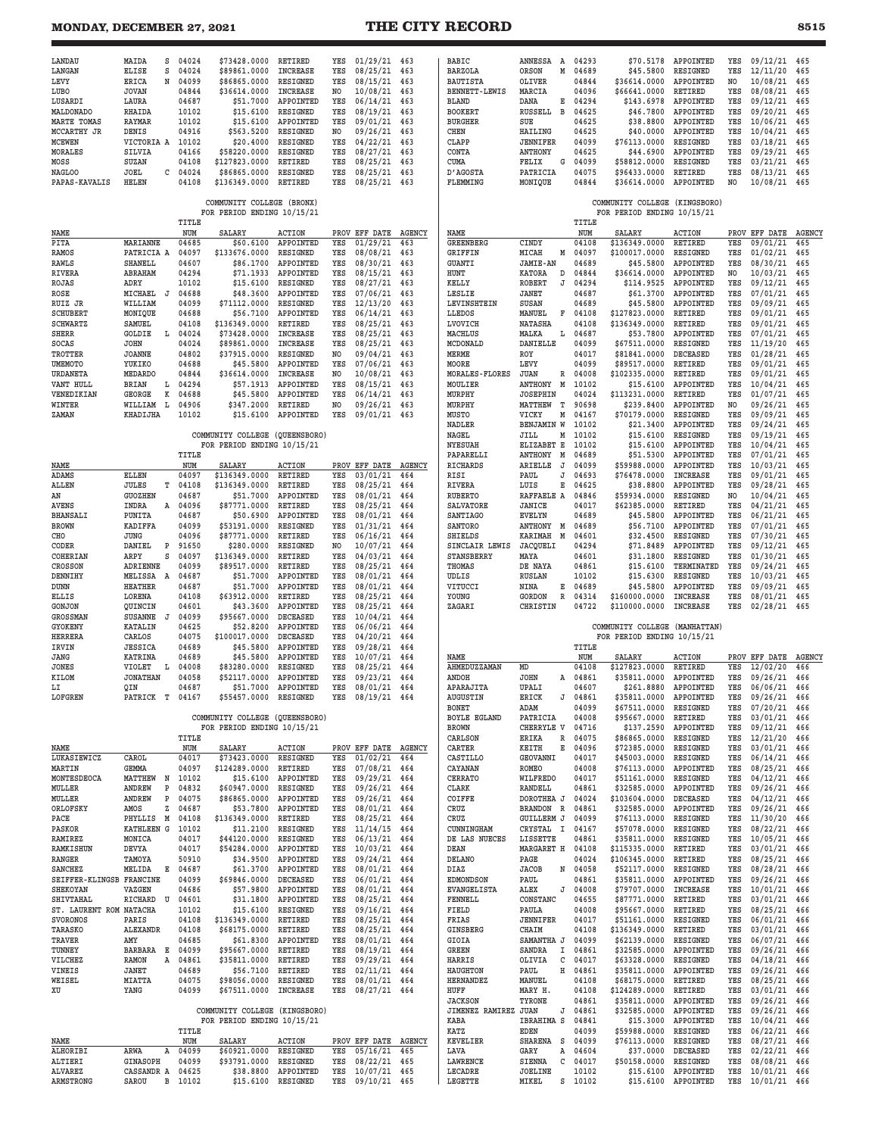# **MONDAY, DECEMBER 27, 2021 THE CITY RECORD**

| LANDAU                            |                                       |                |                                |                                   |                |                              |            |                                        |                                 |                |                                                 |                                        |                       |                          |               |
|-----------------------------------|---------------------------------------|----------------|--------------------------------|-----------------------------------|----------------|------------------------------|------------|----------------------------------------|---------------------------------|----------------|-------------------------------------------------|----------------------------------------|-----------------------|--------------------------|---------------|
| LANGAN                            | MAIDA<br>s<br>ELISE<br>s              | 04024<br>04024 | \$73428.0000<br>\$89861.0000   | <b>RETIRED</b><br><b>INCREASE</b> | YES<br>YES     | $01/29/21$ 463<br>08/25/21   | 463        | BABIC<br><b>BARZOLA</b>                | ANNESSA<br>A<br>ORSON<br>М      | 04293<br>04689 | \$45.5800                                       | \$70.5178 APPOINTED<br><b>RESIGNED</b> | YES<br>YES            | 09/12/21 465<br>12/11/20 | 465           |
| LEVY                              | <b>ERICA</b><br>N                     | 04099          | \$86865.0000                   | RESIGNED                          | YES            | 08/15/21                     | 463        | <b>BAUTISTA</b>                        | OLIVER                          | 04844          | \$36614.0000                                    | APPOINTED                              | NO.                   | 10/08/21                 | 465           |
| LUBO                              | <b>JOVAN</b>                          | 04844          | \$36614.0000                   | <b>INCREASE</b>                   | N <sub>O</sub> | 10/08/21                     | 463        | <b>BENNETT-LEWIS</b>                   | MARCIA                          | 04096          | \$66641.0000                                    | RETIRED                                | YES                   | 08/08/21                 | 465           |
| LUSARDI                           | LAURA                                 | 04687          | \$51.7000                      | APPOINTED                         | YES            | 06/14/21                     | 463        | <b>BLAND</b>                           | DANA<br>Е                       | 04294          | \$143.6978                                      | APPOINTED                              | YES                   | 09/12/21                 | 465           |
| MALDONADO                         | RHAIDA                                | 10102          | \$15.6100                      | RESIGNED                          | YES            | 08/19/21                     | 463        | <b>BOOKERT</b>                         | $\overline{B}$<br>RUSSELL       | 04625          | \$46.7800                                       | APPOINTED                              | YES                   | 09/20/21                 | 465           |
| MARTE TOMAS                       | <b>RAYMAR</b>                         | 10102<br>04916 | \$15.6100                      | APPOINTED<br>RESIGNED             | YES            | 09/01/21                     | 463        | <b>BURGHER</b>                         | SUE                             | 04625          | \$38.8800                                       | APPOINTED                              | YES                   | 10/06/21<br>10/04/21     | 465           |
| MCCARTHY JR<br><b>MCEWEN</b>      | DENIS<br>VICTORIA A                   | 10102          | \$563.5200<br>\$20.4000        | RESIGNED                          | NO<br>YES      | 09/26/21<br>04/22/21         | 463<br>463 | CHEN<br>CLAPP                          | HAILING<br><b>JENNIFER</b>      | 04625<br>04099 | \$40.0000<br>\$76113.0000                       | APPOINTED<br>RESIGNED                  | YES<br>YES            | 03/18/21                 | 465<br>465    |
| <b>MORALES</b>                    | SILVIA                                | 04166          | \$58220.0000                   | <b>RESIGNED</b>                   | YES            | 08/27/21                     | 463        | CONTA                                  | ANTHONY                         | 04625          | \$44.6900                                       | APPOINTED                              | YES                   | 09/29/21                 | 465           |
| MOSS                              | SUZAN                                 | 04108          | \$127823.0000                  | RETIRED                           | YES            | 08/25/21                     | 463        | CUMA                                   | FELIX<br>G                      | 04099          | \$58812.0000                                    | RESIGNED                               | YES                   | 03/21/21                 | 465           |
| NAGLOO                            | JOEL<br>c                             | 04024          | \$86865.0000                   | RESIGNED                          | YES            | 08/25/21                     | 463        | D'AGOSTA                               | PATRICIA                        | 04075          | \$96433.0000                                    | RETIRED                                | YES                   | 08/13/21                 | 465           |
| PAPAS-KAVALIS                     | HELEN                                 | 04108          | \$136349.0000                  | RETIRED                           | YES            | 08/25/21                     | 463        | FLEMMING                               | MONIQUE                         | 04844          | \$36614.0000                                    | APPOINTED                              | NO.                   | 10/08/21                 | 465           |
|                                   |                                       |                | COMMUNITY COLLEGE (BRONX)      |                                   |                |                              |            |                                        |                                 |                |                                                 | (KINGSBORO)                            |                       |                          |               |
|                                   |                                       |                | FOR PERIOD ENDING 10/15/21     |                                   |                |                              |            |                                        |                                 |                | COMMUNITY COLLEGE<br>FOR PERIOD ENDING 10/15/21 |                                        |                       |                          |               |
|                                   |                                       | TITLE          |                                |                                   |                |                              |            |                                        |                                 | TITLE          |                                                 |                                        |                       |                          |               |
| NAME                              |                                       | NUM            | SALARY                         | <b>ACTION</b>                     |                | PROV EFF DATE AGENCY         |            | NAME                                   |                                 | NUM            | SALARY                                          | <b>ACTION</b>                          |                       | PROV EFF DATE            | <b>AGENCY</b> |
| PITA                              | <b>MARIANNE</b>                       | 04685          | \$60.6100                      | APPOINTED                         | YES            | 01/29/21                     | 463        | <b>GREENBERG</b>                       | CINDY                           | 04108          | \$136349.0000                                   | RETIRED                                | YES                   | 09/01/21                 | 465           |
| <b>RAMOS</b>                      | PATRICIA A<br><b>SHANELL</b>          | 04097<br>04607 | \$133676.0000<br>\$86.1700     | RESIGNED<br>APPOINTED             | YES<br>YES     | 08/08/21<br>08/30/21         | 463<br>463 | <b>GRIFFIN</b><br><b>GUANTI</b>        | MICAH<br>М<br><b>JAMIE-AN</b>   | 04097<br>04689 | \$100017.0000<br>\$45.5800                      | RESIGNED<br>APPOINTED                  | YES<br>YES            | 01/02/21<br>08/30/21     | 465<br>465    |
| RAWLS<br><b>RIVERA</b>            | ABRAHAM                               | 04294          | \$71.1933                      | APPOINTED                         | YES            | 08/15/21                     | 463        | HUNT                                   | KATORA<br>D                     | 04844          | \$36614.0000                                    | APPOINTED                              | N <sub>O</sub>        | 10/03/21                 | 465           |
| ROJAS                             | ADRY                                  | 10102          | \$15.6100                      | RESIGNED                          | YES            | 08/27/21                     | 463        | KELLY                                  | <b>ROBERT</b><br>J              | 04294          | \$114.9525                                      | APPOINTED                              | YES                   | 09/12/21                 | 465           |
| ROSE                              | MICHAEL<br>J                          | 04688          | \$48.3600                      | APPOINTED                         | YES            | 07/06/21                     | 463        | LESLIE                                 | JANET                           | 04687          | \$61.3700                                       | APPOINTED                              | YES                   | 07/01/21                 | 465           |
| RUIZ JR                           | WILLIAM                               | 04099          | \$71112.0000                   | RESIGNED                          | YES            | 12/13/20                     | 463        | LEVINSHTEIN                            | SUSAN                           | 04689          | \$45.5800                                       | APPOINTED                              | YES                   | 09/09/21                 | 465           |
| <b>SCHUBERT</b>                   | MONIQUE                               | 04688          | \$56.7100                      | APPOINTED                         | YES            | 06/14/21                     | 463        | LLEDOS                                 | MANUEL<br>F                     | 04108          | \$127823.0000                                   | RETIRED                                | YES                   | 09/01/21                 | 465           |
| <b>SCHWARTZ</b><br>SHERR          | SAMUEL<br>GOLDIE<br>L                 | 04108<br>04024 | \$136349.0000<br>\$73428.0000  | RETIRED<br><b>INCREASE</b>        | YES<br>YES     | 08/25/21<br>08/25/21         | 463<br>463 | <b>LVOVICH</b><br>MACHLUS              | <b>NATASHA</b><br>MALKA<br>L    | 04108<br>04687 | \$136349.0000<br>\$53.7800                      | RETIRED<br>APPOINTED                   | YES<br>YES            | 09/01/21<br>07/01/21     | 465<br>465    |
| SOCAS                             | JOHN                                  | 04024          | \$89861.0000                   | <b>INCREASE</b>                   | YES            | 08/25/21                     | 463        | MCDONALD                               | DANIELLE                        | 04099          | \$67511.0000                                    | RESIGNED                               | YES                   | 11/19/20                 | 465           |
| <b>TROTTER</b>                    | <b>JOANNE</b>                         | 04802          | \$37915.0000                   | RESIGNED                          | NO.            | 09/04/21                     | 463        | <b>MERME</b>                           | ROY                             | 04017          | \$81841.0000                                    | <b>DECEASED</b>                        | YES                   | 01/28/21                 | 465           |
| <b>UMEMOTO</b>                    | YUKIKO                                | 04688          | \$45.5800                      | APPOINTED                         | YES            | 07/06/21                     | 463        | MOORE                                  | LEVY                            | 04099          | \$89517.0000                                    | RETIRED                                | YES                   | 09/01/21                 | 465           |
| URDANETA                          | <b>MEDARDO</b>                        | 04844          | \$36614.0000                   | <b>INCREASE</b>                   | NO.            | 10/08/21                     | 463        | MORALES-FLORES                         | <b>JUAN</b><br>R                | 04008          | \$102335.0000                                   | RETIRED                                | YES                   | 09/01/21                 | 465           |
| VANT HULL                         | <b>BRIAN</b><br>L                     | 04294          | \$57.1913                      | APPOINTED                         | YES            | 08/15/21                     | 463        | MOULIER                                | ANTHONY<br>M                    | 10102          | \$15.6100<br>\$113231.0000                      | APPOINTED                              | YES                   | 10/04/21                 | 465           |
| VENEDIKIAN<br>WINTER              | GEORGE<br>К<br>WILLIAM<br>L           | 04688<br>04906 | \$45.5800<br>\$347.2000        | APPOINTED<br>RETIRED              | YES<br>NO      | 06/14/21<br>09/26/21         | 463<br>463 | MURPHY<br>MURPHY                       | <b>JOSEPHIN</b><br>T<br>MATTHEW | 04024<br>90698 | \$239.8400                                      | RETIRED<br>APPOINTED                   | YES<br>N <sub>O</sub> | 01/07/21<br>09/26/21     | 465<br>465    |
| ZAMAN                             | KHADIJHA                              | 10102          | \$15,6100                      | APPOINTED                         | YES            | 09/01/21                     | 463        | MUSTO                                  | VICKY<br>М                      | 04167          | \$70179.0000                                    | RESIGNED                               | YES                   | 09/09/21                 | 465           |
|                                   |                                       |                |                                |                                   |                |                              |            | NADLER                                 | <b>BENJAMIN W</b>               | 10102          | \$21.3400                                       | APPOINTED                              | YES                   | 09/24/21                 | 465           |
|                                   |                                       |                | COMMUNITY COLLEGE (QUEENSBORO) |                                   |                |                              |            | NAGEL                                  | JILL<br>М                       | 10102          | \$15,6100                                       | RESIGNED                               | YES                   | 09/19/21                 | 465           |
|                                   |                                       |                | FOR PERIOD ENDING 10/15/21     |                                   |                |                              |            | <b>NYESUAH</b>                         | ELIZABET E                      | 10102          | \$15.6100                                       | APPOINTED                              | YES                   | 10/04/21                 | 465           |
| NAME                              |                                       | TITLE<br>NUM   | SALARY                         | <b>ACTION</b>                     | PROV           | EFF DATE AGENCY              |            | PAPARELLI<br>RICHARDS                  | ANTHONY<br>Μ<br>ARIELLE<br>J    | 04689<br>04099 | \$51.5300<br>\$59988.0000                       | APPOINTED<br>APPOINTED                 | YES<br>YES            | 07/01/21<br>10/03/21     | 465<br>465    |
| ADAMS                             | ELLEN                                 | 04097          | \$136349.0000                  | RETIRED                           | YES            | 03/01/21                     | 464        | RISI                                   | PAUL<br>J                       | 04693          | \$76478.0000                                    | <b>INCREASE</b>                        | YES                   | 09/01/21                 | 465           |
| ALLEN                             | JULES<br>т                            | 04108          | \$136349.0000                  | RETIRED                           | YES            | 08/25/21                     | 464        | <b>RIVERA</b>                          | LUIS<br>Е                       | 04625          | \$38.8800                                       | APPOINTED                              | YES                   | 09/28/21                 | 465           |
| AN                                | <b>GUOZHEN</b>                        | 04687          | \$51.7000                      | APPOINTED                         | YES            | 08/01/21                     | 464        | <b>RUBERTO</b>                         | RAFFAELE A                      | 04846          | \$59934.0000                                    | RESIGNED                               | NO.                   | 10/04/21                 | 465           |
| <b>AVENS</b>                      | INDRA<br>А                            | 04096          | \$87771.0000                   | RETIRED                           | YES            | 08/25/21                     | 464        | SALVATORE                              | <b>JANICE</b>                   | 04017          | \$62385.0000                                    | RETIRED                                | YES                   | 04/21/21                 | 465           |
| <b>BHANSALI</b>                   | PUNITA                                | 04687          | \$50.6900                      | APPOINTED                         | YES            | 08/01/21                     | 464        | <b>SANTIAGO</b>                        | <b>EVELYN</b>                   | 04689          | \$45.5800                                       | APPOINTED                              | YES                   | 06/21/21                 | 465           |
| <b>BROWN</b><br>CHO               | <b>KADIFFA</b><br>JUNG                | 04099<br>04096 | \$53191.0000<br>\$87771.0000   | RESIGNED<br>RETIRED               | YES<br>YES     | 01/31/21<br>06/16/21         | 464        | SANTORO<br><b>SHIELDS</b>              | ANTHONY<br>M<br>KARIMAH<br>M    | 04689<br>04601 | \$56.7100                                       | APPOINTED<br>RESIGNED                  | YES<br>YES            | 07/01/21<br>07/30/21     | 465<br>465    |
| CODER                             | DANIEL<br>P                           | 91650          | \$280.0000                     | RESIGNED                          | NO.            | 10/07/21                     | 464<br>464 | SINCLAIR LEWIS                         | JACQUELI                        | 04294          | \$32.4500<br>\$71.8489                          | APPOINTED                              | YES                   | 09/12/21                 | 465           |
| COHERIAN                          | ARPY<br>s                             | 04097          | \$136349.0000                  | RETIRED                           | YES            | 04/03/21                     | 464        | <b>STANSBERRY</b>                      | MAYA                            | 04601          | \$31.1800                                       | RESIGNED                               | YES                   | 01/30/21                 | 465           |
| CROSSON                           | <b>ADRIENNE</b>                       | 04099          | \$89517.0000                   | RETIRED                           | YES            | 08/25/21                     | 464        | THOMAS                                 | DE NAYA                         | 04861          | \$15.6100                                       | TERMINATED                             | YES                   | 09/24/21                 | 465           |
| DENNIHY                           | MELISSA A                             | 04687          | \$51.7000                      | APPOINTED                         | YES            | 08/01/21                     | 464        | UDLIS                                  | <b>RUSLAN</b>                   | 10102          | \$15.6300                                       | RESIGNED                               | YES                   | 10/03/21                 | 465           |
| <b>DUNN</b>                       | <b>HEATHER</b>                        | 04687          | \$51.7000                      | APPOINTED                         | YES            | 08/01/21                     | 464        | VITUCCI                                | NINA<br>Е                       | 04689          | \$45.5800                                       | APPOINTED                              | YES                   | 09/09/21                 | 465           |
|                                   |                                       |                |                                |                                   |                |                              |            |                                        |                                 |                |                                                 |                                        |                       |                          |               |
| ELLIS                             | LORENA                                | 04108          | \$63912.0000                   | RETIRED                           | YES            | 08/25/21                     | 464        | YOUNG                                  | GORDON<br>R                     | 04314          | \$160000.0000                                   | <b>INCREASE</b>                        | YES                   | 08/01/21                 | 465           |
| GONJON                            | QUINCIN                               | 04601          | \$43.3600                      | APPOINTED                         | YES            | 08/25/21                     | 464        | ZAGARI                                 | CHRISTIN                        | 04722          | \$110000.0000                                   | <b>INCREASE</b>                        | YES                   | 02/28/21                 | 465           |
| <b>GROSSMAN</b><br>GYOKENY        | <b>SUSANNE</b><br>J<br><b>KATALIN</b> | 04099<br>04625 | \$95667.0000<br>\$52.8200      | <b>DECEASED</b><br>APPOINTED      | YES<br>YES     | 10/04/21<br>06/06/21         | 464<br>464 |                                        |                                 |                | COMMUNITY COLLEGE                               | (MANHATTAN)                            |                       |                          |               |
| <b>HERRERA</b>                    | CARLOS                                | 04075          | \$100017.0000                  | DECEASED                          | YES            | 04/20/21                     | 464        |                                        |                                 |                | FOR PERIOD ENDING 10/15/21                      |                                        |                       |                          |               |
| IRVIN                             | <b>JESSICA</b>                        | 04689          | \$45.5800                      | APPOINTED                         | YES            | 09/28/21                     | 464        |                                        |                                 | TITLE          |                                                 |                                        |                       |                          |               |
| JANG                              | <b>KATRINA</b>                        | 04689          | \$45.5800                      | APPOINTED                         | YES            | 10/07/21                     | 464        | NAME                                   |                                 | NUM            | <b>SALARY</b>                                   | <b>ACTION</b>                          |                       | PROV EFF DATE            | <b>AGENCY</b> |
| <b>JONES</b>                      | <b>VIOLET</b><br>L                    | 04008          | \$83280.0000                   | RESIGNED                          | YES            | 08/25/21                     | 464        | AHMEDUZZAMAN                           | MD                              | 04108          | \$127823.0000                                   | RETIRED                                | YES                   | 12/02/20                 | 466           |
| KILOM<br>LI                       | <b>JONATHAN</b><br>QIN                | 04058<br>04687 | \$52117.0000<br>\$51.7000      | APPOINTED<br>APPOINTED            | YES<br>YES     | 09/23/21<br>08/01/21         | 464<br>464 | ANDOH<br>APARAJITA                     | <b>JOHN</b><br>A<br>UPALI       | 04861<br>04607 | \$35811.0000<br>\$261.8880                      | APPOINTED<br>APPOINTED                 | YES<br>YES            | 09/26/21<br>06/06/21     | 466<br>466    |
| LOFGREN                           | PATRICK T 04167                       |                | \$55457.0000                   | RESIGNED                          | YES            | 08/19/21 464                 |            | <b>AUGUSTIN</b>                        | J<br>ERICK                      | 04861          | \$35811.0000                                    | APPOINTED                              | YES                   | 09/26/21                 | 466           |
|                                   |                                       |                |                                |                                   |                |                              |            | <b>BONET</b>                           | ADAM                            | 04099          | \$67511.0000                                    | RESIGNED                               | YES                   | 07/20/21                 | 466           |
|                                   |                                       |                | COMMUNITY COLLEGE (QUEENSBORO) |                                   |                |                              |            | <b>BOYLE EGLAND</b>                    | PATRICIA                        | 04008          | \$95667.0000                                    | RETIRED                                | YES                   | 03/01/21                 | 466           |
|                                   |                                       |                | FOR PERIOD ENDING 10/15/21     |                                   |                |                              |            | <b>BROWN</b>                           | CHERRYLE V                      | 04716          | \$137.2590                                      | APPOINTED                              | YES                   | 09/12/21                 | 466           |
| NAME                              |                                       | TITLE<br>NUM   |                                | <b>ACTION</b>                     |                | PROV EFF DATE AGENCY         |            | CARLSON<br><b>CARTER</b>               | ERIKA<br>R<br>E                 | 04075          | \$86865.0000                                    | RESIGNED                               | YES<br>YES            | 12/21/20                 | 466<br>466    |
| LUKASIEWICZ                       | CAROL                                 | 04017          | SALARY<br>\$73423.0000         | RESIGNED                          | YES            | 01/02/21                     | 464        | CASTILLO                               | KEITH<br>GEOVANNI               | 04096<br>04017 | \$72385.0000<br>\$45003.0000                    | RESIGNED<br>RESIGNED                   | YES                   | 03/01/21<br>06/14/21     | 466           |
| MARTIN                            | GEMMA                                 | 04097          | \$124289.0000                  | RETIRED                           | YES            | 07/08/21 464                 |            | CAYANAN                                | ROMEO                           | 04008          | \$76113.0000                                    | APPOINTED                              | YES                   | 08/25/21                 | 466           |
| MONTESDEOCA                       | MATTHEW N                             | 10102          | \$15.6100                      | APPOINTED                         | YES            | 09/29/21                     | 464        | <b>CERRATO</b>                         | WILFREDO                        | 04017          | \$51161.0000                                    | RESIGNED                               | YES                   | 04/12/21                 | 466           |
| MULLER                            | $\, {\bf P}$<br>ANDREW                | 04832          | \$60947.0000                   | RESIGNED                          | YES            | 09/26/21 464                 |            | CLARK                                  | RANDELL                         | 04861          | \$32585.0000                                    | APPOINTED                              | YES                   | 09/26/21                 | 466           |
| MULLER<br>ORLOFSKY                | ANDREW<br>Ρ<br>z                      | 04075          | \$86865.0000                   | APPOINTED                         | YES<br>YES     | 09/26/21                     | 464        | COIFFE<br>CRUZ                         | DOROTHEA J<br>BRANDON R         | 04024          | \$103604.0000                                   | DECEASED                               | YES<br>YES            | 04/12/21                 | 466<br>466    |
| PACE                              | AMOS<br>PHYLLIS M                     | 04687<br>04108 | \$53.7800<br>\$136349.0000     | APPOINTED<br>RETIRED              | YES            | 08/01/21 464<br>08/25/21     | 464        | CRUZ                                   | <b>GUILLERM J</b>               | 04861<br>04099 | \$32585.0000<br>\$76113.0000                    | APPOINTED<br>RESIGNED                  | YES                   | 09/26/21<br>11/30/20     | 466           |
| PASKOR                            | KATHLEEN G                            | 10102          | \$11.2100                      | RESIGNED                          | YES            | 11/14/15                     | 464        | CUNNINGHAM                             | CRYSTAL<br>$\mathbf{I}$         | 04167          | \$57078.0000                                    | RESIGNED                               | YES                   | 08/22/21                 | 466           |
| RAMIREZ                           | MONICA                                | 04017          | \$44120.0000                   | RESIGNED                          | YES            | $06/13/21$ 464               |            | DE LAS NUECES                          | LISSETTE                        | 04861          | \$35811.0000                                    | RESIGNED                               | YES                   | 10/05/21                 | 466           |
| <b>RAMKISHUN</b>                  | DEVYA                                 | 04017          | \$54284.0000                   | APPOINTED                         | YES            | 10/03/21                     | 464        | DEAN                                   | MARGARET H                      | 04108          | \$115335.0000                                   | <b>RETIRED</b>                         | YES                   | 03/01/21                 | 466           |
| <b>RANGER</b>                     | TAMOYA                                | 50910          | \$34.9500                      | APPOINTED                         | YES            | 09/24/21                     | 464        | DELANO                                 | PAGE                            | 04024          | \$106345.0000                                   | RETIRED                                | YES                   | 08/25/21                 | 466           |
| <b>SANCHEZ</b><br>SEIFFER-KLINGSB | MELIDA<br>Е<br>FRANCINE               | 04687<br>04099 | \$61.3700<br>\$69846.0000      | APPOINTED<br>DECEASED             | YES<br>YES     | 08/01/21 464<br>06/01/21     | 464        | DIAZ<br><b>EDMONDSON</b>               | N<br>JACOB<br>PAUL              | 04058<br>04861 | \$52117.0000<br>\$35811.0000                    | RESIGNED<br>APPOINTED                  | YES<br>YES            | 08/28/21<br>09/26/21     | 466<br>466    |
| SHEKOYAN                          | VAZGEN                                | 04686          | \$57.9800                      | APPOINTED                         | YES            | 08/01/21                     | 464        | <b>EVANGELISTA</b>                     | ALEX<br>J                       | 04008          | \$79707.0000                                    | <b>INCREASE</b>                        | YES                   | 10/01/21                 | 466           |
| SHIVTAHAL                         | RICHARD U                             | 04601          | \$31.1800                      | APPOINTED                         | YES            | 08/25/21 464                 |            | FENNELL                                | CONSTANC                        | 04655          | \$87771.0000                                    | RETIRED                                | YES                   | 03/01/21                 | 466           |
| ST. LAURENT ROM NATACHA           |                                       | 10102          | \$15.6100                      | RESIGNED                          | YES            | 09/16/21 464                 |            | FIELD                                  | PAULA                           | 04008          | \$95667.0000                                    | RETIRED                                | YES                   | 08/25/21                 | 466           |
| <b>SVORONOS</b>                   | PARIS                                 | 04108          | \$136349.0000                  | RETIRED                           | YES            | 08/25/21                     | 464        | FRIAS                                  | JENNIFER                        | 04017          | \$51161.0000                                    | RESIGNED                               | YES                   | 06/01/21                 | 466           |
| TARASKO                           | ALEXANDR                              | 04108          | \$68175.0000                   | RETIRED                           | YES            | 08/25/21 464                 |            | GINSBERG                               | CHAIM                           | 04108          | \$136349.0000                                   | RETIRED                                | YES<br>YES            | 03/01/21                 | 466           |
| TRAVER<br>TUNNEY                  | AMY<br>BARBARA E                      | 04685<br>04099 | \$61.8300<br>\$95667.0000      | APPOINTED<br>RETIRED              | YES<br>YES     | 08/01/21 464<br>08/19/21 464 |            | GIOIA<br>GREEN                         | SAMANTHA J<br>SANDRA<br>Ι.      | 04099<br>04861 | \$62139.0000<br>\$32585.0000                    | RESIGNED<br>APPOINTED                  | YES                   | 06/07/21<br>09/26/21     | 466<br>466    |
| VILCHEZ                           | RAMON<br>Α                            | 04861          | \$35811.0000                   | RETIRED                           | YES            | 09/29/21 464                 |            | <b>HARRIS</b>                          | OLIVIA<br>С                     | 04017          | \$63328.0000                                    | RESIGNED                               | YES                   | 04/18/21                 | 466           |
| VINEIS                            | JANET                                 | 04689          | \$56.7100                      | RETIRED                           | YES            | 02/11/21 464                 |            | <b>HAUGHTON</b>                        | PAUL<br>Н                       | 04861          | \$35811.0000                                    | APPOINTED                              | YES                   | 09/26/21                 | 466           |
| WEISEL                            | MIATTA                                | 04075          | \$98056.0000                   | RESIGNED                          | YES            | 08/01/21 464                 |            | <b>HERNANDEZ</b>                       | MANUEL                          | 04108          | \$68175.0000                                    | RETIRED                                | YES                   | 08/25/21                 | 466           |
| XU                                | YANG                                  | 04099          | \$67511.0000                   | INCREASE                          | YES            | 08/27/21 464                 |            | HUFF                                   | MARY H.                         | 04108          | \$124289.0000                                   | RETIRED                                | YES                   | 03/01/21                 | 466           |
|                                   |                                       |                | COMMUNITY COLLEGE (KINGSBORO)  |                                   |                |                              |            | <b>JACKSON</b><br>JIMENEZ RAMIREZ JUAN | TYRONE<br>J                     | 04861<br>04861 | \$35811.0000<br>\$32585.0000                    | APPOINTED<br>APPOINTED                 | YES<br>YES            | 09/26/21<br>09/26/21     | 466<br>466    |
|                                   |                                       |                | FOR PERIOD ENDING 10/15/21     |                                   |                |                              |            | KABA                                   | IBRAHIMA S                      | 04841          | \$15.3000                                       | APPOINTED                              | YES                   | 10/04/21                 | 466           |
|                                   |                                       | TITLE          |                                |                                   |                |                              |            | KATZ                                   | <b>EDEN</b>                     | 04099          | \$59988.0000                                    | RESIGNED                               | YES                   | 06/22/21                 | 466           |
| NAME                              |                                       | NUM            | SALARY                         | <b>ACTION</b>                     |                | PROV EFF DATE AGENCY         |            | <b>KEVELIER</b>                        | SHARENA S                       | 04099          | \$76113.0000                                    | RESIGNED                               | YES                   | 08/27/21                 | 466           |
| ALHORIBI                          | ARWA<br>Α                             | 04099          | \$60921.0000                   | RESIGNED                          | YES            | 05/16/21                     | 465        | LAVA                                   | GARY<br>Α                       | 04604          | \$37.0000                                       | <b>DECEASED</b>                        | YES                   | 02/22/21                 | 466           |
| ALTIERI<br><b>ALVAREZ</b>         | GINASOPH<br>CASSANDR A                | 04099<br>04625 | \$93791.0000<br>\$38.8800      | RESIGNED<br>APPOINTED             | YES<br>YES     | 08/22/21<br>10/07/21 465     | 465        | LAWRENCE<br>LECADRE                    | SIENNA<br>с<br><b>JOELINE</b>   | 04017<br>10102 | \$50158.0000<br>\$15.6100                       | RESIGNED<br>APPOINTED                  | YES<br>YES            | 08/08/21<br>10/01/21 466 | 466           |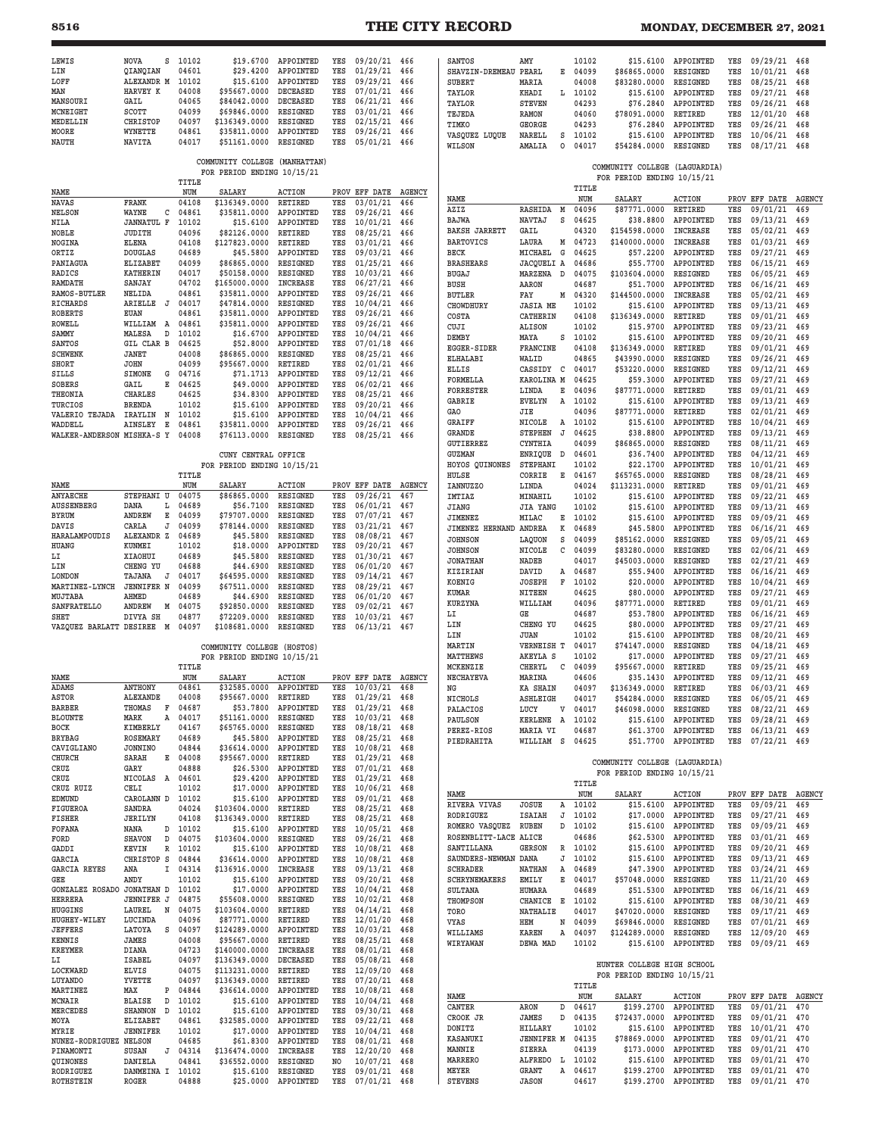| LEWIS                                 | <b>NOVA</b><br>S                | 10102          | \$19.6700                                                   | APPOINTED                   | YES                   | 09/20/21                 | 466           | SANTOS                      | AMY                          | 10102          | \$15.6100                                                   | APPOINTED              | YES        | 09/29/21                 | 468        |
|---------------------------------------|---------------------------------|----------------|-------------------------------------------------------------|-----------------------------|-----------------------|--------------------------|---------------|-----------------------------|------------------------------|----------------|-------------------------------------------------------------|------------------------|------------|--------------------------|------------|
| LIN                                   | QIANQIAN                        | 04601          | \$29,4200                                                   | APPOINTED                   | YES                   | 01/29/21                 | 466           | SHAVZIN-DREMEAU             | PEARL<br>Е                   | 04099          | \$86865.0000                                                | RESIGNED               | YES        | 10/01/21                 | 468        |
| LOFF<br>MAN                           | ALEXANDR M                      | 10102          | \$15.6100                                                   | APPOINTED<br>DECEASED       | YES<br>YES            | 09/29/21                 | 466           | <b>SUBERT</b>               | MARIA                        | 04008          | \$83280.0000                                                | RESIGNED               | YES        | 08/25/21                 | 468        |
| MANSOURI                              | HARVEY K<br>GAIL                | 04008<br>04065 | \$95667.0000<br>\$84042.0000                                | <b>DECEASED</b>             | YES                   | 07/01/21<br>06/21/21     | 466<br>466    | TAYLOR                      | KHADI<br>L                   | 10102          | \$15.6100                                                   | APPOINTED              | YES        | 09/27/21                 | 468        |
| MCNEIGHT                              | SCOTT                           | 04099          | \$69846.0000                                                | RESIGNED                    | YES                   | 03/01/21                 | 466           | TAYLOR                      | <b>STEVEN</b>                | 04293          | \$76.2840                                                   | APPOINTED              | YES        | 09/26/21                 | 468        |
| MEDELLIN                              | <b>CHRISTOP</b>                 | 04097          | \$136349.0000                                               | RESIGNED                    | YES                   | 02/15/21                 | 466           | TEJEDA                      | RAMON                        | 04060          | \$78091.0000                                                | RETIRED                | YES        | 12/01/20                 | 468        |
| MOORE                                 | WYNETTE                         | 04861          | \$35811.0000                                                | APPOINTED                   | YES                   | 09/26/21                 | 466           | TIMKO                       | <b>GEORGE</b><br>NARELL<br>s | 04293<br>10102 | \$76.2840<br>\$15.6100                                      | APPOINTED<br>APPOINTED | YES<br>YES | 09/26/21<br>10/06/21     | 468<br>468 |
| NAUTH                                 | NAVITA                          | 04017          | \$51161.0000                                                | RESIGNED                    | YES                   | 05/01/21                 | 466           | VASQUEZ LUQUE<br>WILSON     | AMALIA<br>O                  | 04017          | \$54284.0000                                                | RESIGNED               | YES        | 08/17/21                 | 468        |
|                                       |                                 | TITLE          | COMMUNITY COLLEGE (MANHATTAN)<br>FOR PERIOD ENDING 10/15/21 |                             |                       |                          |               |                             |                              |                | COMMUNITY COLLEGE (LAGUARDIA)<br>FOR PERIOD ENDING 10/15/21 |                        |            |                          |            |
| NAME                                  |                                 | NUM            | SALARY                                                      | <b>ACTION</b>               |                       | PROV EFF DATE            | <b>AGENCY</b> |                             |                              | TITLE          |                                                             |                        |            |                          |            |
| <b>NAVAS</b>                          | FRANK                           | 04108          | \$136349.0000                                               | RETIRED                     | YES                   | 03/01/21                 | 466           | NAME                        |                              | NUM            | SALARY                                                      | <b>ACTION</b>          |            | PROV EFF DATE AGENCY     |            |
| <b>NELSON</b>                         | WAYNE<br>с                      | 04861          | \$35811.0000                                                | APPOINTED                   | YES                   | 09/26/21                 | 466           | AZIZ                        | RASHIDA<br>М                 | 04096          | \$87771.0000                                                | RETIRED                | YES        | 09/01/21                 | 469        |
| NILA                                  | <b>JANNATUL F</b>               | 10102          | \$15.6100                                                   | APPOINTED                   | YES                   | 10/01/21                 | 466           | BAJWA                       | NAVTAJ<br>s                  | 04625          | \$38.8800                                                   | APPOINTED              | YES        | 09/13/21                 | 469        |
| NOBLE                                 | JUDITH                          | 04096          | \$82126.0000                                                | RETIRED                     | YES                   | 08/25/21                 | 466           | <b>BAKSH JARRETT</b>        | GAIL                         | 04320          | \$154598.0000                                               | <b>INCREASE</b>        | YES        | 05/02/21                 | 469        |
| NOGINA                                | ELENA                           | 04108          | \$127823.0000                                               | RETIRED                     | YES                   | 03/01/21                 | 466           | <b>BARTOVICS</b>            | LAURA<br>М                   | 04723          | \$140000.0000                                               | <b>INCREASE</b>        | YES        | 01/03/21                 | 469        |
| ORTIZ                                 | <b>DOUGLAS</b>                  | 04689          | \$45.5800                                                   | APPOINTED                   | YES                   | 09/03/21                 | 466           | <b>BECK</b>                 | MICHAEL<br>G                 | 04625          | \$57.2200                                                   | APPOINTED              | YES        | 09/27/21                 | 469        |
| PANIAGUA<br>RADICS                    | <b>ELIZABET</b><br>KATHERIN     | 04099<br>04017 | \$86865.0000<br>\$50158.0000                                | <b>RESIGNED</b><br>RESIGNED | YES<br>YES            | 01/25/21<br>10/03/21     | 466<br>466    | <b>BRASHEARS</b>            | JACQUELI A<br>D              | 04686          | \$55.7700                                                   | APPOINTED              | YES<br>YES | 06/15/21                 | 469        |
| RAMDATH                               | SANJAY                          | 04702          | \$165000.0000                                               | <b>INCREASE</b>             | YES                   | 06/27/21                 | 466           | <b>BUGAJ</b><br><b>BUSH</b> | MARZENA<br>AARON             | 04075<br>04687 | \$103604.0000<br>\$51.7000                                  | RESIGNED<br>APPOINTED  | YES        | 06/05/21<br>06/16/21     | 469<br>469 |
| <b>RAMOS-BUTLER</b>                   | NELIDA                          | 04861          | \$35811.0000                                                | APPOINTED                   | YES                   | 09/26/21                 | 466           | <b>BUTLER</b>               | FAY<br>М                     | 04320          | \$144500.0000                                               | <b>INCREASE</b>        | YES        | 05/02/21                 | 469        |
| RICHARDS                              | ARIELLE<br>J                    | 04017          | \$47814.0000                                                | RESIGNED                    | YES                   | 10/04/21                 | 466           | CHOWDHURY                   | <b>JASIA ME</b>              | 10102          | \$15.6100                                                   | APPOINTED              | YES        | 09/13/21                 | 469        |
| <b>ROBERTS</b>                        | EUAN                            | 04861          | \$35811.0000                                                | APPOINTED                   | YES                   | 09/26/21                 | 466           | COSTA                       | CATHERIN                     | 04108          | \$136349.0000                                               | RETIRED                | YES        | 09/01/21                 | 469        |
| ROWELL                                | WILLIAM A                       | 04861          | \$35811.0000                                                | APPOINTED                   | YES                   | 09/26/21                 | 466           | CUJI                        | <b>ALISON</b>                | 10102          | \$15.9700                                                   | APPOINTED              | YES        | 09/23/21                 | 469        |
| SAMMY                                 | MALESA<br>D                     | 10102          | \$16.6700                                                   | APPOINTED                   | YES                   | 10/04/21                 | 466           | DEMBY                       | MAYA<br>s                    | 10102          | \$15,6100                                                   | APPOINTED              | YES        | 09/20/21                 | 469        |
| SANTOS                                | GIL CLAR B                      | 04625          | \$52,8000                                                   | APPOINTED                   | YES                   | 07/01/18                 | 466           | <b>EGGER-SIDER</b>          | FRANCINE                     | 04108          | \$136349.0000                                               | RETIRED                | YES        | 09/01/21                 | 469        |
| <b>SCHWENK</b>                        | <b>JANET</b>                    | 04008          | \$86865.0000                                                | RESIGNED                    | YES                   | 08/25/21                 | 466           | <b>ELHALABI</b>             | WALID                        | 04865          | \$43990.0000                                                | RESIGNED               | YES        | 09/26/21                 | 469        |
| SHORT                                 | <b>JOHN</b>                     | 04099          | \$95667.0000                                                | RETIRED                     | YES                   | 02/01/21                 | 466           | <b>ELLIS</b>                | CASSIDY<br>$\mathbf{C}$      | 04017          | \$53220.0000                                                | RESIGNED               | YES        | 09/12/21                 | 469        |
| SILLS<br>SOBERS                       | <b>SIMONE</b><br>G<br>GAIL<br>Е | 04716<br>04625 | \$71.1713<br>\$49.0000                                      | APPOINTED<br>APPOINTED      | YES<br>YES            | 09/12/21<br>06/02/21     | 466<br>466    | FORMELLA                    | KAROLINA M                   | 04625          | \$59.3000                                                   | APPOINTED              | YES        | 09/27/21                 | 469        |
| THEONIA                               | <b>CHARLES</b>                  | 04625          | \$34.8300                                                   | APPOINTED                   | YES                   | 08/25/21                 | 466           | FORRESTER                   | LINDA<br>Е                   | 04096          | \$87771.0000                                                | RETIRED                | YES        | 09/01/21                 | 469        |
| TURCIOS                               | <b>BRENDA</b>                   | 10102          | \$15,6100                                                   | APPOINTED                   | YES                   | 09/20/21                 | 466           | <b>GABRIE</b>               | <b>EVELYN</b><br>Α           | 10102          | \$15.6100                                                   | APPOINTED              | YES        | 09/13/21                 | 469        |
| VALERIO TEJADA                        | N<br>IRAYLIN                    | 10102          | \$15.6100                                                   | APPOINTED                   | YES                   | 10/04/21                 | 466           | GAO                         | JIE                          | 04096          | \$87771.0000                                                | RETIRED                | YES        | 02/01/21                 | 469        |
| WADDELL                               | AINSLEY<br>Е                    | 04861          | \$35811.0000                                                | APPOINTED                   | YES                   | 09/26/21                 | 466           | <b>GRAIFF</b>               | NICOLE<br>Α                  | 10102          | \$15,6100                                                   | APPOINTED              | YES        | 10/04/21                 | 469        |
| WALKER-ANDERSON MISHKA-S Y            |                                 | 04008          | \$76113.0000                                                | RESIGNED                    | YES                   | 08/25/21                 | 466           | <b>GRANDE</b>               | <b>STEPHEN</b><br>J          | 04625          | \$38.8800                                                   | APPOINTED              | YES        | 09/13/21                 | 469        |
|                                       |                                 |                |                                                             |                             |                       |                          |               | <b>GUTIERREZ</b>            | CYNTHIA                      | 04099          | \$86865.0000                                                | RESIGNED               | YES        | 08/11/21                 | 469        |
|                                       |                                 |                | CUNY CENTRAL OFFICE                                         |                             |                       |                          |               | <b>GUZMAN</b>               | ENRIQUE<br>D                 | 04601          | \$36.7400                                                   | APPOINTED              | YES        | 04/12/21                 | 469        |
|                                       |                                 |                | FOR PERIOD ENDING 10/15/21                                  |                             |                       |                          |               | HOYOS QUINONES              | STEPHANI                     | 10102          | \$22,1700                                                   | APPOINTED              | YES        | 10/01/21                 | 469        |
| NAME                                  |                                 | TITLE<br>NUM   | SALARY                                                      | <b>ACTION</b>               |                       | PROV EFF DATE            | <b>AGENCY</b> | HULSE<br>IANNUZZO           | CORRIE<br>Е<br>LINDA         | 04167<br>04024 | \$65765.0000<br>\$113231.0000                               | RESIGNED<br>RETIRED    | YES<br>YES | 08/28/21<br>09/01/21     | 469<br>469 |
| <b>ANYAECHE</b>                       | STEPHANI U                      | 04075          | \$86865.0000                                                | RESIGNED                    | YES                   | 09/26/21                 | 467           | IMTIAZ                      | MINAHIL                      | 10102          | \$15.6100                                                   | APPOINTED              | YES        | 09/22/21                 | 469        |
| AUSSENBERG                            | DANA<br>L                       | 04689          | \$56.7100                                                   | RESIGNED                    | YES                   | 06/01/21                 | 467           | JIANG                       | <b>JIA YANG</b>              | 10102          | \$15.6100                                                   | APPOINTED              | YES        | 09/13/21                 | 469        |
| BYRUM                                 | ANDREW<br>Е                     | 04099          | \$79707.0000                                                | RESIGNED                    | YES                   | 07/07/21                 | 467           | JIMENEZ                     | MILAC<br>Е                   | 10102          | \$15.6100                                                   | APPOINTED              | YES        | 09/09/21                 | 469        |
| DAVIS                                 | CARLA<br>J                      | 04099          | \$78144.0000                                                | RESIGNED                    | YES                   | 03/21/21                 | 467           | JIMENEZ HERNAND             | ANDREA<br>К                  | 04689          | \$45.5800                                                   | APPOINTED              | YES        | 06/16/21                 | 469        |
| HARALAMPOUDIS                         | ALEXANDR Z                      | 04689          | \$45.5800                                                   | RESIGNED                    | YES                   | 08/08/21                 | 467           | <b>JOHNSON</b>              | S<br>LAQUON                  | 04099          | \$85162.0000                                                | RESIGNED               | YES        | 09/05/21                 | 469        |
| HUANG                                 | KUNMEI                          | 10102          | \$18.0000                                                   | APPOINTED                   | YES                   | 09/20/21                 | 467           | <b>JOHNSON</b>              | С<br>NICOLE                  | 04099          | \$83280.0000                                                | RESIGNED               | YES        | 02/06/21                 | 469        |
| LI                                    | XIAOHUI                         | 04689          | \$45.5800                                                   | RESIGNED                    | YES                   | 01/30/21                 | 467           | <b>JONATHAN</b>             | NADEB                        | 04017          | \$45003.0000                                                | RESIGNED               | YES        | 02/27/21                 | 469        |
| LIN                                   | CHENG YU                        | 04688          | \$44.6900                                                   | RESIGNED                    | YES                   | 06/01/20                 | 467           | KIZIRIAN                    | DAVID<br>Α                   | 04687          | \$55.9400                                                   | APPOINTED              | YES        | 06/16/21                 | 469        |
| LONDON                                | TAJANA<br>J                     | 04017          | \$64595.0000                                                | RESIGNED                    | YES                   | 09/14/21                 | 467           |                             | F                            | 10102          | \$20,0000                                                   | APPOINTED              | YES        | 10/04/21                 | 469        |
|                                       |                                 |                |                                                             |                             |                       |                          |               | KOENIG                      | <b>JOSEPH</b>                |                |                                                             |                        |            |                          |            |
| MARTINEZ-LYNCH                        | <b>JENNIFER N</b>               | 04099          | \$67511.0000                                                | RESIGNED                    | YES                   | 08/29/21                 | 467           | KUMAR                       | NITEEN                       | 04625          | \$80,0000                                                   | APPOINTED              | YES        | 09/27/21                 | 469        |
| MUJTABA                               | AHMED                           | 04689          | \$44.6900                                                   | RESIGNED                    | YES                   | 06/01/20                 | 467           | KURZYNA                     | WILLIAM                      | 04096          | \$87771.0000                                                | <b>RETIRED</b>         | YES        | 09/01/21                 | 469        |
| SANFRATELLO<br>SHET                   | ANDREW<br>Μ<br>DIVYA SH         | 04075<br>04877 | \$92850.0000<br>\$72209.0000                                | RESIGNED<br>RESIGNED        | YES<br>YES            | 09/02/21<br>10/03/21     | 467<br>467    | LI                          | GE                           | 04687          | \$53.7800                                                   | APPOINTED              | YES        | 06/16/21                 | 469        |
| VAZQUEZ BARLATT DESIREE M             |                                 | 04097          | \$108681.0000                                               | RESIGNED                    | YES                   | 06/13/21 467             |               | LIN                         | CHENG YU                     | 04625          | \$80.0000                                                   | APPOINTED              | YES        | 09/27/21                 | 469        |
|                                       |                                 |                |                                                             |                             |                       |                          |               | LIN                         | JUAN                         | 10102          | \$15.6100                                                   | APPOINTED              | YES        | 08/20/21                 | 469        |
|                                       |                                 |                | COMMUNITY COLLEGE (HOSTOS)                                  |                             |                       |                          |               | MARTIN                      | <b>VERNEISH T</b>            | 04017          | \$74147.0000                                                | RESIGNED               | YES        | 04/18/21                 | 469        |
|                                       |                                 |                | FOR PERIOD ENDING 10/15/21                                  |                             |                       |                          |               | <b>MATTHEWS</b>             | AKEYLA S                     | 10102          | \$17,0000                                                   | APPOINTED              | YES        | 09/27/21                 | 469        |
|                                       |                                 | TITLE          |                                                             |                             |                       |                          |               | MCKENZIE                    | CHERYL<br>С                  | 04099          | \$95667.0000                                                | <b>RETIRED</b>         | YES        | 09/25/21                 | 469        |
| NAME                                  |                                 | NUM            | SALARY                                                      | <b>ACTION</b>               |                       | PROV EFF DATE            | <b>AGENCY</b> | <b>NECHAYEVA</b>            | MARINA                       | 04606          | \$35.1430                                                   | APPOINTED              | YES        | 09/12/21                 | 469        |
| ADAMS                                 | <b>ANTHONY</b>                  | 04861          | \$32585.0000                                                | APPOINTED                   | YES                   | 10/03/21                 | 468           | ΝG                          | <b>KA SHAIN</b>              | 04097          | \$136349.0000                                               | <b>RETIRED</b>         | YES        | 06/03/21                 | 469        |
| ASTOR                                 | <b>ALEXANDE</b>                 | 04008          | \$95667.0000                                                | RETIRED                     | YES                   | 01/29/21                 | 468           | <b>NICHOLS</b>              | <b>ASHLEIGH</b>              | 04017          | \$54284.0000                                                | RESIGNED               | YES        | 06/05/21                 | 469        |
| <b>BARBER</b><br><b>BLOUNTE</b>       | THOMAS<br>F<br>MARK<br>Α        | 04687<br>04017 | \$53.7800<br>\$51161.0000                                   | APPOINTED<br>RESIGNED       | YES<br>YES            | 01/29/21<br>10/03/21 468 | 468           | PALACIOS                    | LUCY<br>$\mathtt{V}$         | 04017          | \$46098.0000                                                | RESIGNED               | YES        | 08/22/21 469             |            |
| BOCK                                  | KIMBERLY                        | 04167          | \$65765.0000                                                | RESIGNED                    | YES                   | 08/18/21                 | 468           | PAULSON                     | KERLENE<br>A                 | 10102          | \$15.6100                                                   | APPOINTED              | YES        | 09/28/21                 | 469        |
| <b>BRYBAG</b>                         | <b>ROSEMARY</b>                 | 04689          | \$45.5800                                                   | APPOINTED                   | YES                   | 08/25/21                 | 468           | PEREZ-RIOS                  | MARIA VI<br>WILLIAM S        | 04687<br>04625 | \$61.3700                                                   | APPOINTED              | YES<br>YES | 06/13/21                 | 469<br>469 |
| CAVIGLIANO                            | JONNINO                         | 04844          | \$36614.0000                                                | APPOINTED                   | YES                   | 10/08/21                 | 468           | PIEDRAHITA                  |                              |                | \$51.7700                                                   | APPOINTED              |            | 07/22/21                 |            |
| CHURCH                                | SARAH                           | E 04008        | \$95667.0000                                                | RETIRED                     | YES                   | 01/29/21                 | 468           |                             |                              |                | COMMUNITY COLLEGE (LAGUARDIA)                               |                        |            |                          |            |
| CRUZ                                  | GARY                            | 04888          | \$26.5300                                                   | APPOINTED                   | YES                   | 07/01/21                 | 468           |                             |                              |                | FOR PERIOD ENDING 10/15/21                                  |                        |            |                          |            |
| CRUZ<br>CRUZ RUIZ                     | NICOLAS<br>A<br>CELI            | 04601<br>10102 | \$29.4200<br>\$17.0000                                      | APPOINTED<br>APPOINTED      | YES<br>YES            | 01/29/21<br>10/06/21 468 | 468           |                             |                              | TITLE          |                                                             |                        |            |                          |            |
| <b>EDMUND</b>                         | CAROLANN D                      | 10102          | \$15.6100                                                   | APPOINTED                   | YES                   | 09/01/21                 | 468           | NAME                        |                              | NUM            | <b>SALARY</b>                                               | ACTION                 |            | PROV EFF DATE AGENCY     |            |
| FIGUEROA                              | SANDRA                          | 04024          | \$103604.0000                                               | RETIRED                     | YES                   | 08/25/21                 | 468           | <b>RIVERA VIVAS</b>         | JOSUE<br>Α                   | 10102          | \$15,6100                                                   | APPOINTED              | YES        | 09/09/21                 | 469        |
| FISHER                                | JERILYN                         | 04108          | \$136349.0000                                               | RETIRED                     | YES                   | 08/25/21                 | 468           | RODRIGUEZ                   | J<br><b>ISAIAH</b>           | 10102          | \$17,0000                                                   | APPOINTED              | YES        | 09/27/21                 | 469        |
| FOFANA                                | D<br>NANA                       | 10102          | \$15.6100                                                   | APPOINTED                   | YES                   | 10/05/21                 | 468           | ROMERO VASQUEZ              | D<br>RUBEN                   | 10102          | \$15.6100                                                   | APPOINTED              | YES        | 09/09/21                 | 469        |
| FORD                                  | <b>SHAVON</b><br>D              | 04075          | \$103604.0000                                               | RESIGNED                    | YES                   | 09/26/21                 | 468           | ROSENBLITT-LACE ALICE       |                              | 04686          | \$62.5300                                                   | APPOINTED              | YES        | 03/01/21                 | 469        |
| GADDI                                 | KEVIN<br>R                      | 10102          | \$15.6100                                                   | APPOINTED                   | YES                   | 10/08/21                 | 468           | SANTILLANA                  | <b>GERSON</b><br>R           | 10102          | \$15.6100                                                   | APPOINTED              | YES        | 09/20/21                 | 469        |
| GARCIA                                | CHRISTOP S                      | 04844          | \$36614.0000                                                | APPOINTED                   | YES                   | 10/08/21                 | 468           | SAUNDERS-NEWMAN             | DANA<br>J                    | 10102          | \$15.6100                                                   | APPOINTED              | YES        | 09/13/21                 | 469        |
| <b>GARCIA REYES</b>                   | I<br>ANA                        | 04314          | \$136916.0000                                               | <b>INCREASE</b>             | YES                   | 09/13/21                 | 468           | <b>SCHRADER</b>             | NATHAN<br>Α                  | 04689          | \$47.3900                                                   | APPOINTED              | YES        | 03/24/21                 | 469        |
| GEE                                   | ANDY                            | 10102<br>10102 | \$15.6100                                                   | APPOINTED                   | YES<br>YES            | 09/20/21                 | 468           | <b>SCHRYNEMAKERS</b>        | Е<br>EMILY                   | 04017          | \$57048.0000                                                | RESIGNED               | YES        | 11/21/20                 | 469        |
| GONZALEZ ROSADO JONATHAN D<br>HERRERA | <b>JENNIFER J</b>               | 04875          | \$17.0000<br>\$55608.0000                                   | APPOINTED<br>RESIGNED       | YES                   | 10/04/21<br>10/02/21     | 468<br>468    | SULTANA<br>THOMPSON         | HUMARA<br>Е                  | 04689<br>10102 | \$51.5300                                                   | APPOINTED              | YES<br>YES | 06/16/21                 | 469        |
| HUGGINS                               | LAUREL<br>N                     | 04075          | \$103604.0000                                               | RETIRED                     | YES                   | 04/14/21                 | 468           | TORO                        | CHANICE<br>NATHALIE          | 04017          | \$15.6100<br>\$47020.0000                                   | APPOINTED<br>RESIGNED  | YES        | 08/30/21<br>09/17/21     | 469<br>469 |
| HUGHEY-WILEY                          | LUCINDA                         | 04096          | \$87771.0000                                                | RETIRED                     | YES                   | 12/01/20                 | 468           | VYAS                        | HEM<br>N                     | 04099          | \$69846.0000                                                | RESIGNED               | YES        | 07/01/21                 | 469        |
| <b>JEFFERS</b>                        | s<br>LATOYA                     | 04097          | \$124289.0000                                               | APPOINTED                   | YES                   | 10/03/21                 | 468           | WILLIAMS                    | KAREN<br>Α                   | 04097          | \$124289.0000                                               | RESIGNED               | YES        | 12/09/20                 | 469        |
| KENNIS                                | JAMES                           | 04008          | \$95667.0000                                                | RETIRED                     | YES                   | 08/25/21                 | 468           | WIRYAWAN                    | DEWA MAD                     | 10102          | \$15.6100                                                   | APPOINTED              | YES        | 09/09/21 469             |            |
| <b>KREYMER</b>                        | DIANA                           | 04723          | \$140000.0000                                               | INCREASE                    | YES                   | 08/01/21                 | 468           |                             |                              |                |                                                             |                        |            |                          |            |
| LI                                    | <b>ISABEL</b>                   | 04097          | \$136349.0000                                               | DECEASED                    | YES                   | 05/08/21                 | 468           |                             |                              |                | HUNTER COLLEGE HIGH SCHOOL                                  |                        |            |                          |            |
| LOCKWARD                              | ELVIS                           | 04075          | \$113231.0000                                               | RETIRED                     | YES<br>YES            | 12/09/20                 | 468           |                             |                              |                | FOR PERIOD ENDING 10/15/21                                  |                        |            |                          |            |
| LUYANDO<br>MARTINEZ                   | YVETTE<br>MAX<br>P              | 04097<br>04844 | \$136349.0000<br>\$36614.0000                               | RETIRED<br>APPOINTED        | YES                   | 07/20/21<br>10/08/21     | 468<br>468    |                             |                              | TITLE          |                                                             |                        |            |                          |            |
| MCNAIR                                | <b>BLAISE</b><br>D              | 10102          | \$15.6100                                                   | APPOINTED                   | YES                   | 10/04/21                 | 468           | NAME                        |                              | NUM            | <b>SALARY</b>                                               | ACTION                 |            | PROV EFF DATE AGENCY     |            |
| <b>MERCEDES</b>                       | SHANNON<br>D                    | 10102          | \$15.6100                                                   | APPOINTED                   | YES                   | 09/30/21                 | 468           | CANTER                      | D<br>ARON                    | 04617          | \$199.2700                                                  | APPOINTED              | YES        | 09/01/21                 | 470        |
| MOYA                                  | <b>ELIZABET</b>                 | 04861          | \$32585.0000                                                | APPOINTED                   | YES                   | 09/22/21                 | 468           | CROOK JR                    | D<br>JAMES                   | 04135          | \$72437.0000                                                | APPOINTED              | YES        | 09/01/21 470             |            |
| MYRIE                                 | <b>JENNIFER</b>                 | 10102          | \$17.0000                                                   | APPOINTED                   | YES                   | 10/04/21                 | 468           | <b>DONITZ</b>               | HILLARY                      | 10102          | \$15.6100                                                   | APPOINTED              | YES        | 10/01/21 470             |            |
| NUNEZ-RODRIGUEZ NELSON                |                                 | 04685          | \$61.8300                                                   | APPOINTED                   | YES                   | 08/01/21                 | 468           | KASANUKI                    | <b>JENNIFER M</b>            | 04135          | \$78869.0000                                                | APPOINTED              | YES        | 09/01/21                 | 470        |
| PINAMONTI                             | SUSAN<br>J                      | 04314          | \$136474.0000                                               | INCREASE                    | YES                   | 12/20/20                 | 468           | MANNIE<br><b>MARRERO</b>    | SIERRA                       | 04139          | \$173.0000                                                  | APPOINTED              | YES<br>YES | 09/01/21                 | 470        |
| QUINONES<br>RODRIGUEZ                 | DANIELA<br>DANMEINA I           | 04841<br>10102 | \$36552.0000<br>\$15.6100                                   | RESIGNED<br>RESIGNED        | N <sub>O</sub><br>YES | 10/07/21<br>09/01/21     | 468<br>468    | MEYER                       | ALFREDO<br>L<br>GRANT<br>Α   | 10102<br>04617 | \$15.6100<br>\$199.2700                                     | APPOINTED<br>APPOINTED | YES        | 09/01/21<br>09/01/21 470 | 470        |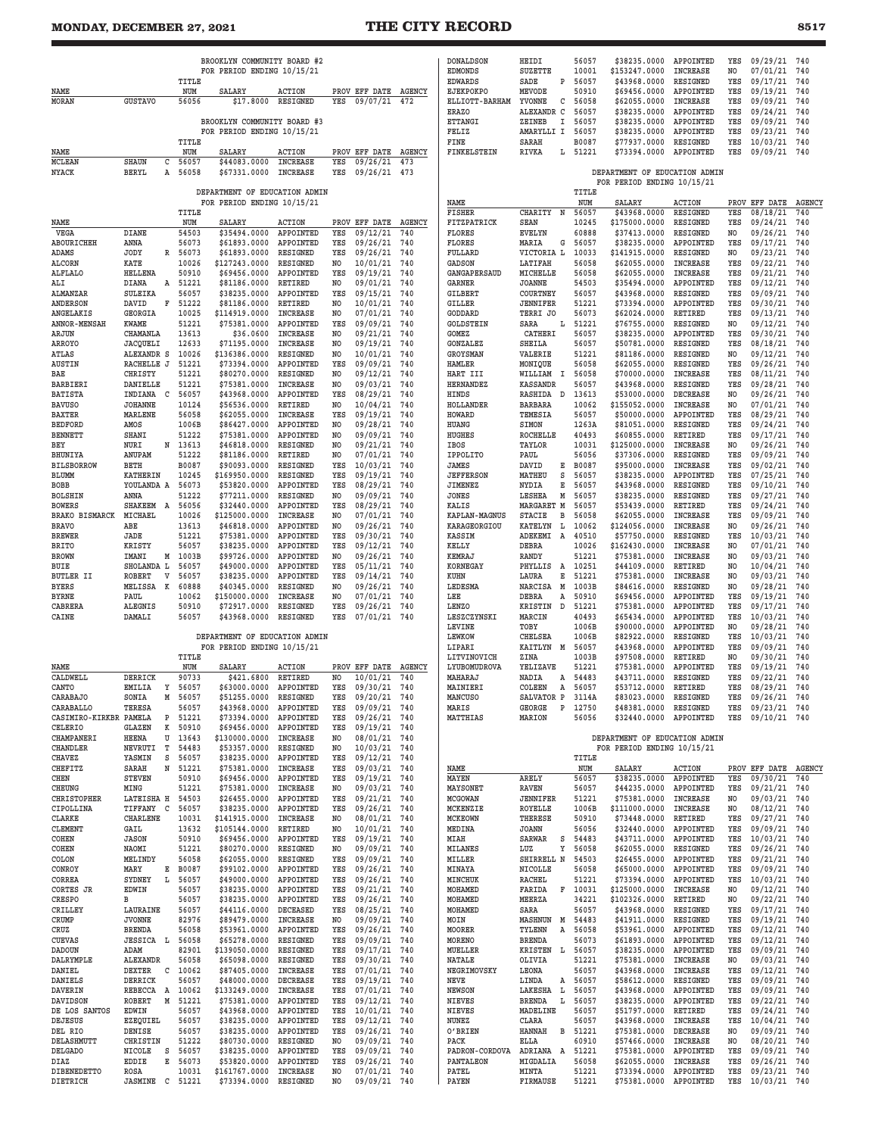## **MONDAY, DECEMBER 27, 2021 THE CITY RECORD 8517**

|                                   |                       |        |                | BROOKLYN COMMUNITY BOARD #2   |                              |            |                           |                      |
|-----------------------------------|-----------------------|--------|----------------|-------------------------------|------------------------------|------------|---------------------------|----------------------|
|                                   |                       |        | TITLE          | FOR PERIOD ENDING 10/15/21    |                              |            |                           |                      |
| NAME                              |                       |        | NUM            | SALARY                        | ACTION                       |            | PROV EFF DATE             | <b>AGENCY</b>        |
| MORAN                             | <b>GUSTAVO</b>        |        | 56056          | \$17.8000                     | RESIGNED                     | YES        | 09/07/21                  | 472                  |
|                                   |                       |        |                | BROOKLYN COMMUNITY BOARD #3   |                              |            |                           |                      |
|                                   |                       |        |                | FOR PERIOD ENDING 10/15/21    |                              |            |                           |                      |
|                                   |                       |        | TITLE          |                               |                              |            |                           |                      |
| NAME<br><b>MCLEAN</b>             | <b>SHAUN</b>          | C      | NUM<br>56057   | SALARY<br>\$44083.0000        | ACTION<br><b>INCREASE</b>    | YES        | PROV EFF DATE<br>09/26/21 | <b>AGENCY</b><br>473 |
| NYACK                             | BERYL                 | Α      | 56058          | \$67331.0000                  | INCREASE                     | YES        | 09/26/21                  | 473                  |
|                                   |                       |        |                |                               |                              |            |                           |                      |
|                                   |                       |        |                | DEPARTMENT OF EDUCATION ADMIN |                              |            |                           |                      |
|                                   |                       |        | TITLE          | FOR PERIOD ENDING 10/15/21    |                              |            |                           |                      |
| NAME                              |                       |        | NUM            | SALARY                        | <b>ACTION</b>                |            | PROV EFF DATE             | AGENCY               |
| VEGA                              | DIANE                 |        | 54503          | \$35494.0000                  | APPOINTED                    | YES        | 09/12/21                  | 740                  |
| ABOURICHEH                        | ANNA                  |        | 56073          | \$61893.0000                  | APPOINTED                    | YES        | 09/26/21                  | 740                  |
| ADAMS                             | JODY                  | R      | 56073          | \$61893.0000                  | RESIGNED                     | YES        | 09/26/21                  | 740                  |
| <b>ALCORN</b><br>ALFLALO          | KATE<br>HELLENA       |        | 10026<br>50910 | \$127243.0000<br>\$69456.0000 | RESIGNED<br>APPOINTED        | NO<br>YES  | 10/01/21<br>09/19/21      | 740<br>740           |
| ALI                               | DIANA                 | A      | 51221          | \$81186.0000                  | RETIRED                      | NO         | 09/01/21                  | 740                  |
| ALMANZAR                          | SULEIKA               |        | 56057          | \$38235.0000                  | APPOINTED                    | YES        | 09/15/21                  | 740                  |
| ANDERSON                          | DAVID                 | F      | 51222          | \$81186.0000                  | RETIRED                      | NO         | 10/01/21                  | 740                  |
| ANGELAKIS                         | <b>GEORGIA</b>        |        | 10025          | \$114919.0000                 | <b>INCREASE</b>              | NO         | 07/01/21                  | 740                  |
| <b>ANNOR-MENSAH</b><br>ARJUN      | KWAME                 |        | 51221          | \$75381.0000                  | APPOINTED<br><b>INCREASE</b> | YES        | 09/09/21                  | 740<br>740           |
| ARROYO                            | CHAMANLA<br>JACQUELI  |        | 13613<br>12633 | \$36.0600<br>\$71195.0000     | <b>INCREASE</b>              | NO<br>NO   | 09/21/21<br>09/19/21      | 740                  |
| ATLAS                             | ALEXANDR S            |        | 10026          | \$136386.0000                 | RESIGNED                     | NO         | 10/01/21                  | 740                  |
| <b>AUSTIN</b>                     | RACHELLE J            |        | 51221          | \$73394.0000                  | APPOINTED                    | YES        | 09/09/21                  | 740                  |
| BAE                               | <b>CHRISTY</b>        |        | 51221          | \$80270.0000                  | RESIGNED                     | NO         | 09/12/21                  | 740                  |
| BARBIERI<br><b>BATISTA</b>        | DANIELLE<br>INDIANA   | С      | 51221<br>56057 | \$75381.0000<br>\$43968.0000  | INCREASE<br>APPOINTED        | NO<br>YES  | 09/03/21<br>08/29/21      | 740<br>740           |
| <b>BAVUSO</b>                     | <b>JOHANNE</b>        |        | 10124          | \$56536.0000                  | <b>RETIRED</b>               | NO         | 10/04/21                  | 740                  |
| BAXTER                            | MARLENE               |        | 56058          | \$62055.0000                  | INCREASE                     | YES        | 09/19/21                  | 740                  |
| <b>BEDFORD</b>                    | AMOS                  |        | 1006B          | \$86427.0000                  | APPOINTED                    | NO         | 09/28/21                  | 740                  |
| <b>BENNETT</b>                    | SHANI                 |        | 51222          | \$75381.0000                  | APPOINTED                    | NO         | 09/09/21                  | 740                  |
| BEY<br>BHUNIYA                    | NURI<br>ANUPAM        | N      | 13613<br>51222 | \$46818.0000<br>\$81186.0000  | RESIGNED<br>RETIRED          | NO<br>NO   | 09/21/21<br>07/01/21      | 740<br>740           |
| <b>BILSBORROW</b>                 | BETH                  |        | B0087          | \$90093.0000                  | RESIGNED                     | YES        | 10/03/21                  | 740                  |
| BLUMM                             | KATHERIN              |        | 10245          | \$169950.0000                 | RESIGNED                     | YES        | 09/19/21                  | 740                  |
| <b>BOBB</b>                       | YOULANDA A            |        | 56073          | \$53820.0000                  | APPOINTED                    | YES        | 08/29/21                  | 740                  |
| <b>BOLSHIN</b><br><b>BOWERS</b>   | ANNA<br>SHAKEEM       | A      | 51222<br>56056 | \$77211.0000<br>\$32440.0000  | RESIGNED<br>APPOINTED        | NO<br>YES  | 09/09/21<br>08/29/21      | 740<br>740           |
| BRAKO BISMARCK                    | MICHAEL               |        | 10026          | \$125000.0000                 | INCREASE                     | NO         | 07/01/21                  | 740                  |
| <b>BRAVO</b>                      | ABE                   |        | 13613          | \$46818.0000                  | APPOINTED                    | NO         | 09/26/21                  | 740                  |
| <b>BREWER</b>                     | JADE                  |        | 51221          | \$75381.0000                  | APPOINTED                    | YES        | 09/30/21                  | 740                  |
| <b>BRITO</b>                      | KRISTY                |        | 56057          | \$38235.0000                  | <b>APPOINTED</b>             | YES        | 09/12/21                  | 740                  |
| <b>BROWN</b><br>BUIE              | IMANI<br>SHOLANDA L   | м      | 1003B<br>56057 | \$99726.0000<br>\$49000.0000  | APPOINTED<br>APPOINTED       | NO<br>YES  | 09/26/21<br>05/11/21      | 740<br>740           |
| BUTLER II                         | ROBERT                | v      | 56057          | \$38235.0000                  | APPOINTED                    | YES        | 09/14/21                  | 740                  |
| <b>BYERS</b>                      | MELISSA K             |        | 60888          | \$40345.0000                  | RESIGNED                     | NO         | 09/26/21                  | 740                  |
| BYRNE                             | PAUL                  |        | 10062          | \$150000.0000                 | INCREASE                     | NO         | 07/01/21                  | 740                  |
| CABRERA                           | ALEGNIS               |        | 50910<br>56057 | \$72917.0000<br>\$43968.0000  | <b>RESIGNED</b>              | YES        | 09/26/21                  | 740<br>740           |
| CAINE                             | DAMALI                |        |                |                               | RESIGNED                     | YES        | 07/01/21                  |                      |
|                                   |                       |        |                | DEPARTMENT OF EDUCATION ADMIN |                              |            |                           |                      |
|                                   |                       |        |                | FOR PERIOD ENDING 10/15/21    |                              |            |                           |                      |
| <b>NAME</b>                       |                       |        | TITLE<br>NUM   | SALARY                        | ACTION                       |            | PROV EFF DATE             | <b>AGENCY</b>        |
| CALDWELL                          | DERRICK               |        | 90733          | \$421.6800                    | RETIRED                      | NO         | 10/01/21                  | 740                  |
| CANTO                             | RMTT.TA               | Y      | 56057          | \$63000.0000 APPOTNTED        |                              | YES        | 09/30/21                  | 740                  |
| <b>CARABAJO</b>                   | SONIA                 | Μ      | 56057          | \$51255.0000                  | RESIGNED                     | YES        | 09/20/21                  | 740                  |
| CARABALLO                         | <b>TERESA</b>         |        | 56057          | \$43968.0000                  | APPOINTED                    | YES        | 09/09/21                  | 740                  |
| CASIMIRO-KIRKBR PAMELA<br>CELERIO | GLAZEN                | Ρ<br>к | 51221<br>50910 | \$73394.0000<br>\$69456.0000  | APPOINTED<br>APPOINTED       | YES<br>YES | 09/26/21<br>09/19/21      | 740<br>740           |
| CHAMPANERI                        | HEENA                 | U      | 13643          | \$130000.0000                 | INCREASE                     | NO         | 08/01/21                  | 740                  |
| CHANDLER                          | NEVRUTI               | т      | 54483          | \$53357.0000                  | RESIGNED                     | NO         | 10/03/21                  | 740                  |
| <b>CHAVEZ</b>                     | YASMIN                | s      | 56057          | \$38235.0000                  | APPOINTED                    | YES        | 09/12/21                  | 740                  |
| CHEFITZ                           | SARAH                 | N      | 51221          | \$75381.0000<br>\$69456.0000  | INCREASE                     | YES<br>YES | 09/03/21<br>09/19/21      | 740<br>740           |
| <b>CHEN</b><br>CHEUNG             | <b>STEVEN</b><br>MING |        | 50910<br>51221 | \$75381.0000                  | APPOINTED<br><b>INCREASE</b> | NO         | 09/03/21                  | 740                  |
| <b>CHRISTOPHER</b>                | LATEISHA H            |        | 54503          | \$26455.0000                  | APPOINTED                    | YES        | 09/21/21                  | 740                  |
| CIPOLLINA                         | TIFFANY               | с      | 56057          | \$38235.0000                  | APPOINTED                    | YES        | 09/26/21                  | 740                  |
| CLARKE                            | CHARLENE              |        | 10031          | \$141915.0000                 | INCREASE                     | NO         | 08/01/21                  | 740                  |
| CLEMENT<br>COHEN                  | GAIL<br><b>JASON</b>  |        | 13632<br>50910 | \$105144.0000<br>\$69456.0000 | RETIRED<br>APPOINTED         | NO<br>YES  | 10/01/21<br>09/19/21      | 740<br>740           |
| COHEN                             | <b>NAOMI</b>          |        | 51221          | \$80270.0000                  | RESIGNED                     | NO         | 09/09/21                  | 740                  |
| COLON                             | MELINDY               |        | 56058          | \$62055.0000                  | RESIGNED                     | YES        | 09/09/21                  | 740                  |
| CONROY                            | MARY                  | Е      | B0087          | \$99102.0000                  | APPOINTED                    | YES        | 09/26/21                  | 740                  |
| CORREA                            | SYDNEY                | L      | 56057          | \$49000.0000                  | APPOINTED                    | YES        | 09/26/21                  | 740                  |
| CORTES JR<br><b>CRESPO</b>        | EDWIN<br>в            |        | 56057<br>56057 | \$38235.0000<br>\$38235.0000  | APPOINTED<br>APPOINTED       | YES<br>YES | 09/21/21<br>09/26/21      | 740<br>740           |
| CRILLEY                           | LAURAINE              |        | 56057          | \$44116.0000                  | DECEASED                     | YES        | 08/25/21                  | 740                  |
| CRUMP                             | <b>JVONNE</b>         |        | 82976          | \$89479.0000                  | INCREASE                     | NO         | 09/09/21                  | 740                  |
| CRUZ                              | <b>BRENDA</b>         |        | 56058          | \$53961.0000                  | APPOINTED                    | YES        | 09/26/21                  | 740                  |
| <b>CUEVAS</b>                     | <b>JESSICA</b> L      |        | 56058          | \$65278.0000                  | RESIGNED                     | YES        | 09/09/21                  | 740                  |
| <b>DADOUN</b>                     | ADAM                  |        | 82901          | \$139050.0000                 | RESIGNED                     | YES        | 09/17/21                  | 740                  |
| DALRYMPLE<br>DANIEL               | ALEXANDR<br>DEXTER    | с      | 56058<br>10062 | \$65098.0000<br>\$87405.0000  | RESIGNED<br>INCREASE         | YES<br>YES | 09/30/21<br>07/01/21      | 740<br>740           |
| DANIELS                           | DERRICK               |        | 56057          | \$48000.0000                  | DECREASE                     | YES        | 09/19/21                  | 740                  |
| <b>DAVERIN</b>                    | REBECCA A             |        | 10062          | \$133249.0000                 | INCREASE                     | YES        | 07/01/21                  | 740                  |
| DAVIDSON                          | ROBERT                | Μ      | 51221          | \$75381.0000                  | APPOINTED                    | YES        | 09/12/21                  | 740                  |
| DE LOS SANTOS                     | EDWIN                 |        | 56057          | \$43968.0000                  | APPOINTED                    | YES<br>YES | 10/01/21                  | 740<br>740           |
| DEJESUS<br>DEL RIO                | EZEQUIEL<br>DENISE    |        | 56057<br>56057 | \$38235.0000<br>\$38235.0000  | APPOINTED<br>APPOINTED       | YES        | 09/12/21<br>09/26/21      | 740                  |
| DELASHMUTT                        | CHRISTIN              |        | 51222          | \$80730.0000                  | RESIGNED                     | NO         | 09/09/21                  | 740                  |
| <b>DELGADO</b>                    | NICOLE                | s      | 56057          | \$38235.0000                  | APPOINTED                    | YES        | 09/09/21                  | 740                  |
| DIAZ                              | EDDIE                 | Е      | 56073          | \$53820.0000                  | APPOINTED                    | YES        | 09/26/21                  | 740                  |
|                                   | ROSA                  |        | 10031          | \$161767.0000                 | INCREASE                     | NO         | 07/01/21                  | 740                  |
| <b>DIBENEDETTO</b><br>DIETRICH    | <b>JASMINE</b>        | с      | 51221          | \$73394.0000                  | RESIGNED                     | NO         | 09/09/21                  | 740                  |

| EDWARDS                    | SADE            | P | 56057 | \$43968.0000                  | RESIGNED         | YES            | 09/17/21      | 740           |
|----------------------------|-----------------|---|-------|-------------------------------|------------------|----------------|---------------|---------------|
| <b>EJEKPOKPO</b>           | MEVODE          |   | 50910 | \$69456.0000                  | APPOINTED        | YES            | 09/19/21      | 740           |
| <b>ELLIOTT-BARHAM</b>      | YVONNE          | С | 56058 | \$62055.0000                  | INCREASE         | YES            | 09/09/21      | 740           |
| <b>ERAZO</b>               | ALEXANDR C      |   | 56057 | \$38235.0000                  | APPOINTED        | YES            | 09/24/21      | 740           |
| <b>ETTANGI</b>             | ZEINEB          | I | 56057 | \$38235.0000                  | APPOINTED        | YES            | 09/09/21      | 740           |
| FELIZ                      | AMARYLLI I      |   | 56057 | \$38235.0000                  | APPOINTED        | YES            | 09/23/21      | 740           |
| FINE                       | SARAH           |   | B0087 | \$77937.0000                  | <b>RESIGNED</b>  | YES            | 10/03/21      | 740           |
| FINKELSTEIN                | RIVKA           | L | 51221 | \$73394.0000                  | APPOINTED        | YES            | 09/09/21      | 740           |
|                            |                 |   |       | DEPARTMENT OF EDUCATION ADMIN |                  |                |               |               |
|                            |                 |   |       |                               |                  |                |               |               |
|                            |                 |   |       | FOR PERIOD ENDING 10/15/21    |                  |                |               |               |
|                            |                 |   | TITLE |                               |                  |                |               |               |
| NAME                       |                 |   | NUM   | SALARY                        | <b>ACTION</b>    |                | PROV EFF DATE | <b>AGENCY</b> |
| <b>FISHER</b>              | CHARITY         | N | 56057 | \$43968.0000                  | RESIGNED         | YES            | 08/18/21      | 740           |
| FITZPATRICK                | <b>SEAN</b>     |   | 10245 | \$175000.0000                 | RESIGNED         | YES            | 09/24/21      | 740           |
| <b>FLORES</b>              | <b>EVELYN</b>   |   | 60888 | \$37413.0000                  | RESIGNED         | NO             | 09/26/21      | 740           |
| <b>FLORES</b>              | MARIA           | G | 56057 | \$38235.0000                  | <b>APPOINTED</b> | YES            | 09/17/21      | 740           |
| <b>FULLARD</b>             | VICTORIA L      |   | 10033 | \$141915.0000                 | RESIGNED         | N <sub>O</sub> | 09/23/21      | 740           |
| <b>GADSON</b>              | LATIFAH         |   | 56058 | \$62055.0000                  | INCREASE         | YES            | 09/22/21      | 740           |
| GANGAPERSAUD               | MICHELLE        |   | 56058 | \$62055.0000                  | <b>INCREASE</b>  | YES            | 09/21/21      | 740           |
| GARNER                     | <b>JOANNE</b>   |   | 54503 | \$35494.0000                  | APPOINTED        | YES            | 09/12/21      | 740           |
| GILBERT                    | COURTNEY        |   | 56057 | \$43968.0000                  | RESIGNED         | YES            | 09/09/21      | 740           |
| GILLER                     | <b>JENNIFER</b> |   | 51221 | \$73394.0000                  | APPOINTED        | YES            | 09/30/21      | 740           |
| GODDARD                    | TERRI JO        |   | 56073 | \$62024.0000                  | RETIRED          | YES            | 09/13/21      | 740           |
| <b>GOLDSTEIN</b>           | SARA            | L | 51221 | \$76755.0000                  | RESIGNED         | NO             | 09/12/21      | 740           |
| GOMEZ                      | CATHERI         |   | 56057 | \$38235.0000                  | APPOINTED        | YES            | 09/30/21      | 740           |
| <b>GONZALEZ</b>            | SHEILA          |   | 56057 | \$50781.0000                  | <b>RESIGNED</b>  | YES            | 08/18/21      | 740           |
| <b>GROYSMAN</b>            | VALERIE         |   | 51221 | \$81186.0000                  | RESIGNED         | NO             | 09/12/21      | 740           |
| HAMLER                     | MONIQUE         |   | 56058 | \$62055.0000                  | RESIGNED         | YES            | 09/26/21      | 740           |
| HART III                   | WILLIAM         | I | 56058 | \$70000.0000                  | <b>INCREASE</b>  | YES            | 08/11/21      | 740           |
| <b>HERNANDEZ</b>           | <b>KASSANDR</b> |   | 56057 | \$43968.0000                  | RESIGNED         | YES            | 09/28/21      | 740           |
| HINDS                      | RASHIDA         | D | 13613 | \$53000.0000                  | DECREASE         | NO             | 09/26/21      | 740           |
| HOLLANDER                  | <b>BARBARA</b>  |   | 10062 | \$155052.0000                 | INCREASE         | NO             | 07/01/21      | 740           |
| <b>HOWARD</b>              | TEMESIA         |   | 56057 | \$50000.0000                  | APPOINTED        | YES            | 08/29/21      | 740           |
| <b>HUANG</b>               | SIMON           |   | 1263A | \$81051.0000                  | RESIGNED         | YES            | 09/24/21      | 740           |
| <b>HUGHES</b>              | ROCHELLE        |   | 40493 | \$60855.0000                  | RETIRED          | YES            | 09/17/21      | 740           |
| IBOS                       | TAYLOR          |   | 10031 | \$125000.0000                 | <b>INCREASE</b>  | NO             | 09/26/21      | 740           |
| <b>IPPOLITO</b>            | PAUL            |   | 56056 | \$37306.0000                  | RESIGNED         | YES            | 09/09/21      | 740           |
| <b>JAMES</b>               | DAVID           | Ε | B0087 | \$95000.0000                  | INCREASE         | YES            | 09/02/21      | 740           |
| <b>JEFFERSON</b>           | MATHEU          | s | 56057 | \$38235.0000                  | <b>APPOINTED</b> | YES            | 07/25/21      | 740           |
| JIMENEZ                    | NYDIA           | E | 56057 | \$43968.0000                  | RESIGNED         | YES            | 09/10/21      | 740           |
| JONES                      | LESHEA          | Μ | 56057 | \$38235.0000                  | RESIGNED         | YES            | 09/27/21      | 740           |
| KALIS                      | MARGARET M      |   | 56057 | \$53439.0000                  | RETIRED          | YES            | 09/24/21      | 740           |
| KAPLAN-MAGNUS              | STACIE          | в | 56058 | \$62055.0000                  | <b>INCREASE</b>  | YES            | 09/09/21      | 740           |
| KARAGEORGIOU               | KATELYN         | L | 10062 | \$124056.0000                 | INCREASE         | NO             | 09/26/21      | 740           |
| KASSIM                     | ADEKEMI         | Α | 40510 | \$57750.0000                  | RESIGNED         | YES            | 10/03/21      | 740           |
| KELLY                      | DEBRA           |   | 10026 | \$162430.0000                 | INCREASE         | NO.            | 07/01/21      | 740           |
| KEMRAJ                     | RANDY           |   | 51221 | \$75381.0000                  | INCREASE         | NO             | 09/03/21      | 740           |
| KORNEGAY                   | PHYLLIS         | Α | 10251 | \$44109.0000                  | RETIRED          | NO             | 10/04/21      | 740           |
| KUHN                       | LAURA           | Е | 51221 | \$75381.0000                  | <b>INCREASE</b>  | NO             | 09/03/21      | 740           |
| LEDESMA                    | NARCISA         | M | 1003B | \$84616.0000                  | RESIGNED         | NO             | 09/28/21      | 740           |
| LEE                        | DEBRA           | Α | 50910 | \$69456.0000                  | APPOINTED        | YES            | 09/19/21      | 740           |
| LENZO                      | KRISTIN         | D | 51221 | \$75381.0000                  | <b>APPOINTED</b> | YES            | 09/17/21      | 740           |
| LESZCZYNSKI                | MARCIN          |   | 40493 | \$65434.0000                  | APPOINTED        | YES            | 10/03/21      | 740           |
| LEVINE                     | TOBY            |   | 1006B | \$90000.0000                  | APPOINTED        | NO             | 09/28/21      | 740           |
| <b>LEWKOW</b>              | CHELSEA         |   | 1006B | \$82922.0000                  | RESIGNED         | YES            | 10/03/21      | 740           |
| LIPARI                     | KAITLYN         | M | 56057 | \$43968.0000                  | APPOINTED        | YES            | 09/09/21      | 740           |
| LITVINOVICH                | ZINA            |   | 1003B | \$97508.0000                  | RETIRED          | NO.            | 09/30/21      | 740           |
| LYUBOMUDROVA               | YELIZAVE        |   | 51221 | \$75381.0000                  | APPOINTED        | YES            | 09/19/21      | 740           |
| <b>MAHARAJ</b>             | NADIA           | Α | 54483 | \$43711.0000                  | <b>RESIGNED</b>  | YES            | 09/22/21      | 740           |
| MAINIERI                   | <b>COLEEN</b>   | Α | 56057 | \$53712.0000                  | <b>RETIRED</b>   | YES            | 08/29/21      | 740           |
| MANCUSO                    | SALVATOR P      |   | 3114A | \$83023.0000                  | RESIGNED         | YES            | 09/26/21      | 740           |
| MARIS                      | GEORGE          | P | 12750 | \$48381.0000                  | RESIGNED         | YES            | 09/23/21      | 740           |
| <b>MATTHIAS</b>            | MARION          |   | 56056 | \$32440.0000                  | APPOINTED        | YES            | 09/10/21      | 740           |
|                            |                 |   |       |                               |                  |                |               |               |
|                            |                 |   |       | DEPARTMENT OF EDUCATION ADMIN |                  |                |               |               |
|                            |                 |   |       | FOR PERIOD ENDING 10/15/21    |                  |                |               |               |
|                            |                 |   | TITLE |                               |                  |                |               |               |
| NAME                       |                 |   | NUM   | SALARY                        | <b>ACTION</b>    |                | PROV EFF DATE | <b>AGENCY</b> |
| MAYEN                      | ARELY           |   | 56057 | \$38235.0000                  | APPOINTED        | YES            | 09/30/21      | 740           |
| <b>MAYSONET</b>            | RAVEN           |   | 56057 | \$44235.0000                  | APPOINTED        | YES            | 09/21/21      | 740           |
| MCGOWAN                    | JENNIFER        |   | 51221 | \$75381.0000                  | <b>INCREASE</b>  | NO             | 09/03/21      | 740           |
| MCKENZIE                   | ROYELLE         |   | 1006B | \$111000.0000                 | INCREASE         | NO             | 08/12/21      | 740           |
| <b>MCKEOWN</b>             | THERESE         |   | 50910 | \$73448.0000                  | RETIRED          | YES            | 09/27/21      | 740           |
| MEDINA                     | <b>JOANN</b>    |   | 56056 | \$32440.0000                  | APPOINTED        | YES            | 09/09/21      | 740           |
| <b>MIAH</b>                | SARWAR          | s | 54483 | \$43711.0000 APPOINTED        |                  | YES            | 10/03/21      | 740           |
| MILANES                    | LUZ             | Υ | 56058 | \$62055.0000 RESIGNED         |                  | YES            | 09/26/21      | 740           |
| MILLER                     | SHIRRELL N      |   | 54503 | \$26455.0000 APPOINTED        |                  | YES            | 09/21/21      | 740           |
| MINAYA                     | NICOLLE         |   | 56058 | \$65000.0000 APPOINTED        |                  | YES            | 09/09/21      | 740           |
| MINCHUK                    | RACHEL          |   | 51221 | \$73394.0000 APPOINTED        |                  | YES            | 10/03/21      | 740           |
| MOHAMED                    | FARIDA          | F | 10031 | \$125000.0000                 | INCREASE         | NO             | 09/12/21      | 740           |
| MOHAMED                    | MEERZA          |   | 34221 | \$102326.0000 RETIRED         |                  | NO             | 09/22/21      | 740           |
| MOHAMED                    | SARA            |   | 56057 | \$43968.0000                  | RESIGNED         | YES            | 09/17/21      | 740           |
| MOIN                       | MASHNUN M       |   | 54483 | \$41911.0000 RESIGNED         |                  | YES            | 09/19/21      | 740           |
| MOORER                     | TYLENN          | Α | 56058 | \$53961.0000 APPOINTED        |                  | YES            | 09/12/21      | 740           |
| <b>MORENO</b>              | BRENDA          |   | 56073 | \$61893.0000 APPOINTED        |                  | YES            | 09/12/21      | 740           |
| MUELLER                    | KRISTEN L       |   | 56057 | \$38235.0000 APPOINTED        |                  | YES            | 09/09/21      | 740           |
| <b>NATALE</b>              | OLIVIA          |   | 51221 | \$75381.0000 INCREASE         |                  | NO             | 09/03/21      | 740           |
|                            |                 |   | 56057 | \$43968.0000                  |                  | YES            | 09/12/21      | 740           |
| <b>NEGRIMOVSKY</b><br>NEVE | LEONA<br>LINDA  | A | 56057 | \$58612.0000 RESIGNED         | <b>INCREASE</b>  | YES            | 09/09/21      | 740           |
| NEWSON                     | LAKESHA L       |   | 56057 | \$43968.0000 APPOINTED        |                  | YES            | 09/09/21      | 740           |
|                            |                 |   |       |                               |                  |                |               |               |
| NIEVES                     | BRENDA          | L | 56057 | \$38235.0000                  | APPOINTED        | YES            | 09/22/21      | 740           |
| NIEVES                     | MADELINE        |   | 56057 | \$51797.0000 RETIRED          |                  | YES            | 09/24/21      | 740           |
| NUNEZ                      | CLARA           |   | 56057 | \$43968.0000 INCREASE         |                  | YES            | 10/04/21      | 740           |
| OʻBRIEN                    | <b>HANNAH</b>   | в | 51221 | \$75381.0000 DECREASE         |                  | NO             | 09/09/21      | 740           |
| PACK                       | ELLA            |   | 60910 | \$57466.0000                  | INCREASE         | NO             | 08/20/21      | 740           |
| PADRON-CORDOVA             | ADRIANA A       |   | 51221 | \$75381.0000                  | APPOINTED        | YES            | 09/09/21      | 740           |
| <b>PANTALEON</b>           | MIGDALIA        |   | 56058 | \$62055.0000                  | INCREASE         | YES            | 09/26/21      | 740           |
| PATEL                      | <b>MINTA</b>    |   | 51221 | \$73394.0000                  | <b>APPOINTED</b> | YES            | 09/23/21      | 740           |
| PAYEN                      | FIRMAUSE        |   | 51221 | \$75381.0000 APPOINTED        |                  | YES            | 10/03/21      | 740           |

**DONALDSON HEIDI 56057 \$38235.0000 APPOINTED YES 09/29/21 740 EDMONDS SUZETTE 10001 \$153247.0000 INCREASE NO 07/01/21 740**